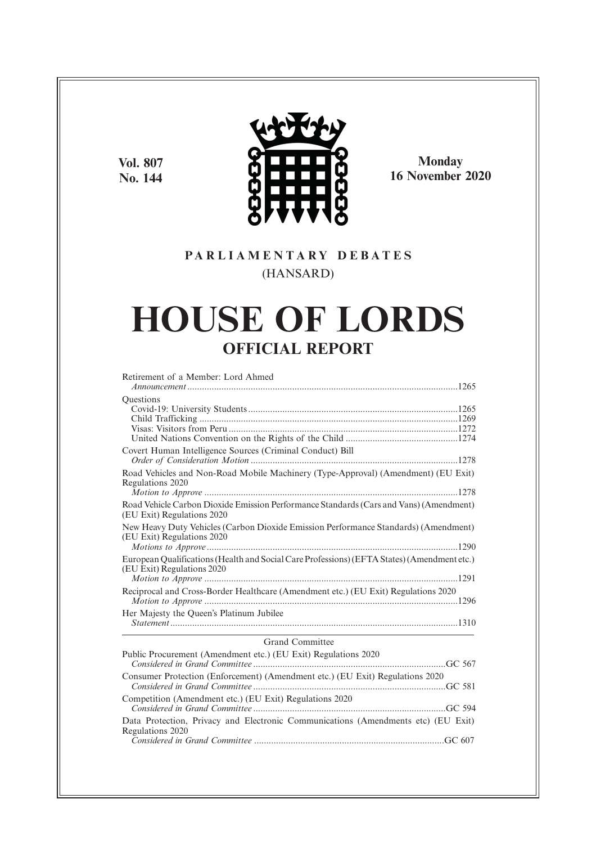**Vol. 807 No. 144**



**Monday 16 November 2020**

# **P A R L I A M E N T A R Y D E B A T E S** (HANSARD)

# **HOUSE OF LORDS OFFICIAL REPORT**

| Retirement of a Member: Lord Ahmed                                                                                        |
|---------------------------------------------------------------------------------------------------------------------------|
| Questions                                                                                                                 |
| Covert Human Intelligence Sources (Criminal Conduct) Bill                                                                 |
| Road Vehicles and Non-Road Mobile Machinery (Type-Approval) (Amendment) (EU Exit)<br>Regulations 2020                     |
| Road Vehicle Carbon Dioxide Emission Performance Standards (Cars and Vans) (Amendment)<br>(EU Exit) Regulations 2020      |
| New Heavy Duty Vehicles (Carbon Dioxide Emission Performance Standards) (Amendment)<br>(EU Exit) Regulations 2020         |
| European Qualifications (Health and Social Care Professions) (EFTA States) (Amendment etc.)<br>(EU Exit) Regulations 2020 |
| Reciprocal and Cross-Border Healthcare (Amendment etc.) (EU Exit) Regulations 2020                                        |
| Her Majesty the Queen's Platinum Jubilee                                                                                  |
| Grand Committee                                                                                                           |
| Public Procurement (Amendment etc.) (EU Exit) Regulations 2020                                                            |
| Consumer Protection (Enforcement) (Amendment etc.) (EU Exit) Regulations 2020                                             |
| Competition (Amendment etc.) (EU Exit) Regulations 2020                                                                   |
| Data Protection, Privacy and Electronic Communications (Amendments etc) (EU Exit)<br>Regulations 2020                     |
|                                                                                                                           |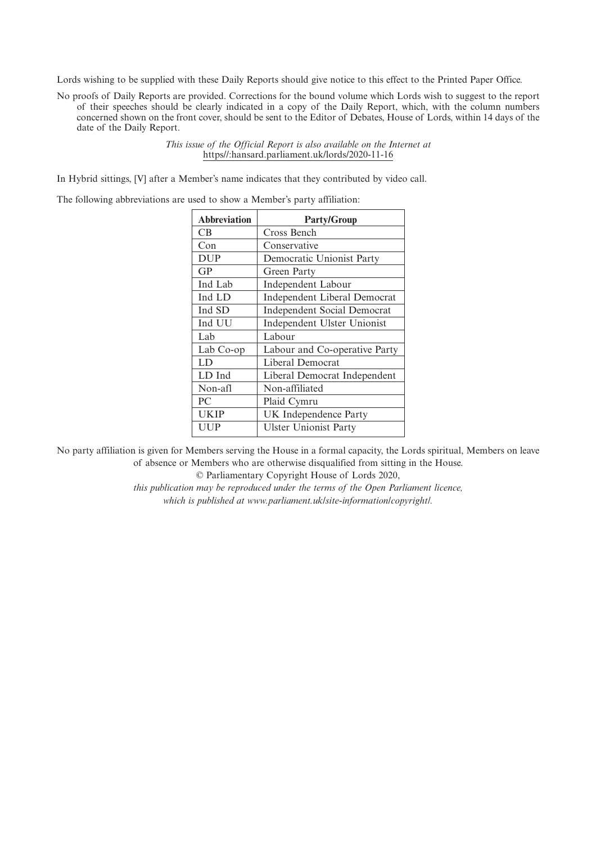Lords wishing to be supplied with these Daily Reports should give notice to this effect to the Printed Paper Office.

No proofs of Daily Reports are provided. Corrections for the bound volume which Lords wish to suggest to the report of their speeches should be clearly indicated in a copy of the Daily Report, which, with the column numbers concerned shown on the front cover, should be sent to the Editor of Debates, House of Lords, within 14 days of the date of the Daily Report.

> *This issue of the Official Report is also available on the Internet at* https//:hansard.parliament.uk/lords/2020-11-16

In Hybrid sittings, [V] after a Member's name indicates that they contributed by video call.

The following abbreviations are used to show a Member's party affiliation:

| <b>Abbreviation</b> | <b>Party/Group</b>                 |
|---------------------|------------------------------------|
| CВ                  | Cross Bench                        |
| Con                 | Conservative                       |
| <b>DUP</b>          | Democratic Unionist Party          |
| GP                  | Green Party                        |
| Ind Lab             | Independent Labour                 |
| Ind LD              | Independent Liberal Democrat       |
| Ind SD              | <b>Independent Social Democrat</b> |
| Ind UU              | Independent Ulster Unionist        |
| Lab                 | Labour                             |
| Lab Co-op           | Labour and Co-operative Party      |
| LD                  | Liberal Democrat                   |
| LD Ind              | Liberal Democrat Independent       |
| Non-afl             | Non-affiliated                     |
| PC.                 | Plaid Cymru                        |
| UKIP                | UK Independence Party              |
| UUP                 | <b>Ulster Unionist Party</b>       |
|                     |                                    |

No party affiliation is given for Members serving the House in a formal capacity, the Lords spiritual, Members on leave of absence or Members who are otherwise disqualified from sitting in the House.

© Parliamentary Copyright House of Lords 2020,

*this publication may be reproduced under the terms of the Open Parliament licence, which is published at www.parliament.uk/site-information/copyright/.*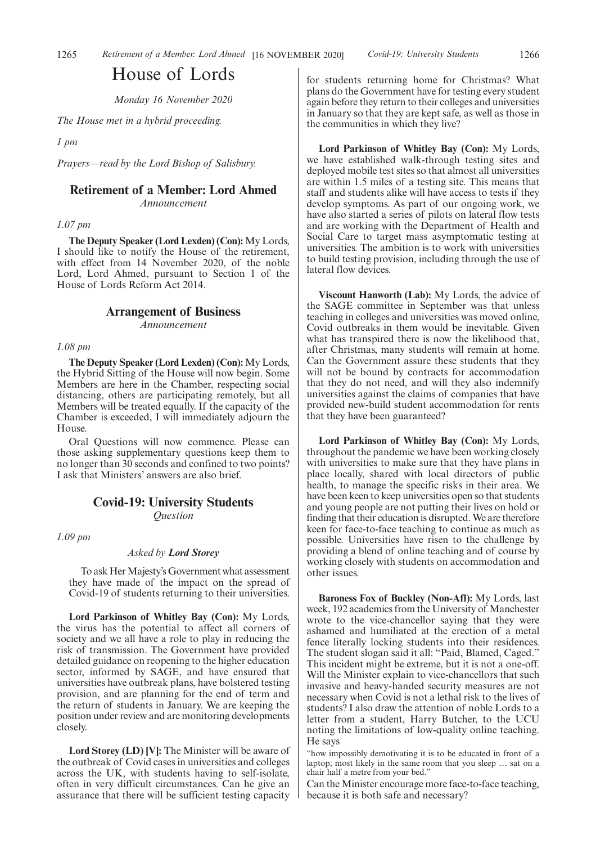# House of Lords

*Monday 16 November 2020*

*The House met in a hybrid proceeding.*

*1 pm*

*Prayers—read by the Lord Bishop of Salisbury.*

# **Retirement of a Member: Lord Ahmed**

*Announcement*

### *1.07 pm*

**The Deputy Speaker (Lord Lexden) (Con):** My Lords, I should like to notify the House of the retirement, with effect from 14 November 2020, of the noble Lord, Lord Ahmed, pursuant to Section 1 of the House of Lords Reform Act 2014.

### **Arrangement of Business**

*Announcement*

#### *1.08 pm*

**The Deputy Speaker (Lord Lexden) (Con):** My Lords, the Hybrid Sitting of the House will now begin. Some Members are here in the Chamber, respecting social distancing, others are participating remotely, but all Members will be treated equally. If the capacity of the Chamber is exceeded, I will immediately adjourn the House.

Oral Questions will now commence. Please can those asking supplementary questions keep them to no longer than 30 seconds and confined to two points? I ask that Ministers' answers are also brief.

# **Covid-19: University Students** *Question*

*1.09 pm*

#### *Asked by Lord Storey*

To ask Her Majesty's Government what assessment they have made of the impact on the spread of Covid-19 of students returning to their universities.

**Lord Parkinson of Whitley Bay (Con):** My Lords, the virus has the potential to affect all corners of society and we all have a role to play in reducing the risk of transmission. The Government have provided detailed guidance on reopening to the higher education sector, informed by SAGE, and have ensured that universities have outbreak plans, have bolstered testing provision, and are planning for the end of term and the return of students in January. We are keeping the position under review and are monitoring developments closely.

**Lord Storey (LD) [V]:** The Minister will be aware of the outbreak of Covid cases in universities and colleges across the UK, with students having to self-isolate, often in very difficult circumstances. Can he give an assurance that there will be sufficient testing capacity for students returning home for Christmas? What plans do the Government have for testing every student again before they return to their colleges and universities in January so that they are kept safe, as well as those in the communities in which they live?

**Lord Parkinson of Whitley Bay (Con):** My Lords, we have established walk-through testing sites and deployed mobile test sites so that almost all universities are within 1.5 miles of a testing site. This means that staff and students alike will have access to tests if they develop symptoms. As part of our ongoing work, we have also started a series of pilots on lateral flow tests and are working with the Department of Health and Social Care to target mass asymptomatic testing at universities. The ambition is to work with universities to build testing provision, including through the use of lateral flow devices.

**Viscount Hanworth (Lab):** My Lords, the advice of the SAGE committee in September was that unless teaching in colleges and universities was moved online, Covid outbreaks in them would be inevitable. Given what has transpired there is now the likelihood that, after Christmas, many students will remain at home. Can the Government assure these students that they will not be bound by contracts for accommodation that they do not need, and will they also indemnify universities against the claims of companies that have provided new-build student accommodation for rents that they have been guaranteed?

**Lord Parkinson of Whitley Bay (Con):** My Lords, throughout the pandemic we have been working closely with universities to make sure that they have plans in place locally, shared with local directors of public health, to manage the specific risks in their area. We have been keen to keep universities open so that students and young people are not putting their lives on hold or finding that their education is disrupted. We are therefore keen for face-to-face teaching to continue as much as possible. Universities have risen to the challenge by providing a blend of online teaching and of course by working closely with students on accommodation and other issues.

**Baroness Fox of Buckley (Non-Afl):** My Lords, last week, 192 academics from the University of Manchester wrote to the vice-chancellor saying that they were ashamed and humiliated at the erection of a metal fence literally locking students into their residences. The student slogan said it all: "Paid, Blamed, Caged." This incident might be extreme, but it is not a one-off. Will the Minister explain to vice-chancellors that such invasive and heavy-handed security measures are not necessary when Covid is not a lethal risk to the lives of students? I also draw the attention of noble Lords to a letter from a student, Harry Butcher, to the UCU noting the limitations of low-quality online teaching. He says

"how impossibly demotivating it is to be educated in front of a laptop; most likely in the same room that you sleep … sat on a chair half a metre from your bed."

Can the Minister encourage more face-to-face teaching, because it is both safe and necessary?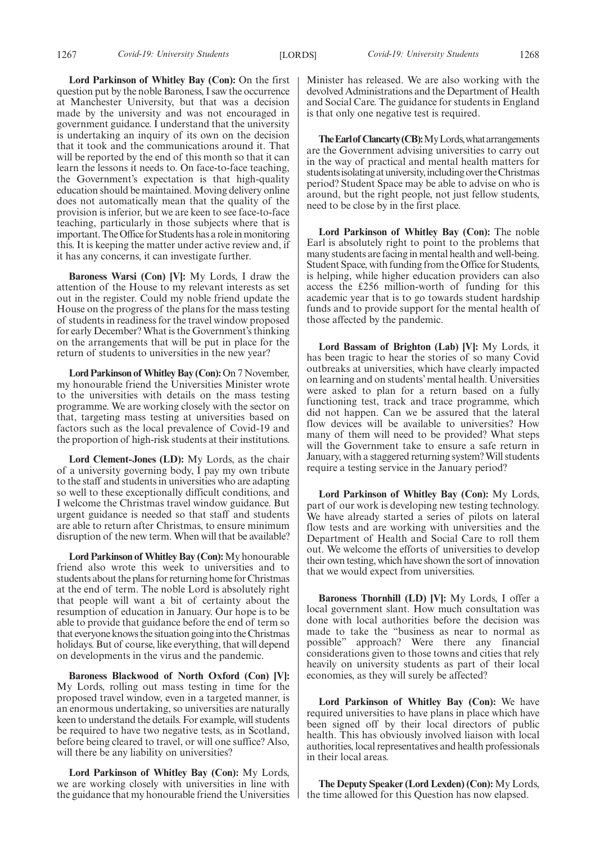**Lord Parkinson of Whitley Bay (Con):** On the first question put by the noble Baroness, I saw the occurrence at Manchester University, but that was a decision made by the university and was not encouraged in government guidance. I understand that the university is undertaking an inquiry of its own on the decision that it took and the communications around it. That will be reported by the end of this month so that it can learn the lessons it needs to. On face-to-face teaching, the Government's expectation is that high-quality education should be maintained. Moving delivery online does not automatically mean that the quality of the provision is inferior, but we are keen to see face-to-face teaching, particularly in those subjects where that is important. The Office for Students has a role in monitoring this. It is keeping the matter under active review and, if it has any concerns, it can investigate further.

**Baroness Warsi (Con) [V]:** My Lords, I draw the attention of the House to my relevant interests as set out in the register. Could my noble friend update the House on the progress of the plans for the mass testing of students in readiness for the travel window proposed for early December? What is the Government's thinking on the arrangements that will be put in place for the return of students to universities in the new year?

**Lord Parkinson of Whitley Bay (Con):**On 7 November, my honourable friend the Universities Minister wrote to the universities with details on the mass testing programme. We are working closely with the sector on that, targeting mass testing at universities based on factors such as the local prevalence of Covid-19 and the proportion of high-risk students at their institutions.

**Lord Clement-Jones (LD):** My Lords, as the chair of a university governing body, I pay my own tribute to the staff and students in universities who are adapting so well to these exceptionally difficult conditions, and I welcome the Christmas travel window guidance. But urgent guidance is needed so that staff and students are able to return after Christmas, to ensure minimum disruption of the new term. When will that be available?

**Lord Parkinson of Whitley Bay (Con):**My honourable friend also wrote this week to universities and to students about the plans for returning home for Christmas at the end of term. The noble Lord is absolutely right that people will want a bit of certainty about the resumption of education in January. Our hope is to be able to provide that guidance before the end of term so that everyone knows the situation going into the Christmas holidays. But of course, like everything, that will depend on developments in the virus and the pandemic.

**Baroness Blackwood of North Oxford (Con) [V]:** My Lords, rolling out mass testing in time for the proposed travel window, even in a targeted manner, is an enormous undertaking, so universities are naturally keen to understand the details. For example, will students be required to have two negative tests, as in Scotland, before being cleared to travel, or will one suffice? Also, will there be any liability on universities?

**Lord Parkinson of Whitley Bay (Con):** My Lords, we are working closely with universities in line with the guidance that my honourable friend the Universities Minister has released. We are also working with the devolved Administrations and the Department of Health and Social Care. The guidance for students in England is that only one negative test is required.

**The Earl of Clancarty (CB):** My Lords, what arrangements are the Government advising universities to carry out in the way of practical and mental health matters for students isolating at university, including over the Christmas period? Student Space may be able to advise on who is around, but the right people, not just fellow students, need to be close by in the first place.

**Lord Parkinson of Whitley Bay (Con):** The noble Earl is absolutely right to point to the problems that many students are facing in mental health and well-being. Student Space, with funding from the Office for Students, is helping, while higher education providers can also access the £256 million-worth of funding for this academic year that is to go towards student hardship funds and to provide support for the mental health of those affected by the pandemic.

**Lord Bassam of Brighton (Lab) [V]:** My Lords, it has been tragic to hear the stories of so many Covid outbreaks at universities, which have clearly impacted on learning and on students' mental health. Universities were asked to plan for a return based on a fully functioning test, track and trace programme, which did not happen. Can we be assured that the lateral flow devices will be available to universities? How many of them will need to be provided? What steps will the Government take to ensure a safe return in January, with a staggered returning system? Will students require a testing service in the January period?

**Lord Parkinson of Whitley Bay (Con):** My Lords, part of our work is developing new testing technology. We have already started a series of pilots on lateral flow tests and are working with universities and the Department of Health and Social Care to roll them out. We welcome the efforts of universities to develop their own testing, which have shown the sort of innovation that we would expect from universities.

**Baroness Thornhill (LD) [V]:** My Lords, I offer a local government slant. How much consultation was done with local authorities before the decision was made to take the "business as near to normal as possible" approach? Were there any financial considerations given to those towns and cities that rely heavily on university students as part of their local economies, as they will surely be affected?

**Lord Parkinson of Whitley Bay (Con):** We have required universities to have plans in place which have been signed off by their local directors of public health. This has obviously involved liaison with local authorities, local representatives and health professionals in their local areas.

**The Deputy Speaker (Lord Lexden) (Con):** My Lords, the time allowed for this Question has now elapsed.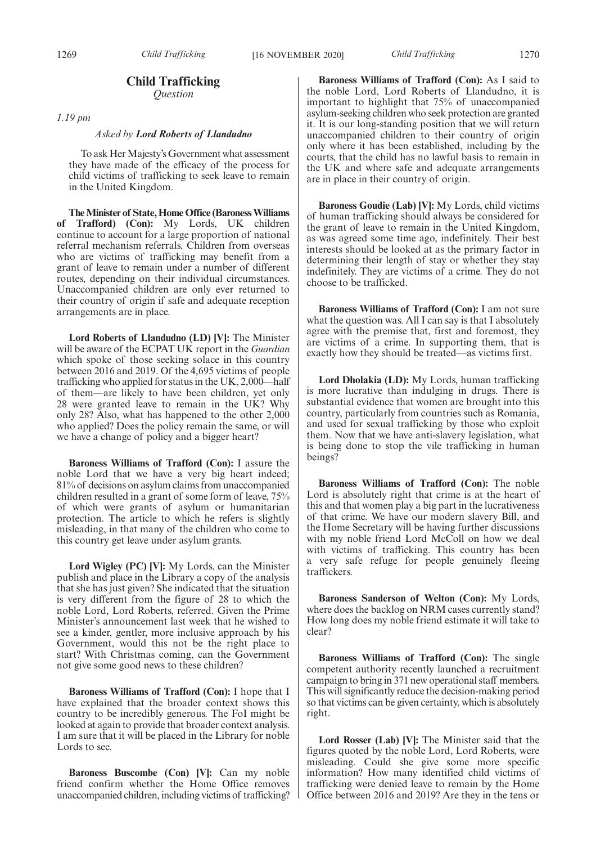1269 *Child Trafficking* [16 NOVEMBER 2020] *Child Trafficking* 1270

# **Child Trafficking** *Question*

*1.19 pm*

#### *Asked by Lord Roberts of Llandudno*

To ask Her Majesty's Government what assessment they have made of the efficacy of the process for child victims of trafficking to seek leave to remain in the United Kingdom.

**The Minister of State, Home Office (Baroness Williams of Trafford) (Con):** My Lords, UK children continue to account for a large proportion of national referral mechanism referrals. Children from overseas who are victims of trafficking may benefit from a grant of leave to remain under a number of different routes, depending on their individual circumstances. Unaccompanied children are only ever returned to their country of origin if safe and adequate reception arrangements are in place.

**Lord Roberts of Llandudno (LD) [V]:** The Minister will be aware of the ECPAT UK report in the *Guardian* which spoke of those seeking solace in this country between 2016 and 2019. Of the 4,695 victims of people trafficking who applied for status in the UK, 2,000—half of them—are likely to have been children, yet only 28 were granted leave to remain in the UK? Why only 28? Also, what has happened to the other 2,000 who applied? Does the policy remain the same, or will we have a change of policy and a bigger heart?

**Baroness Williams of Trafford (Con):** I assure the noble Lord that we have a very big heart indeed; 81% of decisions on asylum claims from unaccompanied children resulted in a grant of some form of leave, 75% of which were grants of asylum or humanitarian protection. The article to which he refers is slightly misleading, in that many of the children who come to this country get leave under asylum grants.

**Lord Wigley (PC) [V]:** My Lords, can the Minister publish and place in the Library a copy of the analysis that she has just given? She indicated that the situation is very different from the figure of 28 to which the noble Lord, Lord Roberts, referred. Given the Prime Minister's announcement last week that he wished to see a kinder, gentler, more inclusive approach by his Government, would this not be the right place to start? With Christmas coming, can the Government not give some good news to these children?

**Baroness Williams of Trafford (Con):** I hope that I have explained that the broader context shows this country to be incredibly generous. The FoI might be looked at again to provide that broader context analysis. I am sure that it will be placed in the Library for noble Lords to see.

**Baroness Buscombe (Con) [V]:** Can my noble friend confirm whether the Home Office removes unaccompanied children, including victims of trafficking?

**Baroness Williams of Trafford (Con):** As I said to the noble Lord, Lord Roberts of Llandudno, it is important to highlight that 75% of unaccompanied asylum-seeking children who seek protection are granted it. It is our long-standing position that we will return unaccompanied children to their country of origin only where it has been established, including by the courts, that the child has no lawful basis to remain in the UK and where safe and adequate arrangements are in place in their country of origin.

**Baroness Goudie (Lab) [V]:** My Lords, child victims of human trafficking should always be considered for the grant of leave to remain in the United Kingdom, as was agreed some time ago, indefinitely. Their best interests should be looked at as the primary factor in determining their length of stay or whether they stay indefinitely. They are victims of a crime. They do not choose to be trafficked.

**Baroness Williams of Trafford (Con):** I am not sure what the question was. All I can say is that I absolutely agree with the premise that, first and foremost, they are victims of a crime. In supporting them, that is exactly how they should be treated—as victims first.

**Lord Dholakia (LD):** My Lords, human trafficking is more lucrative than indulging in drugs. There is substantial evidence that women are brought into this country, particularly from countries such as Romania, and used for sexual trafficking by those who exploit them. Now that we have anti-slavery legislation, what is being done to stop the vile trafficking in human beings?

**Baroness Williams of Trafford (Con):** The noble Lord is absolutely right that crime is at the heart of this and that women play a big part in the lucrativeness of that crime. We have our modern slavery Bill, and the Home Secretary will be having further discussions with my noble friend Lord McColl on how we deal with victims of trafficking. This country has been a very safe refuge for people genuinely fleeing traffickers.

**Baroness Sanderson of Welton (Con):** My Lords, where does the backlog on NRM cases currently stand? How long does my noble friend estimate it will take to clear?

**Baroness Williams of Trafford (Con):** The single competent authority recently launched a recruitment campaign to bring in 371 new operational staff members. This will significantly reduce the decision-making period so that victims can be given certainty, which is absolutely right.

**Lord Rosser (Lab) [V]:** The Minister said that the figures quoted by the noble Lord, Lord Roberts, were misleading. Could she give some more specific information? How many identified child victims of trafficking were denied leave to remain by the Home Office between 2016 and 2019? Are they in the tens or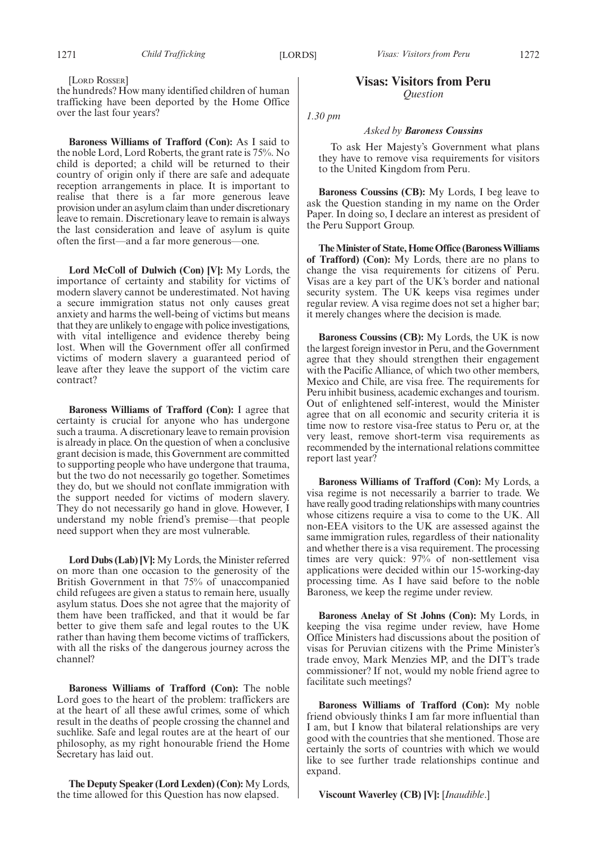[LORD ROSSER]

the hundreds? How many identified children of human trafficking have been deported by the Home Office over the last four years?

**Baroness Williams of Trafford (Con):** As I said to the noble Lord, Lord Roberts, the grant rate is 75%. No child is deported; a child will be returned to their country of origin only if there are safe and adequate reception arrangements in place. It is important to realise that there is a far more generous leave provision under an asylum claim than under discretionary leave to remain. Discretionary leave to remain is always the last consideration and leave of asylum is quite often the first—and a far more generous—one.

**Lord McColl of Dulwich (Con) [V]:** My Lords, the importance of certainty and stability for victims of modern slavery cannot be underestimated. Not having a secure immigration status not only causes great anxiety and harms the well-being of victims but means that they are unlikely to engage with police investigations, with vital intelligence and evidence thereby being lost. When will the Government offer all confirmed victims of modern slavery a guaranteed period of leave after they leave the support of the victim care contract?

**Baroness Williams of Trafford (Con):** I agree that certainty is crucial for anyone who has undergone such a trauma. A discretionary leave to remain provision is already in place. On the question of when a conclusive grant decision is made, this Government are committed to supporting people who have undergone that trauma, but the two do not necessarily go together. Sometimes they do, but we should not conflate immigration with the support needed for victims of modern slavery. They do not necessarily go hand in glove. However, I understand my noble friend's premise—that people need support when they are most vulnerable.

**Lord Dubs (Lab) [V]:** My Lords, the Minister referred on more than one occasion to the generosity of the British Government in that 75% of unaccompanied child refugees are given a status to remain here, usually asylum status. Does she not agree that the majority of them have been trafficked, and that it would be far better to give them safe and legal routes to the UK rather than having them become victims of traffickers, with all the risks of the dangerous journey across the channel?

**Baroness Williams of Trafford (Con):** The noble Lord goes to the heart of the problem: traffickers are at the heart of all these awful crimes, some of which result in the deaths of people crossing the channel and suchlike. Safe and legal routes are at the heart of our philosophy, as my right honourable friend the Home Secretary has laid out.

**The Deputy Speaker (Lord Lexden) (Con):** My Lords, the time allowed for this Question has now elapsed.

### **Visas: Visitors from Peru** *Question*

*1.30 pm*

#### *Asked by Baroness Coussins*

To ask Her Majesty's Government what plans they have to remove visa requirements for visitors to the United Kingdom from Peru.

**Baroness Coussins (CB):** My Lords, I beg leave to ask the Question standing in my name on the Order Paper. In doing so, I declare an interest as president of the Peru Support Group.

**The Minister of State, Home Office (Baroness Williams of Trafford) (Con):** My Lords, there are no plans to change the visa requirements for citizens of Peru. Visas are a key part of the UK's border and national security system. The UK keeps visa regimes under regular review. A visa regime does not set a higher bar; it merely changes where the decision is made.

**Baroness Coussins (CB):** My Lords, the UK is now the largest foreign investor in Peru, and the Government agree that they should strengthen their engagement with the Pacific Alliance, of which two other members, Mexico and Chile, are visa free. The requirements for Peru inhibit business, academic exchanges and tourism. Out of enlightened self-interest, would the Minister agree that on all economic and security criteria it is time now to restore visa-free status to Peru or, at the very least, remove short-term visa requirements as recommended by the international relations committee report last year?

**Baroness Williams of Trafford (Con):** My Lords, a visa regime is not necessarily a barrier to trade. We have really good trading relationships with many countries whose citizens require a visa to come to the UK. All non-EEA visitors to the UK are assessed against the same immigration rules, regardless of their nationality and whether there is a visa requirement. The processing times are very quick: 97% of non-settlement visa applications were decided within our 15-working-day processing time. As I have said before to the noble Baroness, we keep the regime under review.

**Baroness Anelay of St Johns (Con):** My Lords, in keeping the visa regime under review, have Home Office Ministers had discussions about the position of visas for Peruvian citizens with the Prime Minister's trade envoy, Mark Menzies MP, and the DIT's trade commissioner? If not, would my noble friend agree to facilitate such meetings?

**Baroness Williams of Trafford (Con):** My noble friend obviously thinks I am far more influential than I am, but I know that bilateral relationships are very good with the countries that she mentioned. Those are certainly the sorts of countries with which we would like to see further trade relationships continue and expand.

**Viscount Waverley (CB) [V]:** [*Inaudible*.]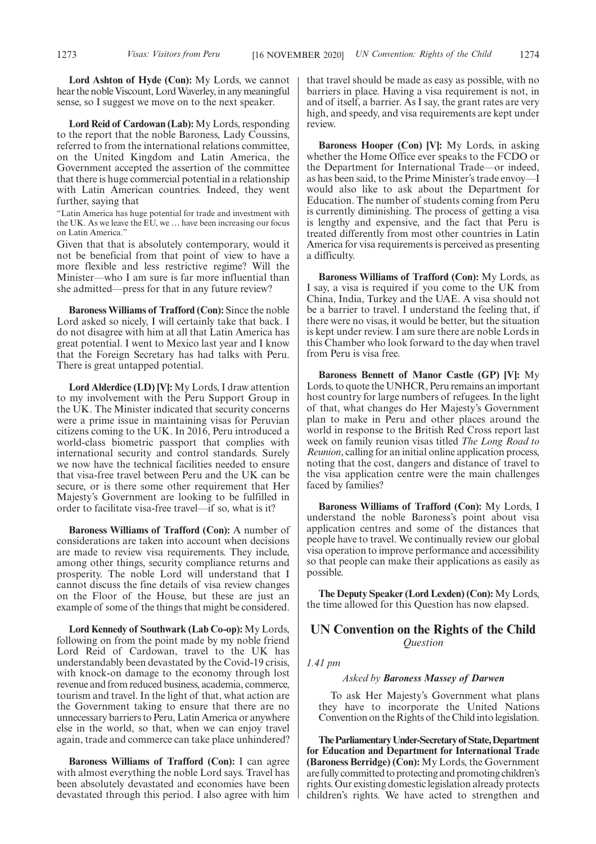**Lord Ashton of Hyde (Con):** My Lords, we cannot hear the noble Viscount, Lord Waverley, in any meaningful sense, so I suggest we move on to the next speaker.

**Lord Reid of Cardowan (Lab):** My Lords, responding to the report that the noble Baroness, Lady Coussins, referred to from the international relations committee, on the United Kingdom and Latin America, the Government accepted the assertion of the committee that there is huge commercial potential in a relationship with Latin American countries. Indeed, they went further, saying that

"Latin America has huge potential for trade and investment with the UK. As we leave the EU, we … have been increasing our focus on Latin America."

Given that that is absolutely contemporary, would it not be beneficial from that point of view to have a more flexible and less restrictive regime? Will the Minister—who I am sure is far more influential than she admitted—press for that in any future review?

**Baroness Williams of Trafford (Con):** Since the noble Lord asked so nicely, I will certainly take that back. I do not disagree with him at all that Latin America has great potential. I went to Mexico last year and I know that the Foreign Secretary has had talks with Peru. There is great untapped potential.

**Lord Alderdice (LD) [V]:** My Lords, I draw attention to my involvement with the Peru Support Group in the UK. The Minister indicated that security concerns were a prime issue in maintaining visas for Peruvian citizens coming to the UK. In 2016, Peru introduced a world-class biometric passport that complies with international security and control standards. Surely we now have the technical facilities needed to ensure that visa-free travel between Peru and the UK can be secure, or is there some other requirement that Her Majesty's Government are looking to be fulfilled in order to facilitate visa-free travel—if so, what is it?

**Baroness Williams of Trafford (Con):** A number of considerations are taken into account when decisions are made to review visa requirements. They include, among other things, security compliance returns and prosperity. The noble Lord will understand that I cannot discuss the fine details of visa review changes on the Floor of the House, but these are just an example of some of the things that might be considered.

**Lord Kennedy of Southwark (Lab Co-op):** My Lords, following on from the point made by my noble friend Lord Reid of Cardowan, travel to the UK has understandably been devastated by the Covid-19 crisis, with knock-on damage to the economy through lost revenue and from reduced business, academia, commerce, tourism and travel. In the light of that, what action are the Government taking to ensure that there are no unnecessary barriers to Peru, Latin America or anywhere else in the world, so that, when we can enjoy travel again, trade and commerce can take place unhindered?

**Baroness Williams of Trafford (Con):** I can agree with almost everything the noble Lord says. Travel has been absolutely devastated and economies have been devastated through this period. I also agree with him that travel should be made as easy as possible, with no barriers in place. Having a visa requirement is not, in and of itself, a barrier. As I say, the grant rates are very high, and speedy, and visa requirements are kept under review.

**Baroness Hooper (Con) [V]:** My Lords, in asking whether the Home Office ever speaks to the FCDO or the Department for International Trade—or indeed, as has been said, to the Prime Minister's trade envoy—I would also like to ask about the Department for Education. The number of students coming from Peru is currently diminishing. The process of getting a visa is lengthy and expensive, and the fact that Peru is treated differently from most other countries in Latin America for visa requirements is perceived as presenting a difficulty.

**Baroness Williams of Trafford (Con):** My Lords, as I say, a visa is required if you come to the UK from China, India, Turkey and the UAE. A visa should not be a barrier to travel. I understand the feeling that, if there were no visas, it would be better, but the situation is kept under review. I am sure there are noble Lords in this Chamber who look forward to the day when travel from Peru is visa free.

**Baroness Bennett of Manor Castle (GP) [V]:** My Lords, to quote the UNHCR, Peru remains an important host country for large numbers of refugees. In the light of that, what changes do Her Majesty's Government plan to make in Peru and other places around the world in response to the British Red Cross report last week on family reunion visas titled *The Long Road to Reunion*, calling for an initial online application process, noting that the cost, dangers and distance of travel to the visa application centre were the main challenges faced by families?

**Baroness Williams of Trafford (Con):** My Lords, I understand the noble Baroness's point about visa application centres and some of the distances that people have to travel. We continually review our global visa operation to improve performance and accessibility so that people can make their applications as easily as possible.

**The Deputy Speaker (Lord Lexden) (Con):** My Lords, the time allowed for this Question has now elapsed.

# **UN Convention on the Rights of the Child** *Question*

#### *1.41 pm*

#### *Asked by Baroness Massey of Darwen*

To ask Her Majesty's Government what plans they have to incorporate the United Nations Convention on the Rights of the Child into legislation.

**TheParliamentaryUnder-Secretaryof State,Department for Education and Department for International Trade (Baroness Berridge) (Con):** My Lords, the Government are fully committed to protecting and promoting children's rights. Our existing domestic legislation already protects children's rights. We have acted to strengthen and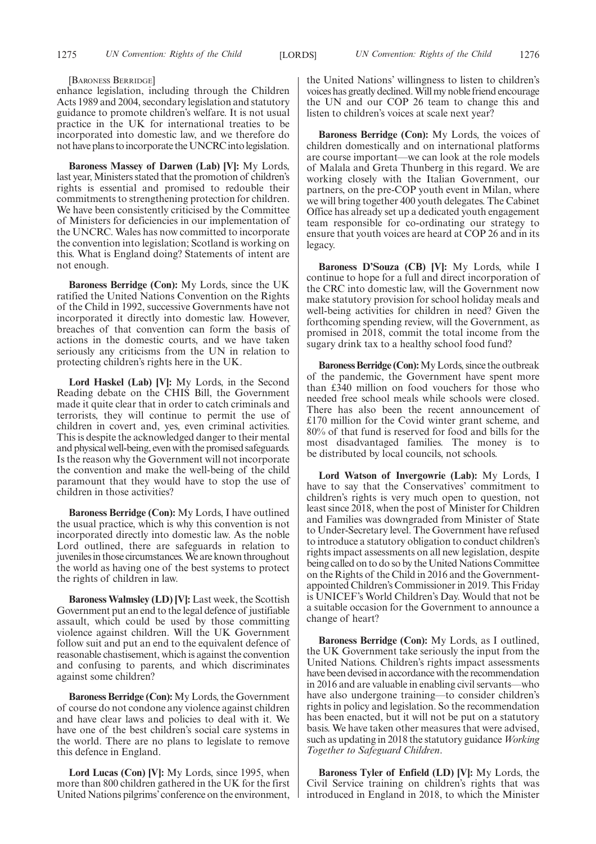[BARONESS BERRIDGE]

enhance legislation, including through the Children Acts 1989 and 2004, secondary legislation and statutory guidance to promote children's welfare. It is not usual practice in the UK for international treaties to be incorporated into domestic law, and we therefore do not have plans to incorporate the UNCRC into legislation.

**Baroness Massey of Darwen (Lab) [V]:** My Lords, last year, Ministers stated that the promotion of children's rights is essential and promised to redouble their commitments to strengthening protection for children. We have been consistently criticised by the Committee of Ministers for deficiencies in our implementation of the UNCRC. Wales has now committed to incorporate the convention into legislation; Scotland is working on this. What is England doing? Statements of intent are not enough.

**Baroness Berridge (Con):** My Lords, since the UK ratified the United Nations Convention on the Rights of the Child in 1992, successive Governments have not incorporated it directly into domestic law. However, breaches of that convention can form the basis of actions in the domestic courts, and we have taken seriously any criticisms from the UN in relation to protecting children's rights here in the UK.

**Lord Haskel (Lab) [V]:** My Lords, in the Second Reading debate on the CHIS Bill, the Government made it quite clear that in order to catch criminals and terrorists, they will continue to permit the use of children in covert and, yes, even criminal activities. This is despite the acknowledged danger to their mental and physical well-being, even with the promised safeguards. Is the reason why the Government will not incorporate the convention and make the well-being of the child paramount that they would have to stop the use of children in those activities?

**Baroness Berridge (Con):** My Lords, I have outlined the usual practice, which is why this convention is not incorporated directly into domestic law. As the noble Lord outlined, there are safeguards in relation to juveniles in those circumstances. We are known throughout the world as having one of the best systems to protect the rights of children in law.

**Baroness Walmsley (LD) [V]:** Last week, the Scottish Government put an end to the legal defence of justifiable assault, which could be used by those committing violence against children. Will the UK Government follow suit and put an end to the equivalent defence of reasonable chastisement, which is against the convention and confusing to parents, and which discriminates against some children?

**Baroness Berridge (Con):** My Lords, the Government of course do not condone any violence against children and have clear laws and policies to deal with it. We have one of the best children's social care systems in the world. There are no plans to legislate to remove this defence in England.

**Lord Lucas (Con) [V]:** My Lords, since 1995, when more than 800 children gathered in the UK for the first United Nations pilgrims'conference on the environment, the United Nations' willingness to listen to children's voices has greatly declined. Will my noble friend encourage the UN and our COP 26 team to change this and listen to children's voices at scale next year?

**Baroness Berridge (Con):** My Lords, the voices of children domestically and on international platforms are course important—we can look at the role models of Malala and Greta Thunberg in this regard. We are working closely with the Italian Government, our partners, on the pre-COP youth event in Milan, where we will bring together 400 youth delegates. The Cabinet Office has already set up a dedicated youth engagement team responsible for co-ordinating our strategy to ensure that youth voices are heard at COP 26 and in its legacy.

**Baroness D'Souza (CB) [V]:** My Lords, while I continue to hope for a full and direct incorporation of the CRC into domestic law, will the Government now make statutory provision for school holiday meals and well-being activities for children in need? Given the forthcoming spending review, will the Government, as promised in 2018, commit the total income from the sugary drink tax to a healthy school food fund?

**Baroness Berridge (Con):**My Lords, since the outbreak of the pandemic, the Government have spent more than £340 million on food vouchers for those who needed free school meals while schools were closed. There has also been the recent announcement of £170 million for the Covid winter grant scheme, and 80% of that fund is reserved for food and bills for the most disadvantaged families. The money is to be distributed by local councils, not schools.

**Lord Watson of Invergowrie (Lab):** My Lords, I have to say that the Conservatives' commitment to children's rights is very much open to question, not least since 2018, when the post of Minister for Children and Families was downgraded from Minister of State to Under-Secretary level. The Government have refused to introduce a statutory obligation to conduct children's rights impact assessments on all new legislation, despite being called on to do so by the United Nations Committee on the Rights of the Child in 2016 and the Governmentappointed Children's Commissioner in 2019. This Friday is UNICEF's World Children's Day. Would that not be a suitable occasion for the Government to announce a change of heart?

**Baroness Berridge (Con):** My Lords, as I outlined, the UK Government take seriously the input from the United Nations. Children's rights impact assessments have been devised in accordance with the recommendation in 2016 and are valuable in enabling civil servants—who have also undergone training—to consider children's rights in policy and legislation. So the recommendation has been enacted, but it will not be put on a statutory basis. We have taken other measures that were advised, such as updating in 2018 the statutory guidance *Working Together to Safeguard Children*.

**Baroness Tyler of Enfield (LD) [V]:** My Lords, the Civil Service training on children's rights that was introduced in England in 2018, to which the Minister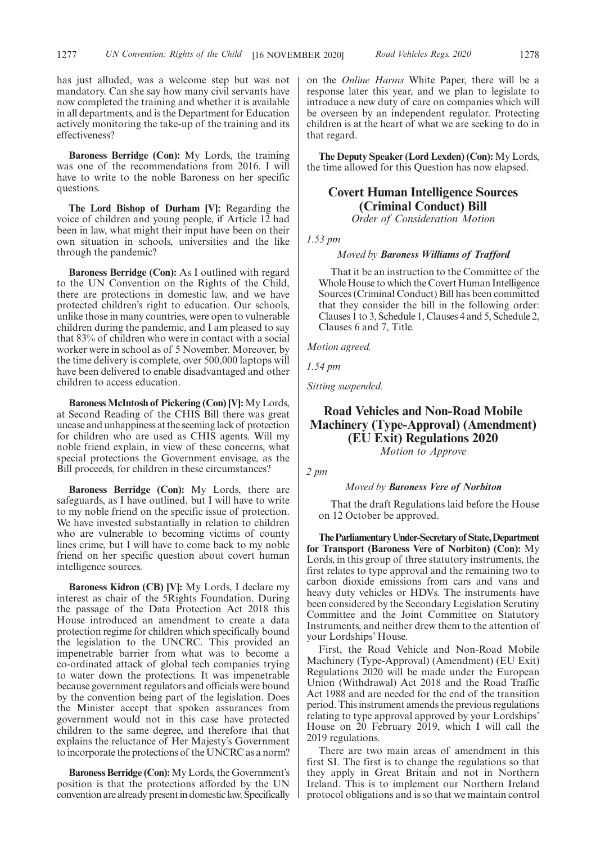has just alluded, was a welcome step but was not mandatory. Can she say how many civil servants have now completed the training and whether it is available in all departments, and is the Department for Education actively monitoring the take-up of the training and its effectiveness?

**Baroness Berridge (Con):** My Lords, the training was one of the recommendations from 2016. I will have to write to the noble Baroness on her specific questions.

**The Lord Bishop of Durham [V]:** Regarding the voice of children and young people, if Article 12 had been in law, what might their input have been on their own situation in schools, universities and the like through the pandemic?

**Baroness Berridge (Con):** As I outlined with regard to the UN Convention on the Rights of the Child, there are protections in domestic law, and we have protected children's right to education. Our schools, unlike those in many countries, were open to vulnerable children during the pandemic, and I am pleased to say that 83% of children who were in contact with a social worker were in school as of 5 November. Moreover, by the time delivery is complete, over 500,000 laptops will have been delivered to enable disadvantaged and other children to access education.

**Baroness McIntosh of Pickering (Con) [V]:** My Lords, at Second Reading of the CHIS Bill there was great unease and unhappiness at the seeming lack of protection for children who are used as CHIS agents. Will my noble friend explain, in view of these concerns, what special protections the Government envisage, as the Bill proceeds, for children in these circumstances?

**Baroness Berridge (Con):** My Lords, there are safeguards, as I have outlined, but I will have to write to my noble friend on the specific issue of protection. We have invested substantially in relation to children who are vulnerable to becoming victims of county lines crime, but I will have to come back to my noble friend on her specific question about covert human intelligence sources.

**Baroness Kidron (CB) [V]:** My Lords, I declare my interest as chair of the 5Rights Foundation. During the passage of the Data Protection Act 2018 this House introduced an amendment to create a data protection regime for children which specifically bound the legislation to the UNCRC. This provided an impenetrable barrier from what was to become a co-ordinated attack of global tech companies trying to water down the protections. It was impenetrable because government regulators and officials were bound by the convention being part of the legislation. Does the Minister accept that spoken assurances from government would not in this case have protected children to the same degree, and therefore that that explains the reluctance of Her Majesty's Government to incorporate the protections of the UNCRC as a norm?

**Baroness Berridge (Con):**My Lords, the Government's position is that the protections afforded by the UN convention are already present in domestic law. Specifically

on the *Online Harms* White Paper, there will be a response later this year, and we plan to legislate to introduce a new duty of care on companies which will be overseen by an independent regulator. Protecting children is at the heart of what we are seeking to do in that regard.

**The Deputy Speaker (Lord Lexden) (Con):** My Lords, the time allowed for this Question has now elapsed.

# **Covert Human Intelligence Sources (Criminal Conduct) Bill**

*Order of Consideration Motion*

*1.53 pm*

#### *Moved by Baroness Williams of Trafford*

That it be an instruction to the Committee of the Whole House to which the Covert Human Intelligence Sources (Criminal Conduct) Bill has been committed that they consider the bill in the following order: Clauses 1 to 3, Schedule 1, Clauses 4 and 5, Schedule 2, Clauses 6 and 7, Title.

*Motion agreed.*

*1.54 pm*

*Sitting suspended.*

# **Road Vehicles and Non-Road Mobile Machinery (Type-Approval) (Amendment) (EU Exit) Regulations 2020**

*Motion to Approve*

*2 pm*

#### *Moved by Baroness Vere of Norbiton*

That the draft Regulations laid before the House on 12 October be approved.

**TheParliamentaryUnder-Secretaryof State,Department for Transport (Baroness Vere of Norbiton) (Con):** My Lords, in this group of three statutory instruments, the first relates to type approval and the remaining two to carbon dioxide emissions from cars and vans and heavy duty vehicles or HDVs. The instruments have been considered by the Secondary Legislation Scrutiny Committee and the Joint Committee on Statutory Instruments, and neither drew them to the attention of your Lordships' House.

First, the Road Vehicle and Non-Road Mobile Machinery (Type-Approval) (Amendment) (EU Exit) Regulations 2020 will be made under the European Union (Withdrawal) Act 2018 and the Road Traffic Act 1988 and are needed for the end of the transition period. This instrument amends the previous regulations relating to type approval approved by your Lordships' House on 20 February 2019, which I will call the 2019 regulations.

There are two main areas of amendment in this first SI. The first is to change the regulations so that they apply in Great Britain and not in Northern Ireland. This is to implement our Northern Ireland protocol obligations and is so that we maintain control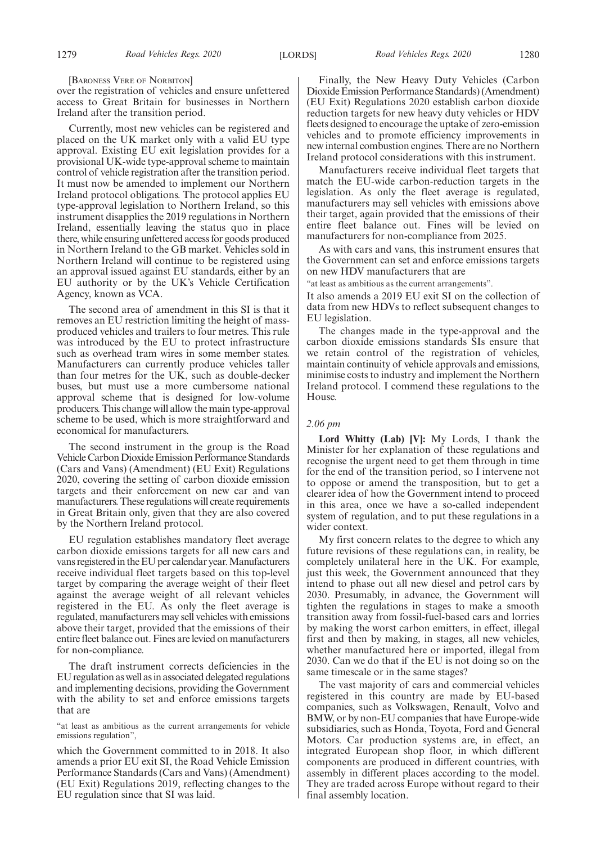[BARONESS VERE OF NORBITON]

over the registration of vehicles and ensure unfettered access to Great Britain for businesses in Northern Ireland after the transition period.

Currently, most new vehicles can be registered and placed on the UK market only with a valid EU type approval. Existing EU exit legislation provides for a provisional UK-wide type-approval scheme to maintain control of vehicle registration after the transition period. It must now be amended to implement our Northern Ireland protocol obligations. The protocol applies EU type-approval legislation to Northern Ireland, so this instrument disapplies the 2019 regulations in Northern Ireland, essentially leaving the status quo in place there, while ensuring unfettered access for goods produced in Northern Ireland to the GB market. Vehicles sold in Northern Ireland will continue to be registered using an approval issued against EU standards, either by an EU authority or by the UK's Vehicle Certification Agency, known as VCA.

The second area of amendment in this SI is that it removes an EU restriction limiting the height of massproduced vehicles and trailers to four metres. This rule was introduced by the EU to protect infrastructure such as overhead tram wires in some member states. Manufacturers can currently produce vehicles taller than four metres for the UK, such as double-decker buses, but must use a more cumbersome national approval scheme that is designed for low-volume producers. This change will allow the main type-approval scheme to be used, which is more straightforward and economical for manufacturers.

The second instrument in the group is the Road Vehicle Carbon Dioxide Emission Performance Standards (Cars and Vans) (Amendment) (EU Exit) Regulations 2020, covering the setting of carbon dioxide emission targets and their enforcement on new car and van manufacturers. These regulations will create requirements in Great Britain only, given that they are also covered by the Northern Ireland protocol.

EU regulation establishes mandatory fleet average carbon dioxide emissions targets for all new cars and vans registered in the EU per calendar year. Manufacturers receive individual fleet targets based on this top-level target by comparing the average weight of their fleet against the average weight of all relevant vehicles registered in the EU. As only the fleet average is regulated, manufacturers may sell vehicles with emissions above their target, provided that the emissions of their entire fleet balance out. Fines are levied on manufacturers for non-compliance.

The draft instrument corrects deficiencies in the EU regulation as well as in associated delegated regulations and implementing decisions, providing the Government with the ability to set and enforce emissions targets that are

"at least as ambitious as the current arrangements for vehicle emissions regulation",

which the Government committed to in 2018. It also amends a prior EU exit SI, the Road Vehicle Emission Performance Standards (Cars and Vans) (Amendment) (EU Exit) Regulations 2019, reflecting changes to the EU regulation since that SI was laid.

Finally, the New Heavy Duty Vehicles (Carbon Dioxide Emission Performance Standards) (Amendment) (EU Exit) Regulations 2020 establish carbon dioxide reduction targets for new heavy duty vehicles or HDV fleets designed to encourage the uptake of zero-emission vehicles and to promote efficiency improvements in new internal combustion engines. There are no Northern Ireland protocol considerations with this instrument.

Manufacturers receive individual fleet targets that match the EU-wide carbon-reduction targets in the legislation. As only the fleet average is regulated, manufacturers may sell vehicles with emissions above their target, again provided that the emissions of their entire fleet balance out. Fines will be levied on manufacturers for non-compliance from 2025.

As with cars and vans, this instrument ensures that the Government can set and enforce emissions targets on new HDV manufacturers that are

"at least as ambitious as the current arrangements".

It also amends a 2019 EU exit SI on the collection of data from new HDVs to reflect subsequent changes to EU legislation.

The changes made in the type-approval and the carbon dioxide emissions standards SIs ensure that we retain control of the registration of vehicles, maintain continuity of vehicle approvals and emissions, minimise costs to industry and implement the Northern Ireland protocol. I commend these regulations to the House.

#### *2.06 pm*

**Lord Whitty (Lab) [V]:** My Lords, I thank the Minister for her explanation of these regulations and recognise the urgent need to get them through in time for the end of the transition period, so I intervene not to oppose or amend the transposition, but to get a clearer idea of how the Government intend to proceed in this area, once we have a so-called independent system of regulation, and to put these regulations in a wider context.

My first concern relates to the degree to which any future revisions of these regulations can, in reality, be completely unilateral here in the UK. For example, just this week, the Government announced that they intend to phase out all new diesel and petrol cars by 2030. Presumably, in advance, the Government will tighten the regulations in stages to make a smooth transition away from fossil-fuel-based cars and lorries by making the worst carbon emitters, in effect, illegal first and then by making, in stages, all new vehicles, whether manufactured here or imported, illegal from 2030. Can we do that if the EU is not doing so on the same timescale or in the same stages?

The vast majority of cars and commercial vehicles registered in this country are made by EU-based companies, such as Volkswagen, Renault, Volvo and BMW, or by non-EU companies that have Europe-wide subsidiaries, such as Honda, Toyota, Ford and General Motors. Car production systems are, in effect, an integrated European shop floor, in which different components are produced in different countries, with assembly in different places according to the model. They are traded across Europe without regard to their final assembly location.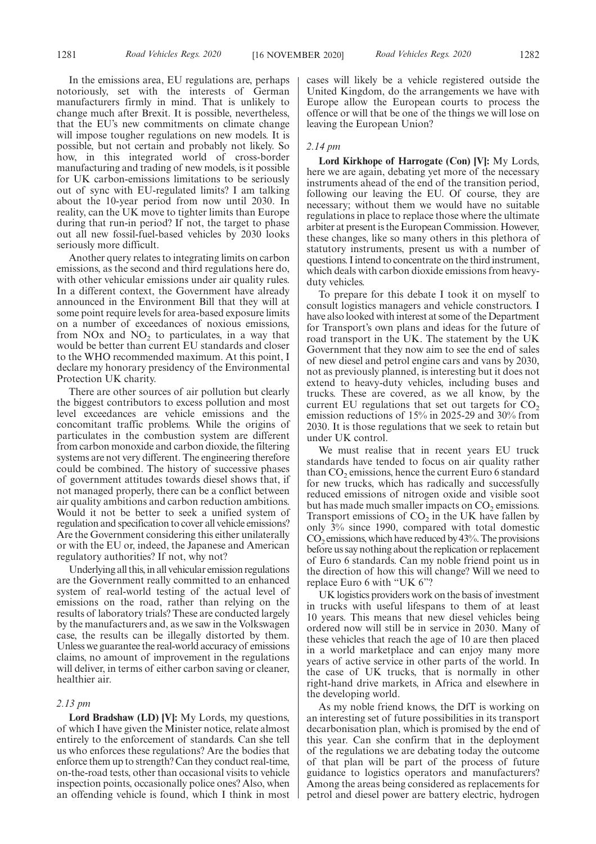In the emissions area, EU regulations are, perhaps notoriously, set with the interests of German manufacturers firmly in mind. That is unlikely to change much after Brexit. It is possible, nevertheless, that the EU's new commitments on climate change will impose tougher regulations on new models. It is possible, but not certain and probably not likely. So how, in this integrated world of cross-border manufacturing and trading of new models, is it possible for UK carbon-emissions limitations to be seriously out of sync with EU-regulated limits? I am talking about the 10-year period from now until 2030. In reality, can the UK move to tighter limits than Europe during that run-in period? If not, the target to phase out all new fossil-fuel-based vehicles by 2030 looks seriously more difficult.

Another query relates to integrating limits on carbon emissions, as the second and third regulations here do, with other vehicular emissions under air quality rules. In a different context, the Government have already announced in the Environment Bill that they will at some point require levels for area-based exposure limits on a number of exceedances of noxious emissions, from NO<sub>x</sub> and NO<sub>2</sub> to particulates, in a way that would be better than current EU standards and closer to the WHO recommended maximum. At this point, I declare my honorary presidency of the Environmental Protection UK charity.

There are other sources of air pollution but clearly the biggest contributors to excess pollution and most level exceedances are vehicle emissions and the concomitant traffic problems. While the origins of particulates in the combustion system are different from carbon monoxide and carbon dioxide, the filtering systems are not very different. The engineering therefore could be combined. The history of successive phases of government attitudes towards diesel shows that, if not managed properly, there can be a conflict between air quality ambitions and carbon reduction ambitions. Would it not be better to seek a unified system of regulation and specification to cover all vehicle emissions? Are the Government considering this either unilaterally or with the EU or, indeed, the Japanese and American regulatory authorities? If not, why not?

Underlying all this, in all vehicular emission regulations are the Government really committed to an enhanced system of real-world testing of the actual level of emissions on the road, rather than relying on the results of laboratory trials? These are conducted largely by the manufacturers and, as we saw in the Volkswagen case, the results can be illegally distorted by them. Unless we guarantee the real-world accuracy of emissions claims, no amount of improvement in the regulations will deliver, in terms of either carbon saving or cleaner, healthier air.

#### *2.13 pm*

**Lord Bradshaw (LD) [V]:** My Lords, my questions, of which I have given the Minister notice, relate almost entirely to the enforcement of standards. Can she tell us who enforces these regulations? Are the bodies that enforce them up to strength? Can they conduct real-time, on-the-road tests, other than occasional visits to vehicle inspection points, occasionally police ones? Also, when an offending vehicle is found, which I think in most cases will likely be a vehicle registered outside the United Kingdom, do the arrangements we have with Europe allow the European courts to process the offence or will that be one of the things we will lose on leaving the European Union?

#### *2.14 pm*

**Lord Kirkhope of Harrogate (Con) [V]:** My Lords, here we are again, debating yet more of the necessary instruments ahead of the end of the transition period, following our leaving the EU. Of course, they are necessary; without them we would have no suitable regulations in place to replace those where the ultimate arbiter at present is the European Commission. However, these changes, like so many others in this plethora of statutory instruments, present us with a number of questions. I intend to concentrate on the third instrument, which deals with carbon dioxide emissions from heavyduty vehicles.

To prepare for this debate I took it on myself to consult logistics managers and vehicle constructors. I have also looked with interest at some of the Department for Transport's own plans and ideas for the future of road transport in the UK. The statement by the UK Government that they now aim to see the end of sales of new diesel and petrol engine cars and vans by 2030, not as previously planned, is interesting but it does not extend to heavy-duty vehicles, including buses and trucks. These are covered, as we all know, by the current EU regulations that set out targets for  $CO$ , emission reductions of 15% in 2025-29 and 30% from 2030. It is those regulations that we seek to retain but under UK control.

We must realise that in recent years EU truck standards have tended to focus on air quality rather than  $\mathrm{CO}_2$  emissions, hence the current Euro 6 standard for new trucks, which has radically and successfully reduced emissions of nitrogen oxide and visible soot but has made much smaller impacts on  $CO<sub>2</sub>$  emissions. Transport emissions of  $CO<sub>2</sub>$  in the UK have fallen by only 3% since 1990, compared with total domestic  $CO<sub>2</sub>$  emissions, which have reduced by 43%. The provisions before us say nothing about the replication or replacement of Euro 6 standards. Can my noble friend point us in the direction of how this will change? Will we need to replace Euro 6 with "UK 6"?

UK logistics providers work on the basis of investment in trucks with useful lifespans to them of at least 10 years. This means that new diesel vehicles being ordered now will still be in service in 2030. Many of these vehicles that reach the age of 10 are then placed in a world marketplace and can enjoy many more years of active service in other parts of the world. In the case of UK trucks, that is normally in other right-hand drive markets, in Africa and elsewhere in the developing world.

As my noble friend knows, the DfT is working on an interesting set of future possibilities in its transport decarbonisation plan, which is promised by the end of this year. Can she confirm that in the deployment of the regulations we are debating today the outcome of that plan will be part of the process of future guidance to logistics operators and manufacturers? Among the areas being considered as replacements for petrol and diesel power are battery electric, hydrogen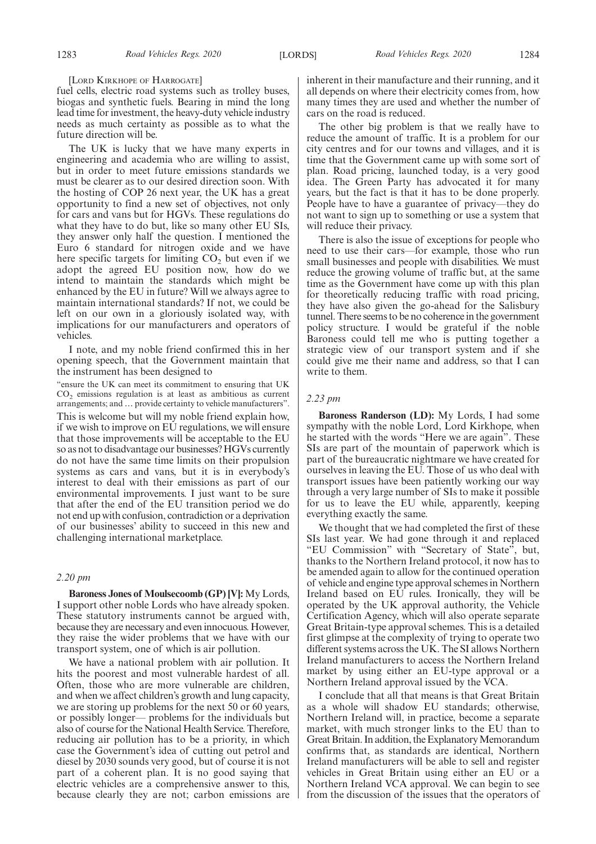[LORD KIRKHOPE OF HARROGATE]

fuel cells, electric road systems such as trolley buses, biogas and synthetic fuels. Bearing in mind the long lead time for investment, the heavy-duty vehicle industry needs as much certainty as possible as to what the future direction will be.

The UK is lucky that we have many experts in engineering and academia who are willing to assist, but in order to meet future emissions standards we must be clearer as to our desired direction soon. With the hosting of COP 26 next year, the UK has a great opportunity to find a new set of objectives, not only for cars and vans but for HGVs. These regulations do what they have to do but, like so many other EU SIs, they answer only half the question. I mentioned the Euro 6 standard for nitrogen oxide and we have here specific targets for limiting  $CO<sub>2</sub>$  but even if we adopt the agreed EU position now, how do we intend to maintain the standards which might be enhanced by the EU in future? Will we always agree to maintain international standards? If not, we could be left on our own in a gloriously isolated way, with implications for our manufacturers and operators of vehicles.

I note, and my noble friend confirmed this in her opening speech, that the Government maintain that the instrument has been designed to

"ensure the UK can meet its commitment to ensuring that UK  $CO<sub>2</sub>$  emissions regulation is at least as ambitious as current arrangements; and … provide certainty to vehicle manufacturers".

This is welcome but will my noble friend explain how, if we wish to improve on EU regulations, we will ensure that those improvements will be acceptable to the EU so as not to disadvantage our businesses? HGVs currently do not have the same time limits on their propulsion systems as cars and vans, but it is in everybody's interest to deal with their emissions as part of our environmental improvements. I just want to be sure that after the end of the EU transition period we do not end up with confusion, contradiction or a deprivation of our businesses' ability to succeed in this new and challenging international marketplace.

#### *2.20 pm*

**Baroness Jones of Moulsecoomb (GP) [V]:** My Lords, I support other noble Lords who have already spoken. These statutory instruments cannot be argued with, because they are necessary and even innocuous. However, they raise the wider problems that we have with our transport system, one of which is air pollution.

We have a national problem with air pollution. It hits the poorest and most vulnerable hardest of all. Often, those who are more vulnerable are children, and when we affect children's growth and lung capacity, we are storing up problems for the next 50 or 60 years, or possibly longer— problems for the individuals but also of course for the National Health Service. Therefore, reducing air pollution has to be a priority, in which case the Government's idea of cutting out petrol and diesel by 2030 sounds very good, but of course it is not part of a coherent plan. It is no good saying that electric vehicles are a comprehensive answer to this, because clearly they are not; carbon emissions are inherent in their manufacture and their running, and it all depends on where their electricity comes from, how many times they are used and whether the number of cars on the road is reduced.

The other big problem is that we really have to reduce the amount of traffic. It is a problem for our city centres and for our towns and villages, and it is time that the Government came up with some sort of plan. Road pricing, launched today, is a very good idea. The Green Party has advocated it for many years, but the fact is that it has to be done properly. People have to have a guarantee of privacy—they do not want to sign up to something or use a system that will reduce their privacy.

There is also the issue of exceptions for people who need to use their cars—for example, those who run small businesses and people with disabilities. We must reduce the growing volume of traffic but, at the same time as the Government have come up with this plan for theoretically reducing traffic with road pricing, they have also given the go-ahead for the Salisbury tunnel. There seems to be no coherence in the government policy structure. I would be grateful if the noble Baroness could tell me who is putting together a strategic view of our transport system and if she could give me their name and address, so that I can write to them.

#### *2.23 pm*

**Baroness Randerson (LD):** My Lords, I had some sympathy with the noble Lord, Lord Kirkhope, when he started with the words "Here we are again". These SIs are part of the mountain of paperwork which is part of the bureaucratic nightmare we have created for ourselves in leaving the EU. Those of us who deal with transport issues have been patiently working our way through a very large number of SIs to make it possible for us to leave the EU while, apparently, keeping everything exactly the same.

We thought that we had completed the first of these SIs last year. We had gone through it and replaced "EU Commission" with "Secretary of State", but, thanks to the Northern Ireland protocol, it now has to be amended again to allow for the continued operation of vehicle and engine type approval schemes in Northern Ireland based on EU rules. Ironically, they will be operated by the UK approval authority, the Vehicle Certification Agency, which will also operate separate Great Britain-type approval schemes. This is a detailed first glimpse at the complexity of trying to operate two different systems across the UK. The SI allows Northern Ireland manufacturers to access the Northern Ireland market by using either an EU-type approval or a Northern Ireland approval issued by the VCA.

I conclude that all that means is that Great Britain as a whole will shadow EU standards; otherwise, Northern Ireland will, in practice, become a separate market, with much stronger links to the EU than to Great Britain. In addition, the Explanatory Memorandum confirms that, as standards are identical, Northern Ireland manufacturers will be able to sell and register vehicles in Great Britain using either an EU or a Northern Ireland VCA approval. We can begin to see from the discussion of the issues that the operators of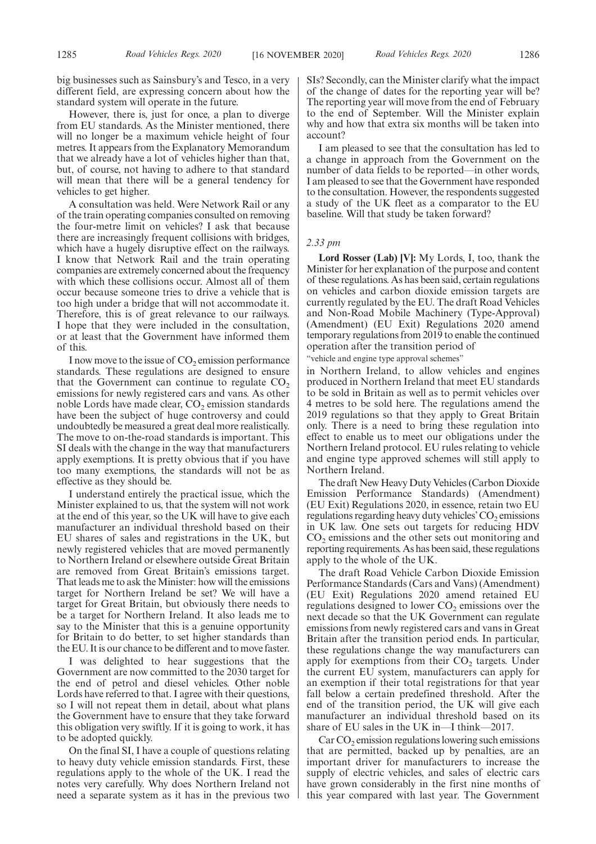big businesses such as Sainsbury's and Tesco, in a very different field, are expressing concern about how the standard system will operate in the future.

However, there is, just for once, a plan to diverge from EU standards. As the Minister mentioned, there will no longer be a maximum vehicle height of four metres. It appears from the Explanatory Memorandum that we already have a lot of vehicles higher than that, but, of course, not having to adhere to that standard will mean that there will be a general tendency for vehicles to get higher.

A consultation was held. Were Network Rail or any of the train operating companies consulted on removing the four-metre limit on vehicles? I ask that because there are increasingly frequent collisions with bridges, which have a hugely disruptive effect on the railways. I know that Network Rail and the train operating companies are extremely concerned about the frequency with which these collisions occur. Almost all of them occur because someone tries to drive a vehicle that is too high under a bridge that will not accommodate it. Therefore, this is of great relevance to our railways. I hope that they were included in the consultation, or at least that the Government have informed them of this.

I now move to the issue of  $CO<sub>2</sub>$  emission performance standards. These regulations are designed to ensure that the Government can continue to regulate  $CO<sub>2</sub>$ emissions for newly registered cars and vans. As other noble Lords have made clear,  $CO_2$  emission standards have been the subject of huge controversy and could undoubtedly be measured a great deal more realistically. The move to on-the-road standards is important. This SI deals with the change in the way that manufacturers apply exemptions. It is pretty obvious that if you have too many exemptions, the standards will not be as effective as they should be.

I understand entirely the practical issue, which the Minister explained to us, that the system will not work at the end of this year, so the UK will have to give each manufacturer an individual threshold based on their EU shares of sales and registrations in the UK, but newly registered vehicles that are moved permanently to Northern Ireland or elsewhere outside Great Britain are removed from Great Britain's emissions target. That leads me to ask the Minister: how will the emissions target for Northern Ireland be set? We will have a target for Great Britain, but obviously there needs to be a target for Northern Ireland. It also leads me to say to the Minister that this is a genuine opportunity for Britain to do better, to set higher standards than the EU. It is our chance to be different and to move faster.

I was delighted to hear suggestions that the Government are now committed to the 2030 target for the end of petrol and diesel vehicles. Other noble Lords have referred to that. I agree with their questions, so I will not repeat them in detail, about what plans the Government have to ensure that they take forward this obligation very swiftly. If it is going to work, it has to be adopted quickly.

On the final SI, I have a couple of questions relating to heavy duty vehicle emission standards. First, these regulations apply to the whole of the UK. I read the notes very carefully. Why does Northern Ireland not need a separate system as it has in the previous two SIs? Secondly, can the Minister clarify what the impact of the change of dates for the reporting year will be? The reporting year will move from the end of February to the end of September. Will the Minister explain why and how that extra six months will be taken into account?

I am pleased to see that the consultation has led to a change in approach from the Government on the number of data fields to be reported—in other words, I am pleased to see that the Government have responded to the consultation. However, the respondents suggested a study of the UK fleet as a comparator to the EU baseline. Will that study be taken forward?

#### *2.33 pm*

**Lord Rosser (Lab) [V]:** My Lords, I, too, thank the Minister for her explanation of the purpose and content of these regulations. As has been said, certain regulations on vehicles and carbon dioxide emission targets are currently regulated by the EU. The draft Road Vehicles and Non-Road Mobile Machinery (Type-Approval) (Amendment) (EU Exit) Regulations 2020 amend temporary regulations from 2019 to enable the continued operation after the transition period of

"vehicle and engine type approval schemes"

in Northern Ireland, to allow vehicles and engines produced in Northern Ireland that meet EU standards to be sold in Britain as well as to permit vehicles over 4 metres to be sold here. The regulations amend the 2019 regulations so that they apply to Great Britain only. There is a need to bring these regulation into effect to enable us to meet our obligations under the Northern Ireland protocol. EU rules relating to vehicle and engine type approved schemes will still apply to Northern Ireland.

The draft New Heavy Duty Vehicles (Carbon Dioxide Emission Performance Standards) (Amendment) (EU Exit) Regulations 2020, in essence, retain two EU regulations regarding heavy duty vehicles'  $CO_2$  emissions in UK law. One sets out targets for reducing HDV  $CO<sub>2</sub>$  emissions and the other sets out monitoring and reporting requirements. As has been said, these regulations apply to the whole of the UK.

The draft Road Vehicle Carbon Dioxide Emission Performance Standards (Cars and Vans) (Amendment) (EU Exit) Regulations 2020 amend retained EU regulations designed to lower  $CO<sub>2</sub>$  emissions over the next decade so that the UK Government can regulate emissions from newly registered cars and vans in Great Britain after the transition period ends. In particular, these regulations change the way manufacturers can apply for exemptions from their  $CO<sub>2</sub>$  targets. Under the current EU system, manufacturers can apply for an exemption if their total registrations for that year fall below a certain predefined threshold. After the end of the transition period, the UK will give each manufacturer an individual threshold based on its share of EU sales in the UK in—I think—2017.

 $CarCO<sub>2</sub> emission regulations lowering such emissions$ that are permitted, backed up by penalties, are an important driver for manufacturers to increase the supply of electric vehicles, and sales of electric cars have grown considerably in the first nine months of this year compared with last year. The Government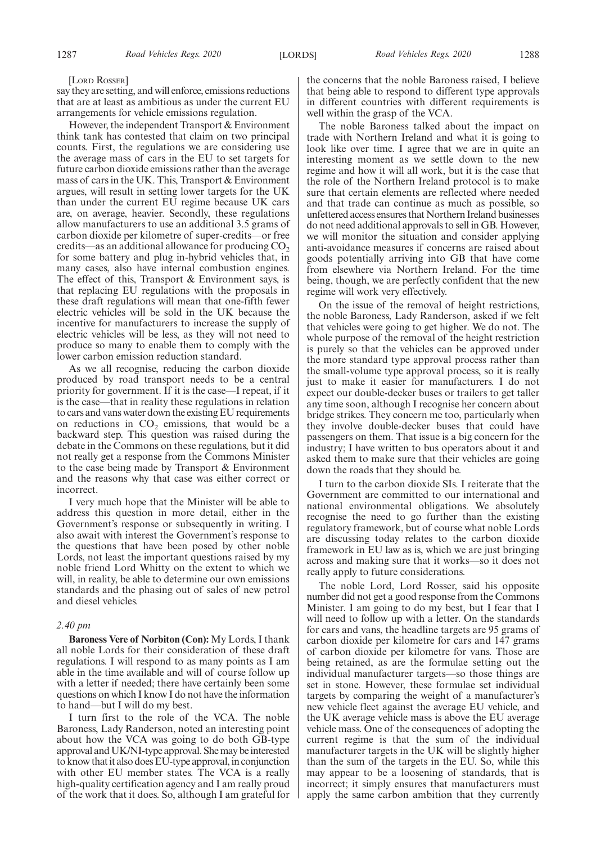#### [LORD ROSSER]

say they are setting, and will enforce, emissions reductions that are at least as ambitious as under the current EU arrangements for vehicle emissions regulation.

However, the independent Transport & Environment think tank has contested that claim on two principal counts. First, the regulations we are considering use the average mass of cars in the EU to set targets for future carbon dioxide emissions rather than the average mass of cars in the UK. This, Transport & Environment argues, will result in setting lower targets for the UK than under the current EU regime because UK cars are, on average, heavier. Secondly, these regulations allow manufacturers to use an additional 3.5 grams of carbon dioxide per kilometre of super-credits—or free credits—as an additional allowance for producing  $CO<sub>2</sub>$ for some battery and plug in-hybrid vehicles that, in many cases, also have internal combustion engines. The effect of this, Transport & Environment says, is that replacing EU regulations with the proposals in these draft regulations will mean that one-fifth fewer electric vehicles will be sold in the UK because the incentive for manufacturers to increase the supply of electric vehicles will be less, as they will not need to produce so many to enable them to comply with the lower carbon emission reduction standard.

As we all recognise, reducing the carbon dioxide produced by road transport needs to be a central priority for government. If it is the case—I repeat, if it is the case—that in reality these regulations in relation to cars and vans water down the existing EU requirements on reductions in  $CO<sub>2</sub>$  emissions, that would be a backward step. This question was raised during the debate in the Commons on these regulations, but it did not really get a response from the Commons Minister to the case being made by Transport & Environment and the reasons why that case was either correct or incorrect.

I very much hope that the Minister will be able to address this question in more detail, either in the Government's response or subsequently in writing. I also await with interest the Government's response to the questions that have been posed by other noble Lords, not least the important questions raised by my noble friend Lord Whitty on the extent to which we will, in reality, be able to determine our own emissions standards and the phasing out of sales of new petrol and diesel vehicles.

#### *2.40 pm*

**Baroness Vere of Norbiton (Con):** My Lords, I thank all noble Lords for their consideration of these draft regulations. I will respond to as many points as I am able in the time available and will of course follow up with a letter if needed; there have certainly been some questions on which I know I do not have the information to hand—but I will do my best.

I turn first to the role of the VCA. The noble Baroness, Lady Randerson, noted an interesting point about how the VCA was going to do both GB-type approval and UK/NI-type approval. She may be interested to know that it also does EU-type approval, in conjunction with other EU member states. The VCA is a really high-quality certification agency and I am really proud of the work that it does. So, although I am grateful for the concerns that the noble Baroness raised, I believe that being able to respond to different type approvals in different countries with different requirements is well within the grasp of the VCA.

The noble Baroness talked about the impact on trade with Northern Ireland and what it is going to look like over time. I agree that we are in quite an interesting moment as we settle down to the new regime and how it will all work, but it is the case that the role of the Northern Ireland protocol is to make sure that certain elements are reflected where needed and that trade can continue as much as possible, so unfettered access ensures that Northern Ireland businesses do not need additional approvals to sell in GB. However, we will monitor the situation and consider applying anti-avoidance measures if concerns are raised about goods potentially arriving into GB that have come from elsewhere via Northern Ireland. For the time being, though, we are perfectly confident that the new regime will work very effectively.

On the issue of the removal of height restrictions, the noble Baroness, Lady Randerson, asked if we felt that vehicles were going to get higher. We do not. The whole purpose of the removal of the height restriction is purely so that the vehicles can be approved under the more standard type approval process rather than the small-volume type approval process, so it is really just to make it easier for manufacturers. I do not expect our double-decker buses or trailers to get taller any time soon, although I recognise her concern about bridge strikes. They concern me too, particularly when they involve double-decker buses that could have passengers on them. That issue is a big concern for the industry; I have written to bus operators about it and asked them to make sure that their vehicles are going down the roads that they should be.

I turn to the carbon dioxide SIs. I reiterate that the Government are committed to our international and national environmental obligations. We absolutely recognise the need to go further than the existing regulatory framework, but of course what noble Lords are discussing today relates to the carbon dioxide framework in EU law as is, which we are just bringing across and making sure that it works—so it does not really apply to future considerations.

The noble Lord, Lord Rosser, said his opposite number did not get a good response from the Commons Minister. I am going to do my best, but I fear that I will need to follow up with a letter. On the standards for cars and vans, the headline targets are 95 grams of carbon dioxide per kilometre for cars and 147 grams of carbon dioxide per kilometre for vans. Those are being retained, as are the formulae setting out the individual manufacturer targets—so those things are set in stone. However, these formulae set individual targets by comparing the weight of a manufacturer's new vehicle fleet against the average EU vehicle, and the UK average vehicle mass is above the EU average vehicle mass. One of the consequences of adopting the current regime is that the sum of the individual manufacturer targets in the UK will be slightly higher than the sum of the targets in the EU. So, while this may appear to be a loosening of standards, that is incorrect; it simply ensures that manufacturers must apply the same carbon ambition that they currently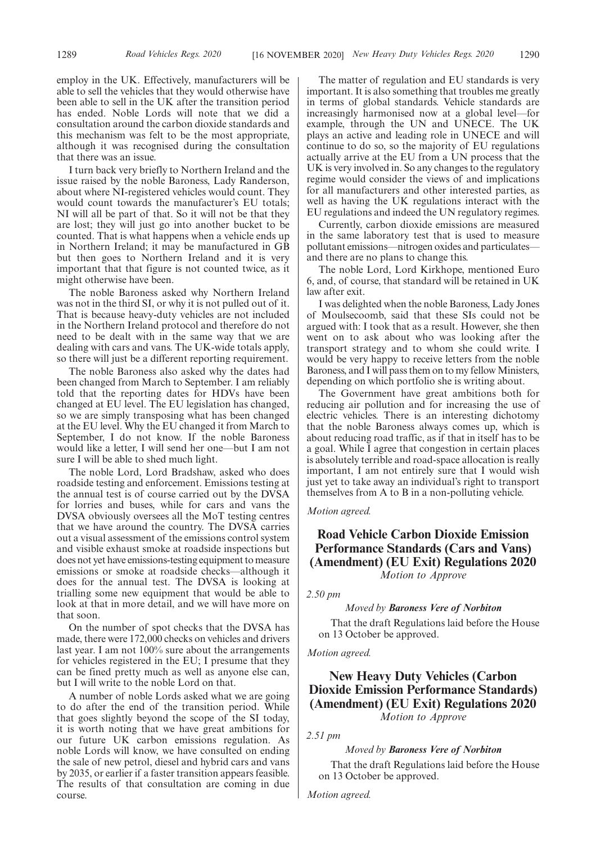employ in the UK. Effectively, manufacturers will be able to sell the vehicles that they would otherwise have been able to sell in the UK after the transition period has ended. Noble Lords will note that we did a consultation around the carbon dioxide standards and this mechanism was felt to be the most appropriate, although it was recognised during the consultation that there was an issue.

I turn back very briefly to Northern Ireland and the issue raised by the noble Baroness, Lady Randerson, about where NI-registered vehicles would count. They would count towards the manufacturer's EU totals; NI will all be part of that. So it will not be that they are lost; they will just go into another bucket to be counted. That is what happens when a vehicle ends up in Northern Ireland; it may be manufactured in GB but then goes to Northern Ireland and it is very important that that figure is not counted twice, as it might otherwise have been.

The noble Baroness asked why Northern Ireland was not in the third SI, or why it is not pulled out of it. That is because heavy-duty vehicles are not included in the Northern Ireland protocol and therefore do not need to be dealt with in the same way that we are dealing with cars and vans. The UK-wide totals apply, so there will just be a different reporting requirement.

The noble Baroness also asked why the dates had been changed from March to September. I am reliably told that the reporting dates for HDVs have been changed at EU level. The EU legislation has changed, so we are simply transposing what has been changed at the EU level. Why the EU changed it from March to September, I do not know. If the noble Baroness would like a letter, I will send her one—but I am not sure I will be able to shed much light.

The noble Lord, Lord Bradshaw, asked who does roadside testing and enforcement. Emissions testing at the annual test is of course carried out by the DVSA for lorries and buses, while for cars and vans the DVSA obviously oversees all the MoT testing centres that we have around the country. The DVSA carries out a visual assessment of the emissions control system and visible exhaust smoke at roadside inspections but does not yet have emissions-testing equipment to measure emissions or smoke at roadside checks—although it does for the annual test. The DVSA is looking at trialling some new equipment that would be able to look at that in more detail, and we will have more on that soon.

On the number of spot checks that the DVSA has made, there were 172,000 checks on vehicles and drivers last year. I am not 100% sure about the arrangements for vehicles registered in the EU; I presume that they can be fined pretty much as well as anyone else can, but I will write to the noble Lord on that.

A number of noble Lords asked what we are going to do after the end of the transition period. While that goes slightly beyond the scope of the SI today, it is worth noting that we have great ambitions for our future UK carbon emissions regulation. As noble Lords will know, we have consulted on ending the sale of new petrol, diesel and hybrid cars and vans by 2035, or earlier if a faster transition appears feasible. The results of that consultation are coming in due course.

The matter of regulation and EU standards is very important. It is also something that troubles me greatly in terms of global standards. Vehicle standards are increasingly harmonised now at a global level—for example, through the UN and UNECE. The UK plays an active and leading role in UNECE and will continue to do so, so the majority of EU regulations actually arrive at the EU from a UN process that the UK is very involved in. So any changes to the regulatory regime would consider the views of and implications for all manufacturers and other interested parties, as well as having the UK regulations interact with the EU regulations and indeed the UN regulatory regimes.

Currently, carbon dioxide emissions are measured in the same laboratory test that is used to measure pollutant emissions—nitrogen oxides and particulates and there are no plans to change this.

The noble Lord, Lord Kirkhope, mentioned Euro 6, and, of course, that standard will be retained in UK law after exit.

I was delighted when the noble Baroness, Lady Jones of Moulsecoomb, said that these SIs could not be argued with: I took that as a result. However, she then went on to ask about who was looking after the transport strategy and to whom she could write. I would be very happy to receive letters from the noble Baroness, and I will pass them on to my fellow Ministers, depending on which portfolio she is writing about.

The Government have great ambitions both for reducing air pollution and for increasing the use of electric vehicles. There is an interesting dichotomy that the noble Baroness always comes up, which is about reducing road traffic, as if that in itself has to be a goal. While I agree that congestion in certain places is absolutely terrible and road-space allocation is really important, I am not entirely sure that I would wish just yet to take away an individual's right to transport themselves from A to B in a non-polluting vehicle.

*Motion agreed.*

# **Road Vehicle Carbon Dioxide Emission Performance Standards (Cars and Vans) (Amendment) (EU Exit) Regulations 2020**

*Motion to Approve*

#### *2.50 pm*

#### *Moved by Baroness Vere of Norbiton*

That the draft Regulations laid before the House on 13 October be approved.

#### *Motion agreed.*

# **New Heavy Duty Vehicles (Carbon Dioxide Emission Performance Standards) (Amendment) (EU Exit) Regulations 2020** *Motion to Approve*

*2.51 pm*

#### *Moved by Baroness Vere of Norbiton*

That the draft Regulations laid before the House on 13 October be approved.

*Motion agreed.*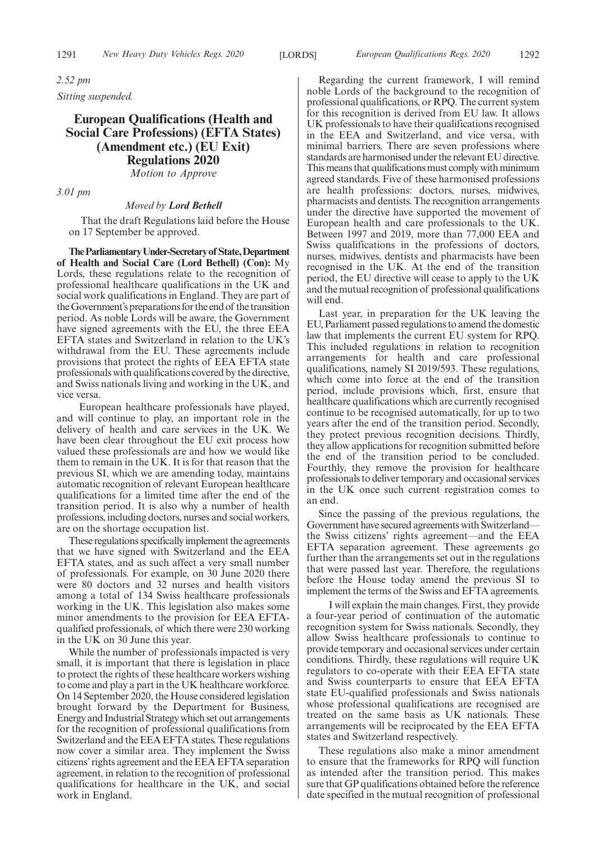*2.52 pm Sitting suspended.*

# **European Qualifications (Health and Social Care Professions) (EFTA States) (Amendment etc.) (EU Exit) Regulations 2020** *Motion to Approve*

*3.01 pm*

#### *Moved by Lord Bethell*

That the draft Regulations laid before the House on 17 September be approved.

**TheParliamentaryUnder-Secretaryof State,Department of Health and Social Care (Lord Bethell) (Con):** My Lords, these regulations relate to the recognition of professional healthcare qualifications in the UK and social work qualifications in England. They are part of the Government's preparations for the end of the transition period. As noble Lords will be aware, the Government have signed agreements with the EU, the three EEA EFTA states and Switzerland in relation to the UK's withdrawal from the EU. These agreements include provisions that protect the rights of EEA EFTA state professionals with qualifications covered by the directive, and Swiss nationals living and working in the UK, and vice versa.

European healthcare professionals have played, and will continue to play, an important role in the delivery of health and care services in the UK. We have been clear throughout the EU exit process how valued these professionals are and how we would like them to remain in the UK. It is for that reason that the previous SI, which we are amending today, maintains automatic recognition of relevant European healthcare qualifications for a limited time after the end of the transition period. It is also why a number of health professions, including doctors, nurses and social workers, are on the shortage occupation list.

These regulations specifically implement the agreements that we have signed with Switzerland and the EEA EFTA states, and as such affect a very small number of professionals. For example, on 30 June 2020 there were 80 doctors and 32 nurses and health visitors among a total of 134 Swiss healthcare professionals working in the UK. This legislation also makes some minor amendments to the provision for EEA EFTAqualified professionals, of which there were 230 working in the UK on 30 June this year.

While the number of professionals impacted is very small, it is important that there is legislation in place to protect the rights of these healthcare workers wishing to come and play a part in the UK healthcare workforce. On 14 September 2020, the House considered legislation brought forward by the Department for Business, Energy and Industrial Strategy which set out arrangements for the recognition of professional qualifications from Switzerland and the EEA EFTA states. These regulations now cover a similar area. They implement the Swiss citizens'rights agreement and the EEA EFTA separation agreement, in relation to the recognition of professional qualifications for healthcare in the UK, and social work in England.

Regarding the current framework, I will remind noble Lords of the background to the recognition of professional qualifications, or RPQ. The current system for this recognition is derived from EU law. It allows UK professionals to have their qualifications recognised in the EEA and Switzerland, and vice versa, with minimal barriers. There are seven professions where standards are harmonised under the relevant EU directive. This means that qualifications must comply with minimum agreed standards. Five of these harmonised professions are health professions: doctors, nurses, midwives, pharmacists and dentists. The recognition arrangements under the directive have supported the movement of European health and care professionals to the UK. Between 1997 and 2019, more than 77,000 EEA and Swiss qualifications in the professions of doctors, nurses, midwives, dentists and pharmacists have been recognised in the UK. At the end of the transition period, the EU directive will cease to apply to the UK and the mutual recognition of professional qualifications will end.

Last year, in preparation for the UK leaving the EU, Parliament passed regulations to amend the domestic law that implements the current EU system for RPQ. This included regulations in relation to recognition arrangements for health and care professional qualifications, namely SI 2019/593. These regulations, which come into force at the end of the transition period, include provisions which, first, ensure that healthcare qualifications which are currently recognised continue to be recognised automatically, for up to two years after the end of the transition period. Secondly, they protect previous recognition decisions. Thirdly, they allow applications for recognition submitted before the end of the transition period to be concluded. Fourthly, they remove the provision for healthcare professionals to deliver temporary and occasional services in the UK once such current registration comes to an end.

Since the passing of the previous regulations, the Government have secured agreements with Switzerland the Swiss citizens' rights agreement—and the EEA EFTA separation agreement. These agreements go further than the arrangements set out in the regulations that were passed last year. Therefore, the regulations before the House today amend the previous SI to implement the terms of the Swiss and EFTA agreements.

I will explain the main changes. First, they provide a four-year period of continuation of the automatic recognition system for Swiss nationals. Secondly, they allow Swiss healthcare professionals to continue to provide temporary and occasional services under certain conditions. Thirdly, these regulations will require UK regulators to co-operate with their EEA EFTA state and Swiss counterparts to ensure that EEA EFTA state EU-qualified professionals and Swiss nationals whose professional qualifications are recognised are treated on the same basis as UK nationals. These arrangements will be reciprocated by the EEA EFTA states and Switzerland respectively.

These regulations also make a minor amendment to ensure that the frameworks for RPQ will function as intended after the transition period. This makes sure that GP qualifications obtained before the reference date specified in the mutual recognition of professional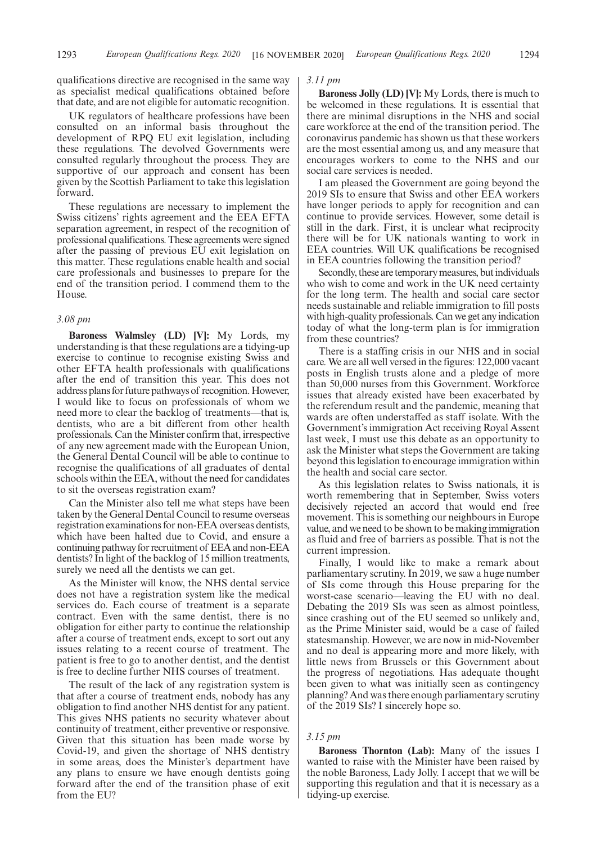qualifications directive are recognised in the same way as specialist medical qualifications obtained before that date, and are not eligible for automatic recognition.

UK regulators of healthcare professions have been consulted on an informal basis throughout the development of RPQ EU exit legislation, including these regulations. The devolved Governments were consulted regularly throughout the process. They are supportive of our approach and consent has been given by the Scottish Parliament to take this legislation forward.

These regulations are necessary to implement the Swiss citizens' rights agreement and the EEA EFTA separation agreement, in respect of the recognition of professional qualifications. These agreements were signed after the passing of previous EU exit legislation on this matter. These regulations enable health and social care professionals and businesses to prepare for the end of the transition period. I commend them to the House.

#### *3.08 pm*

**Baroness Walmsley (LD) [V]:** My Lords, my understanding is that these regulations are a tidying-up exercise to continue to recognise existing Swiss and other EFTA health professionals with qualifications after the end of transition this year. This does not address plans for future pathways of recognition. However, I would like to focus on professionals of whom we need more to clear the backlog of treatments—that is, dentists, who are a bit different from other health professionals. Can the Minister confirm that, irrespective of any new agreement made with the European Union, the General Dental Council will be able to continue to recognise the qualifications of all graduates of dental schools within the EEA, without the need for candidates to sit the overseas registration exam?

Can the Minister also tell me what steps have been taken by the General Dental Council to resume overseas registration examinations for non-EEA overseas dentists, which have been halted due to Covid, and ensure a continuing pathway for recruitment of EEA and non-EEA dentists? In light of the backlog of 15 million treatments, surely we need all the dentists we can get.

As the Minister will know, the NHS dental service does not have a registration system like the medical services do. Each course of treatment is a separate contract. Even with the same dentist, there is no obligation for either party to continue the relationship after a course of treatment ends, except to sort out any issues relating to a recent course of treatment. The patient is free to go to another dentist, and the dentist is free to decline further NHS courses of treatment.

The result of the lack of any registration system is that after a course of treatment ends, nobody has any obligation to find another NHS dentist for any patient. This gives NHS patients no security whatever about continuity of treatment, either preventive or responsive. Given that this situation has been made worse by Covid-19, and given the shortage of NHS dentistry in some areas, does the Minister's department have any plans to ensure we have enough dentists going forward after the end of the transition phase of exit from the EU?

#### *3.11 pm*

**Baroness Jolly (LD) [V]:** My Lords, there is much to be welcomed in these regulations. It is essential that there are minimal disruptions in the NHS and social care workforce at the end of the transition period. The coronavirus pandemic has shown us that these workers are the most essential among us, and any measure that encourages workers to come to the NHS and our social care services is needed.

I am pleased the Government are going beyond the 2019 SIs to ensure that Swiss and other EEA workers have longer periods to apply for recognition and can continue to provide services. However, some detail is still in the dark. First, it is unclear what reciprocity there will be for UK nationals wanting to work in EEA countries. Will UK qualifications be recognised in EEA countries following the transition period?

Secondly, these are temporary measures, but individuals who wish to come and work in the UK need certainty for the long term. The health and social care sector needs sustainable and reliable immigration to fill posts with high-quality professionals. Can we get any indication today of what the long-term plan is for immigration from these countries?

There is a staffing crisis in our NHS and in social care. We are all well versed in the figures: 122,000 vacant posts in English trusts alone and a pledge of more than 50,000 nurses from this Government. Workforce issues that already existed have been exacerbated by the referendum result and the pandemic, meaning that wards are often understaffed as staff isolate. With the Government's immigration Act receiving Royal Assent last week, I must use this debate as an opportunity to ask the Minister what steps the Government are taking beyond this legislation to encourage immigration within the health and social care sector.

As this legislation relates to Swiss nationals, it is worth remembering that in September, Swiss voters decisively rejected an accord that would end free movement. This is something our neighbours in Europe value, and we need to be shown to be making immigration as fluid and free of barriers as possible. That is not the current impression.

Finally, I would like to make a remark about parliamentary scrutiny. In 2019, we saw a huge number of SIs come through this House preparing for the worst-case scenario—leaving the EU with no deal. Debating the 2019 SIs was seen as almost pointless, since crashing out of the EU seemed so unlikely and, as the Prime Minister said, would be a case of failed statesmanship. However, we are now in mid-November and no deal is appearing more and more likely, with little news from Brussels or this Government about the progress of negotiations. Has adequate thought been given to what was initially seen as contingency planning? And was there enough parliamentary scrutiny of the 2019 SIs? I sincerely hope so.

#### *3.15 pm*

**Baroness Thornton (Lab):** Many of the issues I wanted to raise with the Minister have been raised by the noble Baroness, Lady Jolly. I accept that we will be supporting this regulation and that it is necessary as a tidying-up exercise.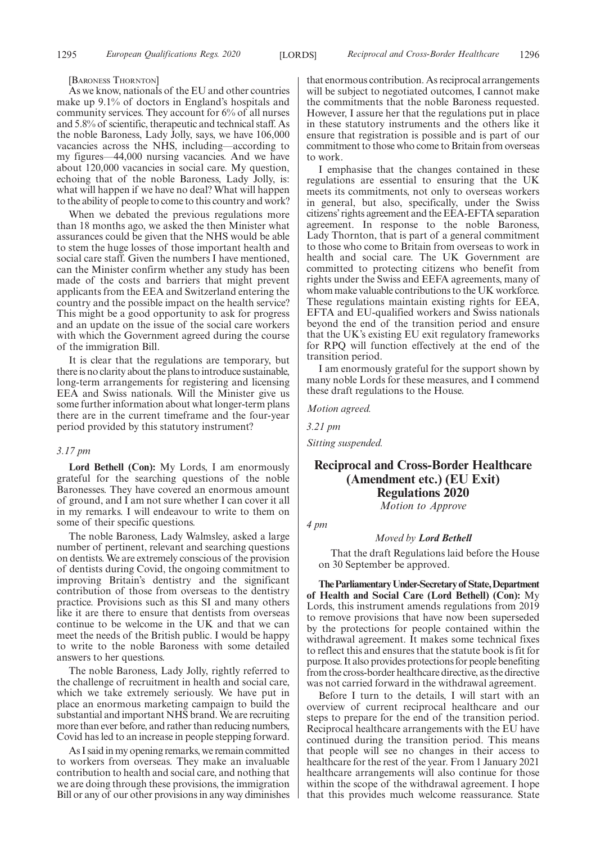[BARONESS THORNTON]

As we know, nationals of the EU and other countries make up 9.1% of doctors in England's hospitals and community services. They account for 6% of all nurses and 5.8% of scientific, therapeutic and technical staff. As the noble Baroness, Lady Jolly, says, we have 106,000 vacancies across the NHS, including—according to my figures—44,000 nursing vacancies. And we have about 120,000 vacancies in social care. My question, echoing that of the noble Baroness, Lady Jolly, is: what will happen if we have no deal? What will happen to the ability of people to come to this country and work?

When we debated the previous regulations more than 18 months ago, we asked the then Minister what assurances could be given that the NHS would be able to stem the huge losses of those important health and social care staff. Given the numbers I have mentioned, can the Minister confirm whether any study has been made of the costs and barriers that might prevent applicants from the EEA and Switzerland entering the country and the possible impact on the health service? This might be a good opportunity to ask for progress and an update on the issue of the social care workers with which the Government agreed during the course of the immigration Bill.

It is clear that the regulations are temporary, but there is no clarity about the plans to introduce sustainable, long-term arrangements for registering and licensing EEA and Swiss nationals. Will the Minister give us some further information about what longer-term plans there are in the current timeframe and the four-year period provided by this statutory instrument?

#### *3.17 pm*

**Lord Bethell (Con):** My Lords, I am enormously grateful for the searching questions of the noble Baronesses. They have covered an enormous amount of ground, and I am not sure whether I can cover it all in my remarks. I will endeavour to write to them on some of their specific questions.

The noble Baroness, Lady Walmsley, asked a large number of pertinent, relevant and searching questions on dentists. We are extremely conscious of the provision of dentists during Covid, the ongoing commitment to improving Britain's dentistry and the significant contribution of those from overseas to the dentistry practice. Provisions such as this SI and many others like it are there to ensure that dentists from overseas continue to be welcome in the UK and that we can meet the needs of the British public. I would be happy to write to the noble Baroness with some detailed answers to her questions.

The noble Baroness, Lady Jolly, rightly referred to the challenge of recruitment in health and social care, which we take extremely seriously. We have put in place an enormous marketing campaign to build the substantial and important NHS brand. We are recruiting more than ever before, and rather than reducing numbers, Covid has led to an increase in people stepping forward.

As I said in my opening remarks, we remain committed to workers from overseas. They make an invaluable contribution to health and social care, and nothing that we are doing through these provisions, the immigration Bill or any of our other provisions in any way diminishes that enormous contribution. As reciprocal arrangements will be subject to negotiated outcomes, I cannot make the commitments that the noble Baroness requested. However, I assure her that the regulations put in place in these statutory instruments and the others like it ensure that registration is possible and is part of our commitment to those who come to Britain from overseas to work.

I emphasise that the changes contained in these regulations are essential to ensuring that the UK meets its commitments, not only to overseas workers in general, but also, specifically, under the Swiss citizens'rights agreement and the EEA-EFTA separation agreement. In response to the noble Baroness, Lady Thornton, that is part of a general commitment to those who come to Britain from overseas to work in health and social care. The UK Government are committed to protecting citizens who benefit from rights under the Swiss and EEFA agreements, many of whom make valuable contributions to the UK workforce. These regulations maintain existing rights for EEA, EFTA and EU-qualified workers and Swiss nationals beyond the end of the transition period and ensure that the UK's existing EU exit regulatory frameworks for RPQ will function effectively at the end of the transition period.

I am enormously grateful for the support shown by many noble Lords for these measures, and I commend these draft regulations to the House.

*Motion agreed.*

*3.21 pm*

*Sitting suspended.*

# **Reciprocal and Cross-Border Healthcare (Amendment etc.) (EU Exit) Regulations 2020**

*Motion to Approve*

# *4 pm*

#### *Moved by Lord Bethell*

That the draft Regulations laid before the House on 30 September be approved.

**TheParliamentaryUnder-Secretaryof State,Department of Health and Social Care (Lord Bethell) (Con):** My Lords, this instrument amends regulations from 2019 to remove provisions that have now been superseded by the protections for people contained within the withdrawal agreement. It makes some technical fixes to reflect this and ensures that the statute book is fit for purpose. It also provides protections for people benefiting from the cross-border healthcare directive, as the directive was not carried forward in the withdrawal agreement.

Before I turn to the details, I will start with an overview of current reciprocal healthcare and our steps to prepare for the end of the transition period. Reciprocal healthcare arrangements with the EU have continued during the transition period. This means that people will see no changes in their access to healthcare for the rest of the year. From 1 January 2021 healthcare arrangements will also continue for those within the scope of the withdrawal agreement. I hope that this provides much welcome reassurance. State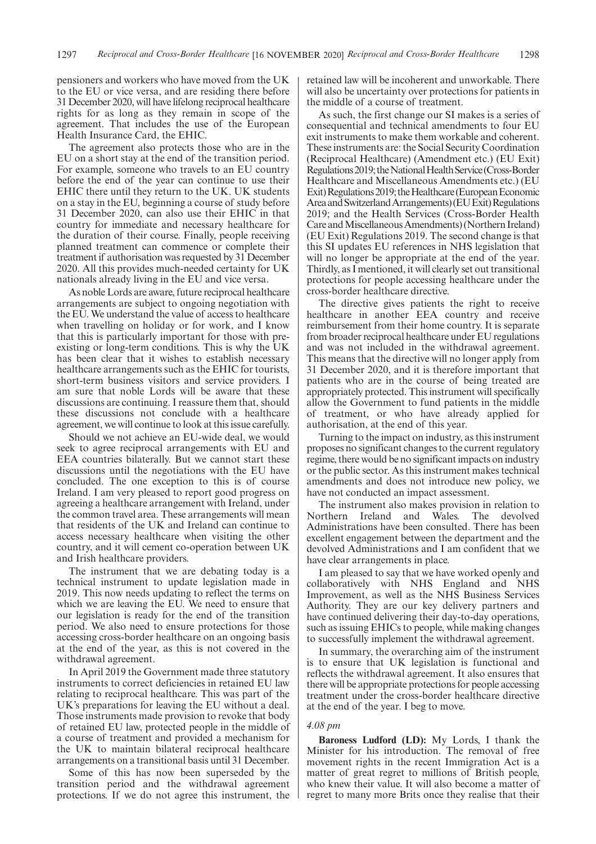pensioners and workers who have moved from the UK to the EU or vice versa, and are residing there before 31 December 2020, will have lifelong reciprocal healthcare rights for as long as they remain in scope of the agreement. That includes the use of the European Health Insurance Card, the EHIC.

The agreement also protects those who are in the EU on a short stay at the end of the transition period. For example, someone who travels to an EU country before the end of the year can continue to use their EHIC there until they return to the UK. UK students on a stay in the EU, beginning a course of study before 31 December 2020, can also use their EHIC in that country for immediate and necessary healthcare for the duration of their course. Finally, people receiving planned treatment can commence or complete their treatment if authorisation was requested by 31 December 2020. All this provides much-needed certainty for UK nationals already living in the EU and vice versa.

As noble Lords are aware, future reciprocal healthcare arrangements are subject to ongoing negotiation with the EU. We understand the value of access to healthcare when travelling on holiday or for work, and I know that this is particularly important for those with preexisting or long-term conditions. This is why the UK has been clear that it wishes to establish necessary healthcare arrangements such as the EHIC for tourists, short-term business visitors and service providers. I am sure that noble Lords will be aware that these discussions are continuing. I reassure them that, should these discussions not conclude with a healthcare agreement, we will continue to look at this issue carefully.

Should we not achieve an EU-wide deal, we would seek to agree reciprocal arrangements with EU and EEA countries bilaterally. But we cannot start these discussions until the negotiations with the EU have concluded. The one exception to this is of course Ireland. I am very pleased to report good progress on agreeing a healthcare arrangement with Ireland, under the common travel area. These arrangements will mean that residents of the UK and Ireland can continue to access necessary healthcare when visiting the other country, and it will cement co-operation between UK and Irish healthcare providers.

The instrument that we are debating today is a technical instrument to update legislation made in 2019. This now needs updating to reflect the terms on which we are leaving the EU. We need to ensure that our legislation is ready for the end of the transition period. We also need to ensure protections for those accessing cross-border healthcare on an ongoing basis at the end of the year, as this is not covered in the withdrawal agreement.

In April 2019 the Government made three statutory instruments to correct deficiencies in retained EU law relating to reciprocal healthcare. This was part of the UK's preparations for leaving the EU without a deal. Those instruments made provision to revoke that body of retained EU law, protected people in the middle of a course of treatment and provided a mechanism for the UK to maintain bilateral reciprocal healthcare arrangements on a transitional basis until 31 December.

Some of this has now been superseded by the transition period and the withdrawal agreement protections. If we do not agree this instrument, the retained law will be incoherent and unworkable. There will also be uncertainty over protections for patients in the middle of a course of treatment.

As such, the first change our SI makes is a series of consequential and technical amendments to four EU exit instruments to make them workable and coherent. These instruments are: the Social Security Coordination (Reciprocal Healthcare) (Amendment etc.) (EU Exit) Regulations 2019; the National Health Service (Cross-Border Healthcare and Miscellaneous Amendments etc.) (EU Exit) Regulations 2019; the Healthcare (European Economic Area and Switzerland Arrangements) (EU Exit) Regulations 2019; and the Health Services (Cross-Border Health Care and Miscellaneous Amendments) (Northern Ireland) (EU Exit) Regulations 2019. The second change is that this SI updates EU references in NHS legislation that will no longer be appropriate at the end of the year. Thirdly, as I mentioned, it will clearly set out transitional protections for people accessing healthcare under the cross-border healthcare directive.

The directive gives patients the right to receive healthcare in another EEA country and receive reimbursement from their home country. It is separate from broader reciprocal healthcare under EU regulations and was not included in the withdrawal agreement. This means that the directive will no longer apply from 31 December 2020, and it is therefore important that patients who are in the course of being treated are appropriately protected. This instrument will specifically allow the Government to fund patients in the middle of treatment, or who have already applied for authorisation, at the end of this year.

Turning to the impact on industry, as this instrument proposes no significant changes to the current regulatory regime, there would be no significant impacts on industry or the public sector. As this instrument makes technical amendments and does not introduce new policy, we have not conducted an impact assessment.

The instrument also makes provision in relation to Northern Ireland and Wales. The devolved Administrations have been consulted. There has been excellent engagement between the department and the devolved Administrations and I am confident that we have clear arrangements in place.

I am pleased to say that we have worked openly and collaboratively with NHS England and NHS Improvement, as well as the NHS Business Services Authority. They are our key delivery partners and have continued delivering their day-to-day operations, such as issuing EHICs to people, while making changes to successfully implement the withdrawal agreement.

In summary, the overarching aim of the instrument is to ensure that UK legislation is functional and reflects the withdrawal agreement. It also ensures that there will be appropriate protections for people accessing treatment under the cross-border healthcare directive at the end of the year. I beg to move.

#### *4.08 pm*

**Baroness Ludford (LD):** My Lords, I thank the Minister for his introduction. The removal of free movement rights in the recent Immigration Act is a matter of great regret to millions of British people, who knew their value. It will also become a matter of regret to many more Brits once they realise that their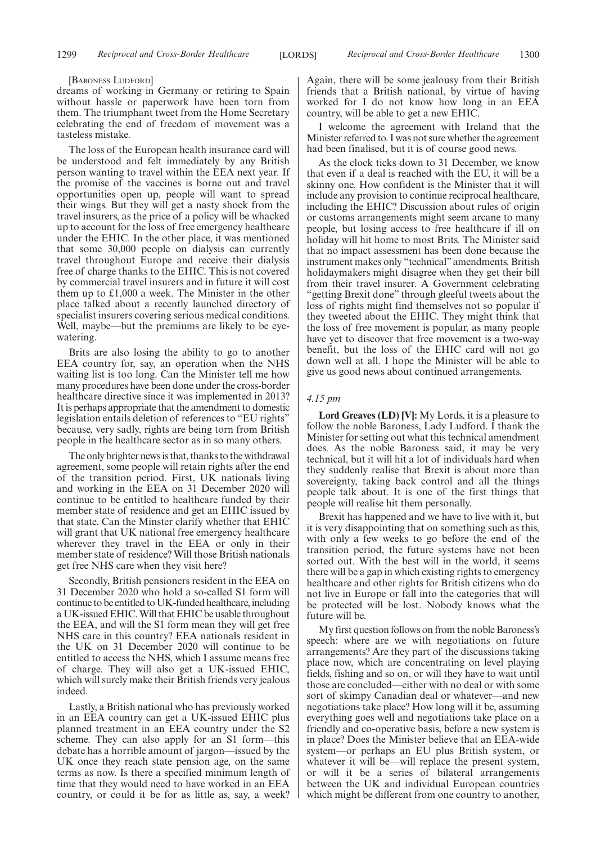#### [BARONESS LUDFORD]

dreams of working in Germany or retiring to Spain without hassle or paperwork have been torn from them. The triumphant tweet from the Home Secretary celebrating the end of freedom of movement was a tasteless mistake.

The loss of the European health insurance card will be understood and felt immediately by any British person wanting to travel within the EEA next year. If the promise of the vaccines is borne out and travel opportunities open up, people will want to spread their wings. But they will get a nasty shock from the travel insurers, as the price of a policy will be whacked up to account for the loss of free emergency healthcare under the EHIC. In the other place, it was mentioned that some 30,000 people on dialysis can currently travel throughout Europe and receive their dialysis free of charge thanks to the EHIC. This is not covered by commercial travel insurers and in future it will cost them up to £1,000 a week. The Minister in the other place talked about a recently launched directory of specialist insurers covering serious medical conditions. Well, maybe—but the premiums are likely to be eyewatering.

Brits are also losing the ability to go to another EEA country for, say, an operation when the NHS waiting list is too long. Can the Minister tell me how many procedures have been done under the cross-border healthcare directive since it was implemented in 2013? It is perhaps appropriate that the amendment to domestic legislation entails deletion of references to "EU rights" because, very sadly, rights are being torn from British people in the healthcare sector as in so many others.

The only brighter news is that, thanks to the withdrawal agreement, some people will retain rights after the end of the transition period. First, UK nationals living and working in the EEA on 31 December 2020 will continue to be entitled to healthcare funded by their member state of residence and get an EHIC issued by that state. Can the Minster clarify whether that EHIC will grant that UK national free emergency healthcare wherever they travel in the EEA or only in their member state of residence? Will those British nationals get free NHS care when they visit here?

Secondly, British pensioners resident in the EEA on 31 December 2020 who hold a so-called S1 form will continue to be entitled to UK-funded healthcare, including a UK-issued EHIC. Will that EHIC be usable throughout the EEA, and will the S1 form mean they will get free NHS care in this country? EEA nationals resident in the UK on 31 December 2020 will continue to be entitled to access the NHS, which I assume means free of charge. They will also get a UK-issued EHIC, which will surely make their British friends very jealous indeed.

Lastly, a British national who has previously worked in an EEA country can get a UK-issued EHIC plus planned treatment in an EEA country under the S2 scheme. They can also apply for an S1 form—this debate has a horrible amount of jargon—issued by the UK once they reach state pension age, on the same terms as now. Is there a specified minimum length of time that they would need to have worked in an EEA country, or could it be for as little as, say, a week? Again, there will be some jealousy from their British friends that a British national, by virtue of having worked for I do not know how long in an EEA country, will be able to get a new EHIC.

I welcome the agreement with Ireland that the Minister referred to. I was not sure whether the agreement had been finalised, but it is of course good news.

As the clock ticks down to 31 December, we know that even if a deal is reached with the EU, it will be a skinny one. How confident is the Minister that it will include any provision to continue reciprocal healthcare, including the EHIC? Discussion about rules of origin or customs arrangements might seem arcane to many people, but losing access to free healthcare if ill on holiday will hit home to most Brits. The Minister said that no impact assessment has been done because the instrument makes only "technical"amendments. British holidaymakers might disagree when they get their bill from their travel insurer. A Government celebrating "getting Brexit done" through gleeful tweets about the loss of rights might find themselves not so popular if they tweeted about the EHIC. They might think that the loss of free movement is popular, as many people have yet to discover that free movement is a two-way benefit, but the loss of the EHIC card will not go down well at all. I hope the Minister will be able to give us good news about continued arrangements.

#### *4.15 pm*

**Lord Greaves (LD) [V]:** My Lords, it is a pleasure to follow the noble Baroness, Lady Ludford. I thank the Minister for setting out what this technical amendment does. As the noble Baroness said, it may be very technical, but it will hit a lot of individuals hard when they suddenly realise that Brexit is about more than sovereignty, taking back control and all the things people talk about. It is one of the first things that people will realise hit them personally.

Brexit has happened and we have to live with it, but it is very disappointing that on something such as this, with only a few weeks to go before the end of the transition period, the future systems have not been sorted out. With the best will in the world, it seems there will be a gap in which existing rights to emergency healthcare and other rights for British citizens who do not live in Europe or fall into the categories that will be protected will be lost. Nobody knows what the future will be.

My first question follows on from the noble Baroness's speech: where are we with negotiations on future arrangements? Are they part of the discussions taking place now, which are concentrating on level playing fields, fishing and so on, or will they have to wait until those are concluded—either with no deal or with some sort of skimpy Canadian deal or whatever—and new negotiations take place? How long will it be, assuming everything goes well and negotiations take place on a friendly and co-operative basis, before a new system is in place? Does the Minister believe that an EEA-wide system—or perhaps an EU plus British system, or whatever it will be—will replace the present system, or will it be a series of bilateral arrangements between the UK and individual European countries which might be different from one country to another,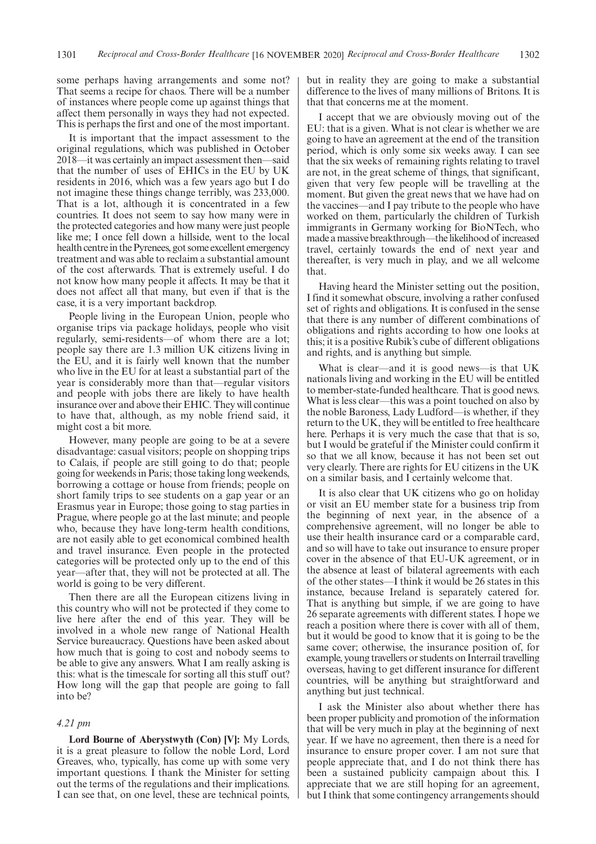some perhaps having arrangements and some not? That seems a recipe for chaos. There will be a number of instances where people come up against things that affect them personally in ways they had not expected. This is perhaps the first and one of the most important.

It is important that the impact assessment to the original regulations, which was published in October 2018—it was certainly an impact assessment then—said that the number of uses of EHICs in the EU by UK residents in 2016, which was a few years ago but I do not imagine these things change terribly, was 233,000. That is a lot, although it is concentrated in a few countries. It does not seem to say how many were in the protected categories and how many were just people like me; I once fell down a hillside, went to the local health centre in the Pyrenees, got some excellent emergency treatment and was able to reclaim a substantial amount of the cost afterwards. That is extremely useful. I do not know how many people it affects. It may be that it does not affect all that many, but even if that is the case, it is a very important backdrop.

People living in the European Union, people who organise trips via package holidays, people who visit regularly, semi-residents—of whom there are a lot; people say there are 1.3 million UK citizens living in the EU, and it is fairly well known that the number who live in the EU for at least a substantial part of the year is considerably more than that—regular visitors and people with jobs there are likely to have health insurance over and above their EHIC. They will continue to have that, although, as my noble friend said, it might cost a bit more.

However, many people are going to be at a severe disadvantage: casual visitors; people on shopping trips to Calais, if people are still going to do that; people going for weekends in Paris; those taking long weekends, borrowing a cottage or house from friends; people on short family trips to see students on a gap year or an Erasmus year in Europe; those going to stag parties in Prague, where people go at the last minute; and people who, because they have long-term health conditions, are not easily able to get economical combined health and travel insurance. Even people in the protected categories will be protected only up to the end of this year—after that, they will not be protected at all. The world is going to be very different.

Then there are all the European citizens living in this country who will not be protected if they come to live here after the end of this year. They will be involved in a whole new range of National Health Service bureaucracy. Questions have been asked about how much that is going to cost and nobody seems to be able to give any answers. What I am really asking is this: what is the timescale for sorting all this stuff out? How long will the gap that people are going to fall into be?

#### *4.21 pm*

**Lord Bourne of Aberystwyth (Con) [V]:** My Lords, it is a great pleasure to follow the noble Lord, Lord Greaves, who, typically, has come up with some very important questions. I thank the Minister for setting out the terms of the regulations and their implications. I can see that, on one level, these are technical points, but in reality they are going to make a substantial difference to the lives of many millions of Britons. It is that that concerns me at the moment.

I accept that we are obviously moving out of the EU: that is a given. What is not clear is whether we are going to have an agreement at the end of the transition period, which is only some six weeks away. I can see that the six weeks of remaining rights relating to travel are not, in the great scheme of things, that significant, given that very few people will be travelling at the moment. But given the great news that we have had on the vaccines—and I pay tribute to the people who have worked on them, particularly the children of Turkish immigrants in Germany working for BioNTech, who made a massive breakthrough—the likelihood of increased travel, certainly towards the end of next year and thereafter, is very much in play, and we all welcome that.

Having heard the Minister setting out the position, I find it somewhat obscure, involving a rather confused set of rights and obligations. It is confused in the sense that there is any number of different combinations of obligations and rights according to how one looks at this; it is a positive Rubik's cube of different obligations and rights, and is anything but simple.

What is clear—and it is good news—is that UK nationals living and working in the EU will be entitled to member-state-funded healthcare. That is good news. What is less clear—this was a point touched on also by the noble Baroness, Lady Ludford—is whether, if they return to the UK, they will be entitled to free healthcare here. Perhaps it is very much the case that that is so, but I would be grateful if the Minister could confirm it so that we all know, because it has not been set out very clearly. There are rights for EU citizens in the UK on a similar basis, and I certainly welcome that.

It is also clear that UK citizens who go on holiday or visit an EU member state for a business trip from the beginning of next year, in the absence of a comprehensive agreement, will no longer be able to use their health insurance card or a comparable card, and so will have to take out insurance to ensure proper cover in the absence of that EU-UK agreement, or in the absence at least of bilateral agreements with each of the other states—I think it would be 26 states in this instance, because Ireland is separately catered for. That is anything but simple, if we are going to have 26 separate agreements with different states. I hope we reach a position where there is cover with all of them, but it would be good to know that it is going to be the same cover; otherwise, the insurance position of, for example, young travellers or students on Interrail travelling overseas, having to get different insurance for different countries, will be anything but straightforward and anything but just technical.

I ask the Minister also about whether there has been proper publicity and promotion of the information that will be very much in play at the beginning of next year. If we have no agreement, then there is a need for insurance to ensure proper cover. I am not sure that people appreciate that, and I do not think there has been a sustained publicity campaign about this. I appreciate that we are still hoping for an agreement, but I think that some contingency arrangements should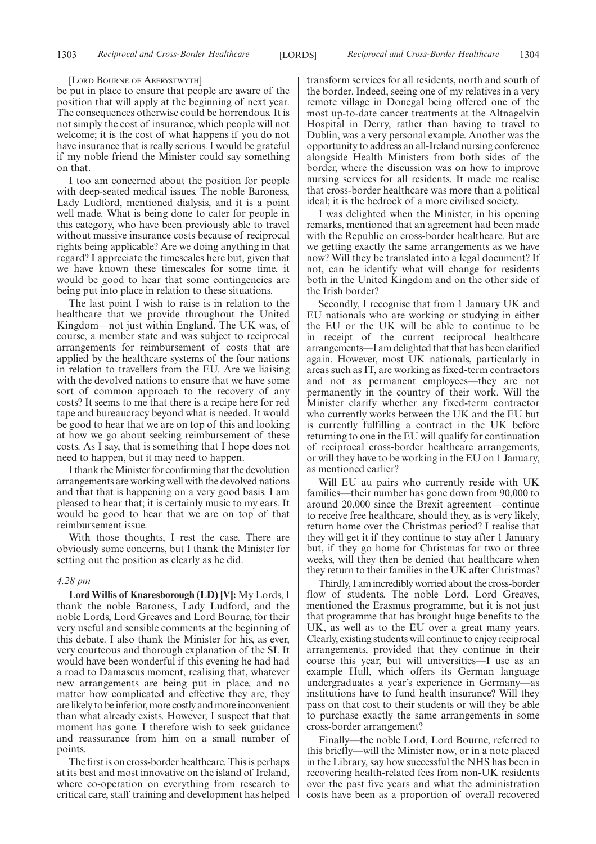#### [LORD BOURNE OF ABERYSTWYTH]

be put in place to ensure that people are aware of the position that will apply at the beginning of next year. The consequences otherwise could be horrendous. It is not simply the cost of insurance, which people will not welcome; it is the cost of what happens if you do not have insurance that is really serious. I would be grateful if my noble friend the Minister could say something on that.

I too am concerned about the position for people with deep-seated medical issues. The noble Baroness, Lady Ludford, mentioned dialysis, and it is a point well made. What is being done to cater for people in this category, who have been previously able to travel without massive insurance costs because of reciprocal rights being applicable? Are we doing anything in that regard? I appreciate the timescales here but, given that we have known these timescales for some time, it would be good to hear that some contingencies are being put into place in relation to these situations.

The last point I wish to raise is in relation to the healthcare that we provide throughout the United Kingdom—not just within England. The UK was, of course, a member state and was subject to reciprocal arrangements for reimbursement of costs that are applied by the healthcare systems of the four nations in relation to travellers from the EU. Are we liaising with the devolved nations to ensure that we have some sort of common approach to the recovery of any costs? It seems to me that there is a recipe here for red tape and bureaucracy beyond what is needed. It would be good to hear that we are on top of this and looking at how we go about seeking reimbursement of these costs. As I say, that is something that I hope does not need to happen, but it may need to happen.

I thank the Minister for confirming that the devolution arrangements are working well with the devolved nations and that that is happening on a very good basis. I am pleased to hear that; it is certainly music to my ears. It would be good to hear that we are on top of that reimbursement issue.

With those thoughts, I rest the case. There are obviously some concerns, but I thank the Minister for setting out the position as clearly as he did.

#### *4.28 pm*

**Lord Willis of Knaresborough (LD) [V]:** My Lords, I thank the noble Baroness, Lady Ludford, and the noble Lords, Lord Greaves and Lord Bourne, for their very useful and sensible comments at the beginning of this debate. I also thank the Minister for his, as ever, very courteous and thorough explanation of the SI. It would have been wonderful if this evening he had had a road to Damascus moment, realising that, whatever new arrangements are being put in place, and no matter how complicated and effective they are, they are likely to be inferior, more costly and more inconvenient than what already exists. However, I suspect that that moment has gone. I therefore wish to seek guidance and reassurance from him on a small number of points.

The first is on cross-border healthcare. This is perhaps at its best and most innovative on the island of Ireland, where co-operation on everything from research to critical care, staff training and development has helped transform services for all residents, north and south of the border. Indeed, seeing one of my relatives in a very remote village in Donegal being offered one of the most up-to-date cancer treatments at the Altnagelvin Hospital in Derry, rather than having to travel to Dublin, was a very personal example. Another was the opportunity to address an all-Ireland nursing conference alongside Health Ministers from both sides of the border, where the discussion was on how to improve nursing services for all residents. It made me realise that cross-border healthcare was more than a political ideal; it is the bedrock of a more civilised society.

I was delighted when the Minister, in his opening remarks, mentioned that an agreement had been made with the Republic on cross-border healthcare. But are we getting exactly the same arrangements as we have now? Will they be translated into a legal document? If not, can he identify what will change for residents both in the United Kingdom and on the other side of the Irish border?

Secondly, I recognise that from 1 January UK and EU nationals who are working or studying in either the EU or the UK will be able to continue to be in receipt of the current reciprocal healthcare arrangements—I am delighted that that has been clarified again. However, most UK nationals, particularly in areas such as IT, are working as fixed-term contractors and not as permanent employees—they are not permanently in the country of their work. Will the Minister clarify whether any fixed-term contractor who currently works between the UK and the EU but is currently fulfilling a contract in the UK before returning to one in the EU will qualify for continuation of reciprocal cross-border healthcare arrangements, or will they have to be working in the EU on 1 January, as mentioned earlier?

Will EU au pairs who currently reside with UK families—their number has gone down from 90,000 to around 20,000 since the Brexit agreement—continue to receive free healthcare, should they, as is very likely, return home over the Christmas period? I realise that they will get it if they continue to stay after 1 January but, if they go home for Christmas for two or three weeks, will they then be denied that healthcare when they return to their families in the UK after Christmas?

Thirdly, I am incredibly worried about the cross-border flow of students. The noble Lord, Lord Greaves, mentioned the Erasmus programme, but it is not just that programme that has brought huge benefits to the UK, as well as to the EU over a great many years. Clearly, existing students will continue to enjoy reciprocal arrangements, provided that they continue in their course this year, but will universities—I use as an example Hull, which offers its German language undergraduates a year's experience in Germany—as institutions have to fund health insurance? Will they pass on that cost to their students or will they be able to purchase exactly the same arrangements in some cross-border arrangement?

Finally—the noble Lord, Lord Bourne, referred to this briefly—will the Minister now, or in a note placed in the Library, say how successful the NHS has been in recovering health-related fees from non-UK residents over the past five years and what the administration costs have been as a proportion of overall recovered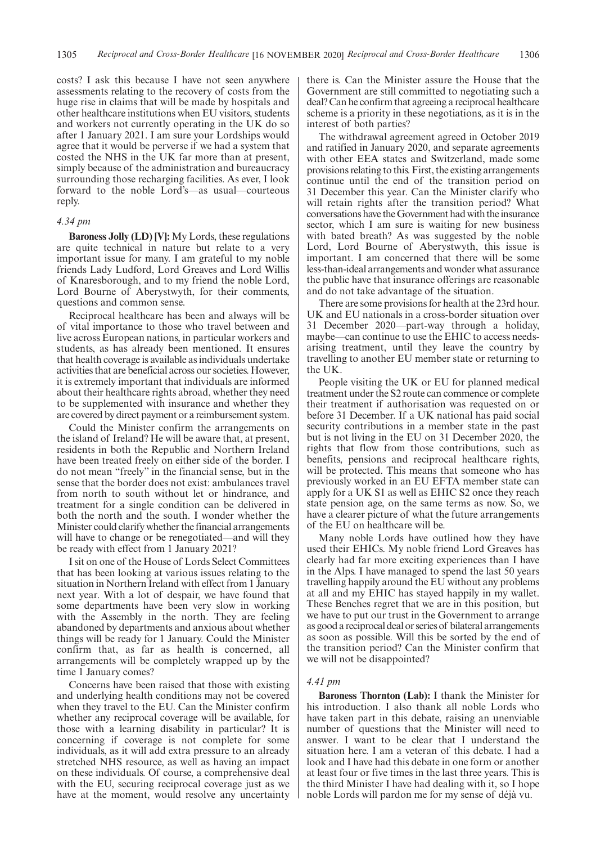costs? I ask this because I have not seen anywhere assessments relating to the recovery of costs from the huge rise in claims that will be made by hospitals and other healthcare institutions when EU visitors, students and workers not currently operating in the UK do so after 1 January 2021. I am sure your Lordships would agree that it would be perverse if we had a system that costed the NHS in the UK far more than at present, simply because of the administration and bureaucracy surrounding those recharging facilities. As ever, I look forward to the noble Lord's—as usual—courteous reply.

#### *4.34 pm*

**Baroness Jolly (LD) [V]:** My Lords, these regulations are quite technical in nature but relate to a very important issue for many. I am grateful to my noble friends Lady Ludford, Lord Greaves and Lord Willis of Knaresborough, and to my friend the noble Lord, Lord Bourne of Aberystwyth, for their comments, questions and common sense.

Reciprocal healthcare has been and always will be of vital importance to those who travel between and live across European nations, in particular workers and students, as has already been mentioned. It ensures that health coverage is available as individuals undertake activities that are beneficial across our societies. However, it is extremely important that individuals are informed about their healthcare rights abroad, whether they need to be supplemented with insurance and whether they are covered by direct payment or a reimbursement system.

Could the Minister confirm the arrangements on the island of Ireland? He will be aware that, at present, residents in both the Republic and Northern Ireland have been treated freely on either side of the border. I do not mean "freely" in the financial sense, but in the sense that the border does not exist: ambulances travel from north to south without let or hindrance, and treatment for a single condition can be delivered in both the north and the south. I wonder whether the Minister could clarify whether the financial arrangements will have to change or be renegotiated—and will they be ready with effect from 1 January 2021?

I sit on one of the House of Lords Select Committees that has been looking at various issues relating to the situation in Northern Ireland with effect from 1 January next year. With a lot of despair, we have found that some departments have been very slow in working with the Assembly in the north. They are feeling abandoned by departments and anxious about whether things will be ready for 1 January. Could the Minister confirm that, as far as health is concerned, all arrangements will be completely wrapped up by the time 1 January comes?

Concerns have been raised that those with existing and underlying health conditions may not be covered when they travel to the EU. Can the Minister confirm whether any reciprocal coverage will be available, for those with a learning disability in particular? It is concerning if coverage is not complete for some individuals, as it will add extra pressure to an already stretched NHS resource, as well as having an impact on these individuals. Of course, a comprehensive deal with the EU, securing reciprocal coverage just as we have at the moment, would resolve any uncertainty there is. Can the Minister assure the House that the Government are still committed to negotiating such a deal? Can he confirm that agreeing a reciprocal healthcare scheme is a priority in these negotiations, as it is in the interest of both parties?

The withdrawal agreement agreed in October 2019 and ratified in January 2020, and separate agreements with other EEA states and Switzerland, made some provisions relating to this. First, the existing arrangements continue until the end of the transition period on 31 December this year. Can the Minister clarify who will retain rights after the transition period? What conversations have the Government had with the insurance sector, which I am sure is waiting for new business with bated breath? As was suggested by the noble Lord, Lord Bourne of Aberystwyth, this issue is important. I am concerned that there will be some less-than-ideal arrangements and wonder what assurance the public have that insurance offerings are reasonable and do not take advantage of the situation.

There are some provisions for health at the 23rd hour. UK and EU nationals in a cross-border situation over 31 December 2020—part-way through a holiday, maybe—can continue to use the EHIC to access needsarising treatment, until they leave the country by travelling to another EU member state or returning to the UK.

People visiting the UK or EU for planned medical treatment under the S2 route can commence or complete their treatment if authorisation was requested on or before 31 December. If a UK national has paid social security contributions in a member state in the past but is not living in the EU on 31 December 2020, the rights that flow from those contributions, such as benefits, pensions and reciprocal healthcare rights, will be protected. This means that someone who has previously worked in an EU EFTA member state can apply for a UK S1 as well as EHIC S2 once they reach state pension age, on the same terms as now. So, we have a clearer picture of what the future arrangements of the EU on healthcare will be.

Many noble Lords have outlined how they have used their EHICs. My noble friend Lord Greaves has clearly had far more exciting experiences than I have in the Alps. I have managed to spend the last 50 years travelling happily around the EU without any problems at all and my EHIC has stayed happily in my wallet. These Benches regret that we are in this position, but we have to put our trust in the Government to arrange as good a reciprocal deal or series of bilateral arrangements as soon as possible. Will this be sorted by the end of the transition period? Can the Minister confirm that we will not be disappointed?

#### *4.41 pm*

**Baroness Thornton (Lab):** I thank the Minister for his introduction. I also thank all noble Lords who have taken part in this debate, raising an unenviable number of questions that the Minister will need to answer. I want to be clear that I understand the situation here. I am a veteran of this debate. I had a look and I have had this debate in one form or another at least four or five times in the last three years. This is the third Minister I have had dealing with it, so I hope noble Lords will pardon me for my sense of déjà vu.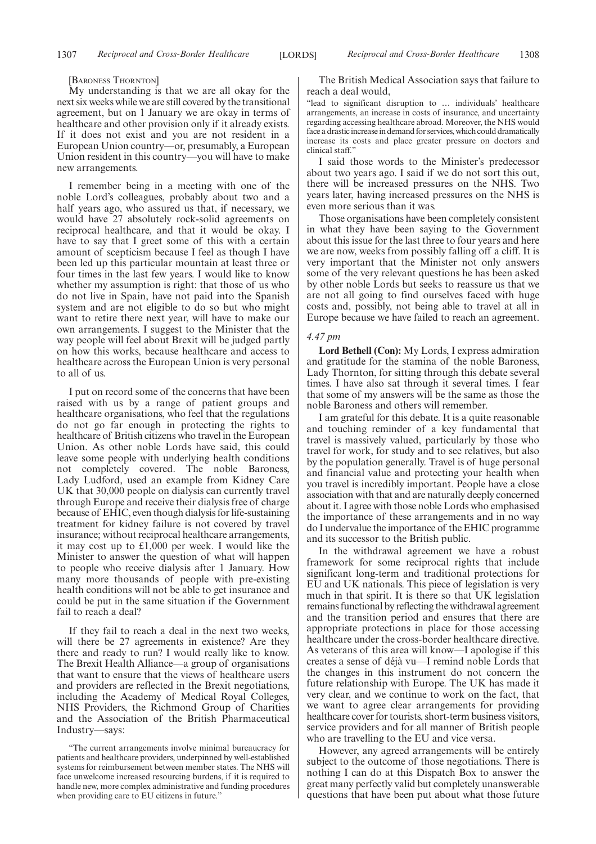[BARONESS THORNTON]

My understanding is that we are all okay for the next six weeks while we are still covered by the transitional agreement, but on 1 January we are okay in terms of healthcare and other provision only if it already exists. If it does not exist and you are not resident in a European Union country—or, presumably, a European Union resident in this country—you will have to make new arrangements.

I remember being in a meeting with one of the noble Lord's colleagues, probably about two and a half years ago, who assured us that, if necessary, we would have 27 absolutely rock-solid agreements on reciprocal healthcare, and that it would be okay. I have to say that I greet some of this with a certain amount of scepticism because I feel as though I have been led up this particular mountain at least three or four times in the last few years. I would like to know whether my assumption is right: that those of us who do not live in Spain, have not paid into the Spanish system and are not eligible to do so but who might want to retire there next year, will have to make our own arrangements. I suggest to the Minister that the way people will feel about Brexit will be judged partly on how this works, because healthcare and access to healthcare across the European Union is very personal to all of us.

I put on record some of the concerns that have been raised with us by a range of patient groups and healthcare organisations, who feel that the regulations do not go far enough in protecting the rights to healthcare of British citizens who travel in the European Union. As other noble Lords have said, this could leave some people with underlying health conditions not completely covered. The noble Baroness, Lady Ludford, used an example from Kidney Care UK that 30,000 people on dialysis can currently travel through Europe and receive their dialysis free of charge because of EHIC, even though dialysis for life-sustaining treatment for kidney failure is not covered by travel insurance; without reciprocal healthcare arrangements, it may cost up to £1,000 per week. I would like the Minister to answer the question of what will happen to people who receive dialysis after 1 January. How many more thousands of people with pre-existing health conditions will not be able to get insurance and could be put in the same situation if the Government fail to reach a deal?

If they fail to reach a deal in the next two weeks, will there be 27 agreements in existence? Are they there and ready to run? I would really like to know. The Brexit Health Alliance—a group of organisations that want to ensure that the views of healthcare users and providers are reflected in the Brexit negotiations, including the Academy of Medical Royal Colleges, NHS Providers, the Richmond Group of Charities and the Association of the British Pharmaceutical Industry—says:

The British Medical Association says that failure to reach a deal would,

"lead to significant disruption to … individuals' healthcare arrangements, an increase in costs of insurance, and uncertainty regarding accessing healthcare abroad. Moreover, the NHS would face a drastic increase in demand for services, which could dramatically increase its costs and place greater pressure on doctors and clinical staff."

I said those words to the Minister's predecessor about two years ago. I said if we do not sort this out, there will be increased pressures on the NHS. Two years later, having increased pressures on the NHS is even more serious than it was.

Those organisations have been completely consistent in what they have been saying to the Government about this issue for the last three to four years and here we are now, weeks from possibly falling off a cliff. It is very important that the Minister not only answers some of the very relevant questions he has been asked by other noble Lords but seeks to reassure us that we are not all going to find ourselves faced with huge costs and, possibly, not being able to travel at all in Europe because we have failed to reach an agreement.

#### *4.47 pm*

**Lord Bethell (Con):** My Lords, I express admiration and gratitude for the stamina of the noble Baroness, Lady Thornton, for sitting through this debate several times. I have also sat through it several times. I fear that some of my answers will be the same as those the noble Baroness and others will remember.

I am grateful for this debate. It is a quite reasonable and touching reminder of a key fundamental that travel is massively valued, particularly by those who travel for work, for study and to see relatives, but also by the population generally. Travel is of huge personal and financial value and protecting your health when you travel is incredibly important. People have a close association with that and are naturally deeply concerned about it. I agree with those noble Lords who emphasised the importance of these arrangements and in no way do I undervalue the importance of the EHIC programme and its successor to the British public.

In the withdrawal agreement we have a robust framework for some reciprocal rights that include significant long-term and traditional protections for EU and UK nationals. This piece of legislation is very much in that spirit. It is there so that UK legislation remains functional by reflecting the withdrawal agreement and the transition period and ensures that there are appropriate protections in place for those accessing healthcare under the cross-border healthcare directive. As veterans of this area will know—I apologise if this creates a sense of déjà vu—I remind noble Lords that the changes in this instrument do not concern the future relationship with Europe. The UK has made it very clear, and we continue to work on the fact, that we want to agree clear arrangements for providing healthcare cover for tourists, short-term business visitors, service providers and for all manner of British people who are travelling to the EU and vice versa.

However, any agreed arrangements will be entirely subject to the outcome of those negotiations. There is nothing I can do at this Dispatch Box to answer the great many perfectly valid but completely unanswerable questions that have been put about what those future

<sup>&</sup>quot;The current arrangements involve minimal bureaucracy for patients and healthcare providers, underpinned by well-established systems for reimbursement between member states. The NHS will face unwelcome increased resourcing burdens, if it is required to handle new, more complex administrative and funding procedures when providing care to EU citizens in future."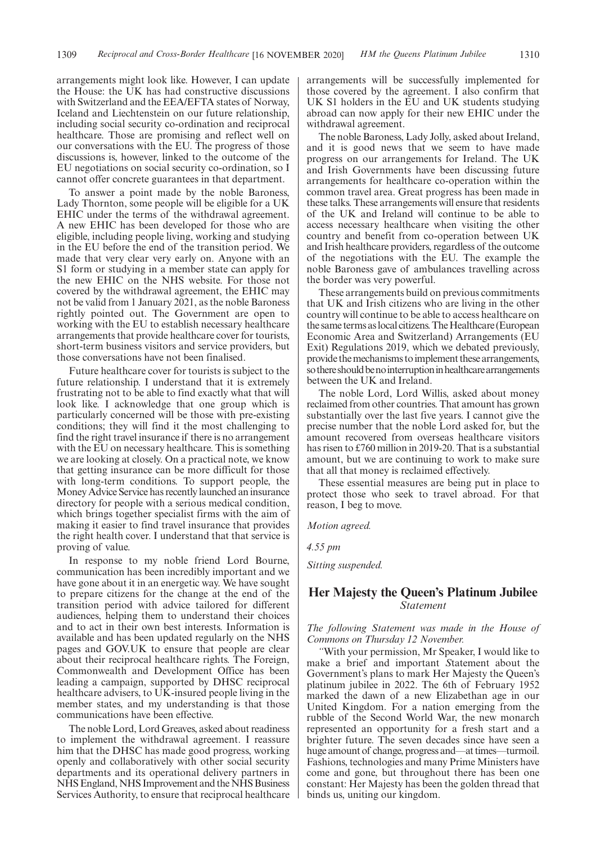arrangements might look like. However, I can update the House: the UK has had constructive discussions with Switzerland and the EEA/EFTA states of Norway, Iceland and Liechtenstein on our future relationship, including social security co-ordination and reciprocal healthcare. Those are promising and reflect well on our conversations with the EU. The progress of those discussions is, however, linked to the outcome of the EU negotiations on social security co-ordination, so I cannot offer concrete guarantees in that department.

To answer a point made by the noble Baroness, Lady Thornton, some people will be eligible for a UK EHIC under the terms of the withdrawal agreement. A new EHIC has been developed for those who are eligible, including people living, working and studying in the EU before the end of the transition period. We made that very clear very early on. Anyone with an S1 form or studying in a member state can apply for the new EHIC on the NHS website. For those not covered by the withdrawal agreement, the EHIC may not be valid from 1 January 2021, as the noble Baroness rightly pointed out. The Government are open to working with the EU to establish necessary healthcare arrangements that provide healthcare cover for tourists, short-term business visitors and service providers, but those conversations have not been finalised.

Future healthcare cover for tourists is subject to the future relationship. I understand that it is extremely frustrating not to be able to find exactly what that will look like. I acknowledge that one group which is particularly concerned will be those with pre-existing conditions; they will find it the most challenging to find the right travel insurance if there is no arrangement with the EU on necessary healthcare. This is something we are looking at closely. On a practical note, we know that getting insurance can be more difficult for those with long-term conditions. To support people, the Money Advice Service has recently launched an insurance directory for people with a serious medical condition, which brings together specialist firms with the aim of making it easier to find travel insurance that provides the right health cover. I understand that that service is proving of value.

In response to my noble friend Lord Bourne, communication has been incredibly important and we have gone about it in an energetic way. We have sought to prepare citizens for the change at the end of the transition period with advice tailored for different audiences, helping them to understand their choices and to act in their own best interests. Information is available and has been updated regularly on the NHS pages and GOV.UK to ensure that people are clear about their reciprocal healthcare rights. The Foreign, Commonwealth and Development Office has been leading a campaign, supported by DHSC reciprocal healthcare advisers, to UK-insured people living in the member states, and my understanding is that those communications have been effective.

The noble Lord, Lord Greaves, asked about readiness to implement the withdrawal agreement. I reassure him that the DHSC has made good progress, working openly and collaboratively with other social security departments and its operational delivery partners in NHS England, NHS Improvement and the NHS Business Services Authority, to ensure that reciprocal healthcare arrangements will be successfully implemented for those covered by the agreement. I also confirm that UK S1 holders in the EU and UK students studying abroad can now apply for their new EHIC under the withdrawal agreement.

The noble Baroness, Lady Jolly, asked about Ireland, and it is good news that we seem to have made progress on our arrangements for Ireland. The UK and Irish Governments have been discussing future arrangements for healthcare co-operation within the common travel area. Great progress has been made in these talks. These arrangements will ensure that residents of the UK and Ireland will continue to be able to access necessary healthcare when visiting the other country and benefit from co-operation between UK and Irish healthcare providers, regardless of the outcome of the negotiations with the EU. The example the noble Baroness gave of ambulances travelling across the border was very powerful.

These arrangements build on previous commitments that UK and Irish citizens who are living in the other country will continue to be able to access healthcare on the same terms as local citizens. The Healthcare (European Economic Area and Switzerland) Arrangements (EU Exit) Regulations 2019, which we debated previously, provide the mechanisms to implement these arrangements, so there should be no interruption in healthcare arrangements between the UK and Ireland.

The noble Lord, Lord Willis, asked about money reclaimed from other countries. That amount has grown substantially over the last five years. I cannot give the precise number that the noble Lord asked for, but the amount recovered from overseas healthcare visitors has risen to £760 million in 2019-20. That is a substantial amount, but we are continuing to work to make sure that all that money is reclaimed effectively.

These essential measures are being put in place to protect those who seek to travel abroad. For that reason, I beg to move.

*Motion agreed.*

*4.55 pm*

*Sitting suspended.*

# **Her Majesty the Queen's Platinum Jubilee** *Statement*

### *The following Statement was made in the House of Commons on Thursday 12 November.*

*"*With your permission, Mr Speaker, I would like to make a brief and important *S*tatement about the Government's plans to mark Her Majesty the Queen's platinum jubilee in 2022. The 6th of February 1952 marked the dawn of a new Elizabethan age in our United Kingdom. For a nation emerging from the rubble of the Second World War, the new monarch represented an opportunity for a fresh start and a brighter future. The seven decades since have seen a huge amount of change, progress and—at times—turmoil. Fashions, technologies and many Prime Ministers have come and gone, but throughout there has been one constant: Her Majesty has been the golden thread that binds us, uniting our kingdom.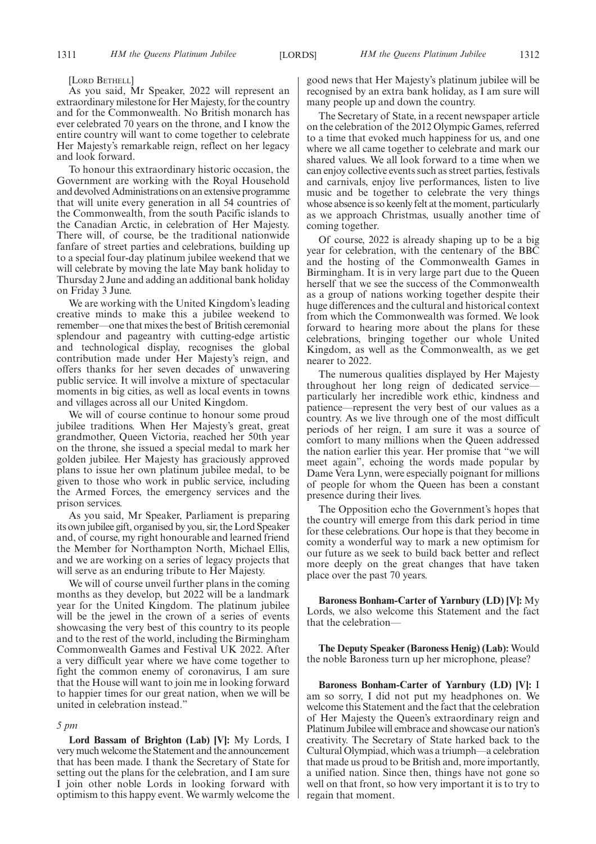#### [LORD BETHELL]

As you said, Mr Speaker, 2022 will represent an extraordinary milestone for Her Majesty, for the country and for the Commonwealth. No British monarch has ever celebrated 70 years on the throne, and I know the entire country will want to come together to celebrate Her Majesty's remarkable reign, reflect on her legacy and look forward.

To honour this extraordinary historic occasion, the Government are working with the Royal Household and devolved Administrations on an extensive programme that will unite every generation in all 54 countries of the Commonwealth, from the south Pacific islands to the Canadian Arctic, in celebration of Her Majesty. There will, of course, be the traditional nationwide fanfare of street parties and celebrations, building up to a special four-day platinum jubilee weekend that we will celebrate by moving the late May bank holiday to Thursday 2 June and adding an additional bank holiday on Friday 3 June.

We are working with the United Kingdom's leading creative minds to make this a jubilee weekend to remember—one that mixes the best of British ceremonial splendour and pageantry with cutting-edge artistic and technological display, recognises the global contribution made under Her Majesty's reign, and offers thanks for her seven decades of unwavering public service. It will involve a mixture of spectacular moments in big cities, as well as local events in towns and villages across all our United Kingdom.

We will of course continue to honour some proud jubilee traditions. When Her Majesty's great, great grandmother, Queen Victoria, reached her 50th year on the throne, she issued a special medal to mark her golden jubilee. Her Majesty has graciously approved plans to issue her own platinum jubilee medal, to be given to those who work in public service, including the Armed Forces, the emergency services and the prison services.

As you said, Mr Speaker, Parliament is preparing its own jubilee gift, organised by you, sir, the Lord Speaker and, of course, my right honourable and learned friend the Member for Northampton North, Michael Ellis, and we are working on a series of legacy projects that will serve as an enduring tribute to Her Majesty.

We will of course unveil further plans in the coming months as they develop, but 2022 will be a landmark year for the United Kingdom. The platinum jubilee will be the jewel in the crown of a series of events showcasing the very best of this country to its people and to the rest of the world, including the Birmingham Commonwealth Games and Festival UK 2022. After a very difficult year where we have come together to fight the common enemy of coronavirus, I am sure that the House will want to join me in looking forward to happier times for our great nation, when we will be united in celebration instead."

#### *5 pm*

**Lord Bassam of Brighton (Lab) [V]:** My Lords, I very much welcome the Statement and the announcement that has been made. I thank the Secretary of State for setting out the plans for the celebration, and I am sure I join other noble Lords in looking forward with optimism to this happy event. We warmly welcome the good news that Her Majesty's platinum jubilee will be recognised by an extra bank holiday, as I am sure will many people up and down the country.

The Secretary of State, in a recent newspaper article on the celebration of the 2012 Olympic Games, referred to a time that evoked much happiness for us, and one where we all came together to celebrate and mark our shared values. We all look forward to a time when we can enjoy collective events such as street parties, festivals and carnivals, enjoy live performances, listen to live music and be together to celebrate the very things whose absence is so keenly felt at the moment, particularly as we approach Christmas, usually another time of coming together.

Of course, 2022 is already shaping up to be a big year for celebration, with the centenary of the BBC and the hosting of the Commonwealth Games in Birmingham. It is in very large part due to the Queen herself that we see the success of the Commonwealth as a group of nations working together despite their huge differences and the cultural and historical context from which the Commonwealth was formed. We look forward to hearing more about the plans for these celebrations, bringing together our whole United Kingdom, as well as the Commonwealth, as we get nearer to 2022.

The numerous qualities displayed by Her Majesty throughout her long reign of dedicated service particularly her incredible work ethic, kindness and patience—represent the very best of our values as a country. As we live through one of the most difficult periods of her reign, I am sure it was a source of comfort to many millions when the Queen addressed the nation earlier this year. Her promise that "we will meet again", echoing the words made popular by Dame Vera Lynn, were especially poignant for millions of people for whom the Queen has been a constant presence during their lives.

The Opposition echo the Government's hopes that the country will emerge from this dark period in time for these celebrations. Our hope is that they become in comity a wonderful way to mark a new optimism for our future as we seek to build back better and reflect more deeply on the great changes that have taken place over the past 70 years.

**Baroness Bonham-Carter of Yarnbury (LD) [V]:** My Lords, we also welcome this Statement and the fact that the celebration—

**The Deputy Speaker (Baroness Henig) (Lab):** Would the noble Baroness turn up her microphone, please?

**Baroness Bonham-Carter of Yarnbury (LD) [V]:** I am so sorry, I did not put my headphones on. We welcome this Statement and the fact that the celebration of Her Majesty the Queen's extraordinary reign and Platinum Jubilee will embrace and showcase our nation's creativity. The Secretary of State harked back to the Cultural Olympiad, which was a triumph—a celebration that made us proud to be British and, more importantly, a unified nation. Since then, things have not gone so well on that front, so how very important it is to try to regain that moment.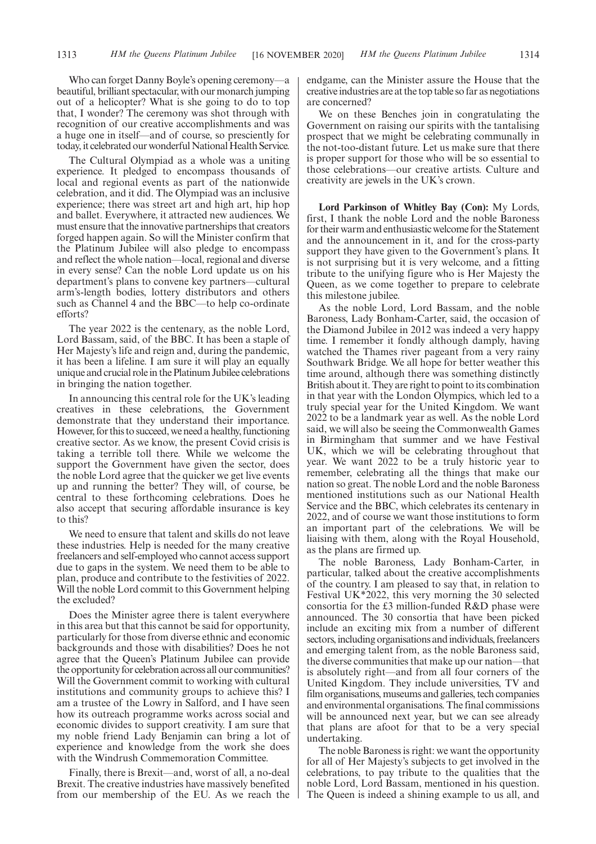Who can forget Danny Boyle's opening ceremony—a beautiful, brilliant spectacular, with our monarch jumping out of a helicopter? What is she going to do to top that, I wonder? The ceremony was shot through with recognition of our creative accomplishments and was a huge one in itself—and of course, so presciently for today, it celebrated our wonderful National Health Service.

The Cultural Olympiad as a whole was a uniting experience. It pledged to encompass thousands of local and regional events as part of the nationwide celebration, and it did. The Olympiad was an inclusive experience; there was street art and high art, hip hop and ballet. Everywhere, it attracted new audiences. We must ensure that the innovative partnerships that creators forged happen again. So will the Minister confirm that the Platinum Jubilee will also pledge to encompass and reflect the whole nation—local, regional and diverse in every sense? Can the noble Lord update us on his department's plans to convene key partners—cultural arm's-length bodies, lottery distributors and others such as Channel 4 and the BBC—to help co-ordinate efforts?

The year 2022 is the centenary, as the noble Lord, Lord Bassam, said, of the BBC. It has been a staple of Her Majesty's life and reign and, during the pandemic, it has been a lifeline. I am sure it will play an equally unique and crucial role in the Platinum Jubilee celebrations in bringing the nation together.

In announcing this central role for the UK's leading creatives in these celebrations, the Government demonstrate that they understand their importance. However, for this to succeed, we need a healthy, functioning creative sector. As we know, the present Covid crisis is taking a terrible toll there. While we welcome the support the Government have given the sector, does the noble Lord agree that the quicker we get live events up and running the better? They will, of course, be central to these forthcoming celebrations. Does he also accept that securing affordable insurance is key to this?

We need to ensure that talent and skills do not leave these industries. Help is needed for the many creative freelancers and self-employed who cannot access support due to gaps in the system. We need them to be able to plan, produce and contribute to the festivities of 2022. Will the noble Lord commit to this Government helping the excluded?

Does the Minister agree there is talent everywhere in this area but that this cannot be said for opportunity, particularly for those from diverse ethnic and economic backgrounds and those with disabilities? Does he not agree that the Queen's Platinum Jubilee can provide the opportunity for celebration across all our communities? Will the Government commit to working with cultural institutions and community groups to achieve this? I am a trustee of the Lowry in Salford, and I have seen how its outreach programme works across social and economic divides to support creativity. I am sure that my noble friend Lady Benjamin can bring a lot of experience and knowledge from the work she does with the Windrush Commemoration Committee.

Finally, there is Brexit—and, worst of all, a no-deal Brexit. The creative industries have massively benefited from our membership of the EU. As we reach the endgame, can the Minister assure the House that the creative industries are at the top table so far as negotiations are concerned?

We on these Benches join in congratulating the Government on raising our spirits with the tantalising prospect that we might be celebrating communally in the not-too-distant future. Let us make sure that there is proper support for those who will be so essential to those celebrations—our creative artists. Culture and creativity are jewels in the UK's crown.

**Lord Parkinson of Whitley Bay (Con):** My Lords, first, I thank the noble Lord and the noble Baroness for their warm and enthusiastic welcome for the Statement and the announcement in it, and for the cross-party support they have given to the Government's plans. It is not surprising but it is very welcome, and a fitting tribute to the unifying figure who is Her Majesty the Queen, as we come together to prepare to celebrate this milestone jubilee.

As the noble Lord, Lord Bassam, and the noble Baroness, Lady Bonham-Carter, said, the occasion of the Diamond Jubilee in 2012 was indeed a very happy time. I remember it fondly although damply, having watched the Thames river pageant from a very rainy Southwark Bridge. We all hope for better weather this time around, although there was something distinctly British about it. They are right to point to its combination in that year with the London Olympics, which led to a truly special year for the United Kingdom. We want 2022 to be a landmark year as well. As the noble Lord said, we will also be seeing the Commonwealth Games in Birmingham that summer and we have Festival UK, which we will be celebrating throughout that year. We want 2022 to be a truly historic year to remember, celebrating all the things that make our nation so great. The noble Lord and the noble Baroness mentioned institutions such as our National Health Service and the BBC, which celebrates its centenary in 2022, and of course we want those institutions to form an important part of the celebrations. We will be liaising with them, along with the Royal Household, as the plans are firmed up.

The noble Baroness, Lady Bonham-Carter, in particular, talked about the creative accomplishments of the country. I am pleased to say that, in relation to Festival UK\*2022, this very morning the 30 selected consortia for the £3 million-funded R&D phase were announced. The 30 consortia that have been picked include an exciting mix from a number of different sectors, including organisations and individuals, freelancers and emerging talent from, as the noble Baroness said, the diverse communities that make up our nation—that is absolutely right—and from all four corners of the United Kingdom. They include universities, TV and film organisations, museums and galleries, tech companies and environmental organisations. The final commissions will be announced next year, but we can see already that plans are afoot for that to be a very special undertaking.

The noble Baroness is right: we want the opportunity for all of Her Majesty's subjects to get involved in the celebrations, to pay tribute to the qualities that the noble Lord, Lord Bassam, mentioned in his question. The Queen is indeed a shining example to us all, and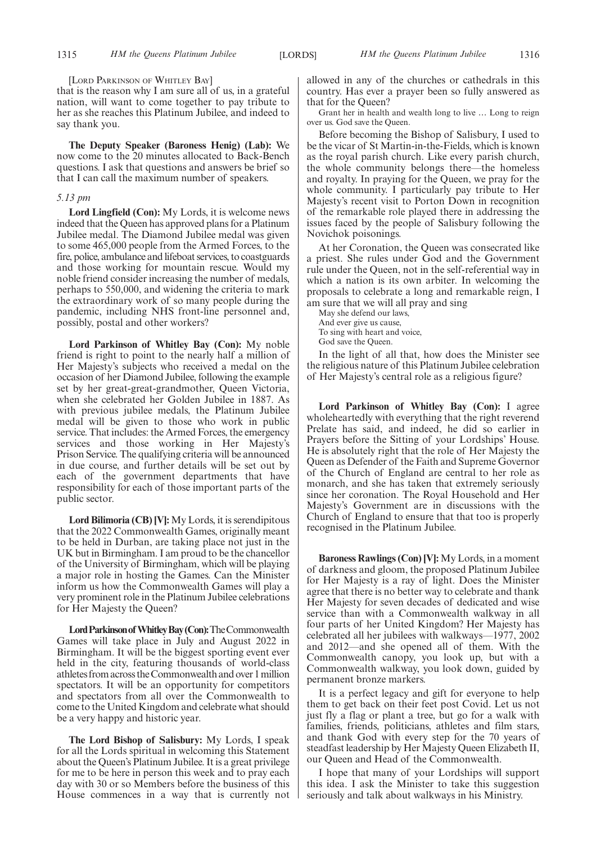[LORD PARKINSON OF WHITLEY BAY]

that is the reason why I am sure all of us, in a grateful nation, will want to come together to pay tribute to her as she reaches this Platinum Jubilee, and indeed to say thank you.

**The Deputy Speaker (Baroness Henig) (Lab):** We now come to the 20 minutes allocated to Back-Bench questions. I ask that questions and answers be brief so that I can call the maximum number of speakers.

#### *5.13 pm*

**Lord Lingfield (Con):** My Lords, it is welcome news indeed that the Queen has approved plans for a Platinum Jubilee medal. The Diamond Jubilee medal was given to some 465,000 people from the Armed Forces, to the fire, police, ambulance and lifeboat services, to coastguards and those working for mountain rescue. Would my noble friend consider increasing the number of medals, perhaps to 550,000, and widening the criteria to mark the extraordinary work of so many people during the pandemic, including NHS front-line personnel and, possibly, postal and other workers?

**Lord Parkinson of Whitley Bay (Con):** My noble friend is right to point to the nearly half a million of Her Majesty's subjects who received a medal on the occasion of her Diamond Jubilee, following the example set by her great-great-grandmother, Queen Victoria, when she celebrated her Golden Jubilee in 1887. As with previous jubilee medals, the Platinum Jubilee medal will be given to those who work in public service. That includes: the Armed Forces, the emergency services and those working in Her Majesty's Prison Service. The qualifying criteria will be announced in due course, and further details will be set out by each of the government departments that have responsibility for each of those important parts of the public sector.

**Lord Bilimoria (CB) [V]:** My Lords, it is serendipitous that the 2022 Commonwealth Games, originally meant to be held in Durban, are taking place not just in the UK but in Birmingham. I am proud to be the chancellor of the University of Birmingham, which will be playing a major role in hosting the Games. Can the Minister inform us how the Commonwealth Games will play a very prominent role in the Platinum Jubilee celebrations for Her Majesty the Queen?

Lord Parkinson of Whitley Bay (Con): The Commonwealth Games will take place in July and August 2022 in Birmingham. It will be the biggest sporting event ever held in the city, featuring thousands of world-class athletesfromacrosstheCommonwealthandover1million spectators. It will be an opportunity for competitors and spectators from all over the Commonwealth to come to the United Kingdom and celebrate what should be a very happy and historic year.

**The Lord Bishop of Salisbury:** My Lords, I speak for all the Lords spiritual in welcoming this Statement about the Queen's Platinum Jubilee. It is a great privilege for me to be here in person this week and to pray each day with 30 or so Members before the business of this House commences in a way that is currently not allowed in any of the churches or cathedrals in this country. Has ever a prayer been so fully answered as that for the Queen?

Grant her in health and wealth long to live … Long to reign over us. God save the Queen.

Before becoming the Bishop of Salisbury, I used to be the vicar of St Martin-in-the-Fields, which is known as the royal parish church. Like every parish church, the whole community belongs there—the homeless and royalty. In praying for the Queen, we pray for the whole community. I particularly pay tribute to Her Majesty's recent visit to Porton Down in recognition of the remarkable role played there in addressing the issues faced by the people of Salisbury following the Novichok poisonings.

At her Coronation, the Queen was consecrated like a priest. She rules under God and the Government rule under the Queen, not in the self-referential way in which a nation is its own arbiter. In welcoming the proposals to celebrate a long and remarkable reign, I am sure that we will all pray and sing

May she defend our laws, And ever give us cause, To sing with heart and voice, God save the Queen.

In the light of all that, how does the Minister see the religious nature of this Platinum Jubilee celebration of Her Majesty's central role as a religious figure?

**Lord Parkinson of Whitley Bay (Con):** I agree wholeheartedly with everything that the right reverend Prelate has said, and indeed, he did so earlier in Prayers before the Sitting of your Lordships' House. He is absolutely right that the role of Her Majesty the Queen as Defender of the Faith and Supreme Governor of the Church of England are central to her role as monarch, and she has taken that extremely seriously since her coronation. The Royal Household and Her Majesty's Government are in discussions with the Church of England to ensure that that too is properly recognised in the Platinum Jubilee.

**Baroness Rawlings (Con) [V]:** My Lords, in a moment of darkness and gloom, the proposed Platinum Jubilee for Her Majesty is a ray of light. Does the Minister agree that there is no better way to celebrate and thank Her Majesty for seven decades of dedicated and wise service than with a Commonwealth walkway in all four parts of her United Kingdom? Her Majesty has celebrated all her jubilees with walkways—1977, 2002 and 2012—and she opened all of them. With the Commonwealth canopy, you look up, but with a Commonwealth walkway, you look down, guided by permanent bronze markers.

It is a perfect legacy and gift for everyone to help them to get back on their feet post Covid. Let us not just fly a flag or plant a tree, but go for a walk with families, friends, politicians, athletes and film stars, and thank God with every step for the 70 years of steadfast leadership by Her Majesty Queen Elizabeth II, our Queen and Head of the Commonwealth.

I hope that many of your Lordships will support this idea. I ask the Minister to take this suggestion seriously and talk about walkways in his Ministry.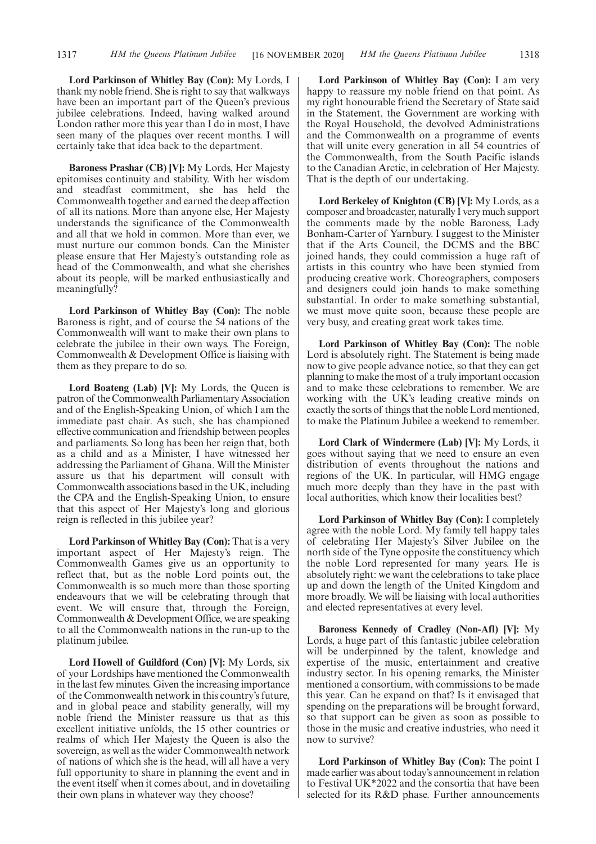**Lord Parkinson of Whitley Bay (Con):** My Lords, I thank my noble friend. She is right to say that walkways have been an important part of the Queen's previous jubilee celebrations. Indeed, having walked around London rather more this year than I do in most, I have seen many of the plaques over recent months. I will certainly take that idea back to the department.

**Baroness Prashar (CB) [V]:** My Lords, Her Majesty epitomises continuity and stability. With her wisdom and steadfast commitment, she has held the Commonwealth together and earned the deep affection of all its nations. More than anyone else, Her Majesty understands the significance of the Commonwealth and all that we hold in common. More than ever, we must nurture our common bonds. Can the Minister please ensure that Her Majesty's outstanding role as head of the Commonwealth, and what she cherishes about its people, will be marked enthusiastically and meaningfully?

**Lord Parkinson of Whitley Bay (Con):** The noble Baroness is right, and of course the 54 nations of the Commonwealth will want to make their own plans to celebrate the jubilee in their own ways. The Foreign, Commonwealth & Development Office is liaising with them as they prepare to do so.

**Lord Boateng (Lab) [V]:** My Lords, the Queen is patron of the Commonwealth Parliamentary Association and of the English-Speaking Union, of which I am the immediate past chair. As such, she has championed effective communication and friendship between peoples and parliaments. So long has been her reign that, both as a child and as a Minister, I have witnessed her addressing the Parliament of Ghana. Will the Minister assure us that his department will consult with Commonwealth associations based in the UK, including the CPA and the English-Speaking Union, to ensure that this aspect of Her Majesty's long and glorious reign is reflected in this jubilee year?

**Lord Parkinson of Whitley Bay (Con):** That is a very important aspect of Her Majesty's reign. The Commonwealth Games give us an opportunity to reflect that, but as the noble Lord points out, the Commonwealth is so much more than those sporting endeavours that we will be celebrating through that event. We will ensure that, through the Foreign, Commonwealth & Development Office, we are speaking to all the Commonwealth nations in the run-up to the platinum jubilee.

**Lord Howell of Guildford (Con) [V]:** My Lords, six of your Lordships have mentioned the Commonwealth in the last few minutes. Given the increasing importance of the Commonwealth network in this country's future, and in global peace and stability generally, will my noble friend the Minister reassure us that as this excellent initiative unfolds, the 15 other countries or realms of which Her Majesty the Queen is also the sovereign, as well as the wider Commonwealth network of nations of which she is the head, will all have a very full opportunity to share in planning the event and in the event itself when it comes about, and in dovetailing their own plans in whatever way they choose?

**Lord Parkinson of Whitley Bay (Con):** I am very happy to reassure my noble friend on that point. As my right honourable friend the Secretary of State said in the Statement, the Government are working with the Royal Household, the devolved Administrations and the Commonwealth on a programme of events that will unite every generation in all 54 countries of the Commonwealth, from the South Pacific islands to the Canadian Arctic, in celebration of Her Majesty. That is the depth of our undertaking.

**Lord Berkeley of Knighton (CB) [V]:** My Lords, as a composer and broadcaster, naturally I very much support the comments made by the noble Baroness, Lady Bonham-Carter of Yarnbury. I suggest to the Minister that if the Arts Council, the DCMS and the BBC joined hands, they could commission a huge raft of artists in this country who have been stymied from producing creative work. Choreographers, composers and designers could join hands to make something substantial. In order to make something substantial, we must move quite soon, because these people are very busy, and creating great work takes time.

**Lord Parkinson of Whitley Bay (Con):** The noble Lord is absolutely right. The Statement is being made now to give people advance notice, so that they can get planning to make the most of a truly important occasion and to make these celebrations to remember. We are working with the UK's leading creative minds on exactly the sorts of things that the noble Lord mentioned, to make the Platinum Jubilee a weekend to remember.

**Lord Clark of Windermere (Lab) [V]:** My Lords, it goes without saying that we need to ensure an even distribution of events throughout the nations and regions of the UK. In particular, will HMG engage much more deeply than they have in the past with local authorities, which know their localities best?

**Lord Parkinson of Whitley Bay (Con):** I completely agree with the noble Lord. My family tell happy tales of celebrating Her Majesty's Silver Jubilee on the north side of the Tyne opposite the constituency which the noble Lord represented for many years. He is absolutely right: we want the celebrations to take place up and down the length of the United Kingdom and more broadly. We will be liaising with local authorities and elected representatives at every level.

**Baroness Kennedy of Cradley (Non-Afl) [V]:** My Lords, a huge part of this fantastic jubilee celebration will be underpinned by the talent, knowledge and expertise of the music, entertainment and creative industry sector. In his opening remarks, the Minister mentioned a consortium, with commissions to be made this year. Can he expand on that? Is it envisaged that spending on the preparations will be brought forward, so that support can be given as soon as possible to those in the music and creative industries, who need it now to survive?

**Lord Parkinson of Whitley Bay (Con):** The point I made earlier was about today's announcement in relation to Festival UK\*2022 and the consortia that have been selected for its R&D phase. Further announcements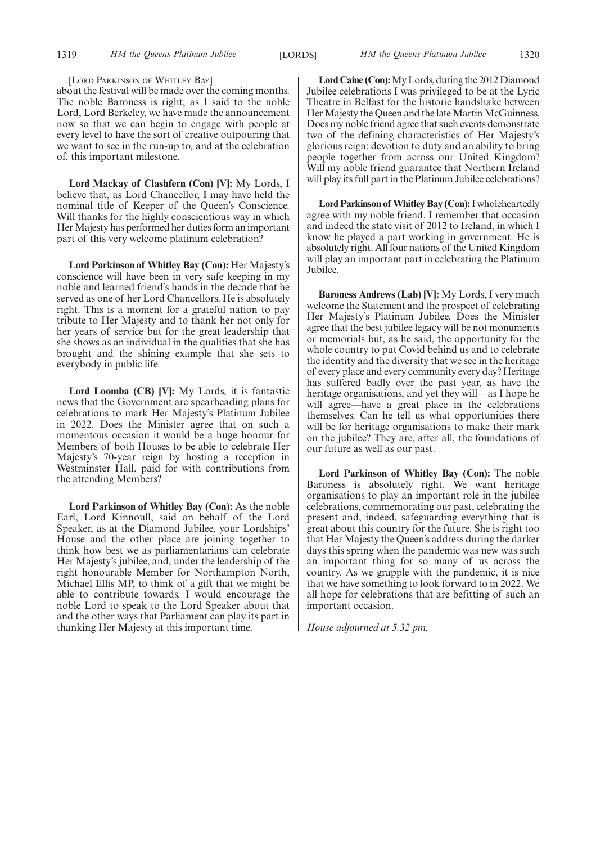#### [LORD PARKINSON OF WHITLEY BAY]

about the festival will be made over the coming months. The noble Baroness is right; as I said to the noble Lord, Lord Berkeley, we have made the announcement now so that we can begin to engage with people at every level to have the sort of creative outpouring that we want to see in the run-up to, and at the celebration of, this important milestone.

**Lord Mackay of Clashfern (Con) [V]:** My Lords, I believe that, as Lord Chancellor, I may have held the nominal title of Keeper of the Queen's Conscience. Will thanks for the highly conscientious way in which Her Majesty has performed her duties form an important part of this very welcome platinum celebration?

**Lord Parkinson of Whitley Bay (Con):** Her Majesty's conscience will have been in very safe keeping in my noble and learned friend's hands in the decade that he served as one of her Lord Chancellors. He is absolutely right. This is a moment for a grateful nation to pay tribute to Her Majesty and to thank her not only for her years of service but for the great leadership that she shows as an individual in the qualities that she has brought and the shining example that she sets to everybody in public life.

**Lord Loomba (CB) [V]:** My Lords, it is fantastic news that the Government are spearheading plans for celebrations to mark Her Majesty's Platinum Jubilee in 2022. Does the Minister agree that on such a momentous occasion it would be a huge honour for Members of both Houses to be able to celebrate Her Majesty's 70-year reign by hosting a reception in Westminster Hall, paid for with contributions from the attending Members?

**Lord Parkinson of Whitley Bay (Con):** As the noble Earl, Lord Kinnoull, said on behalf of the Lord Speaker, as at the Diamond Jubilee, your Lordships' House and the other place are joining together to think how best we as parliamentarians can celebrate Her Majesty's jubilee, and, under the leadership of the right honourable Member for Northampton North, Michael Ellis MP, to think of a gift that we might be able to contribute towards. I would encourage the noble Lord to speak to the Lord Speaker about that and the other ways that Parliament can play its part in thanking Her Majesty at this important time.

**Lord Caine (Con):**My Lords, during the 2012 Diamond Jubilee celebrations I was privileged to be at the Lyric Theatre in Belfast for the historic handshake between Her Majesty the Queen and the late Martin McGuinness. Does my noble friend agree that such events demonstrate two of the defining characteristics of Her Majesty's glorious reign: devotion to duty and an ability to bring people together from across our United Kingdom? Will my noble friend guarantee that Northern Ireland will play its full part in the Platinum Jubilee celebrations?

**Lord Parkinson of Whitley Bay (Con):**I wholeheartedly agree with my noble friend. I remember that occasion and indeed the state visit of 2012 to Ireland, in which I know he played a part working in government. He is absolutely right. All four nations of the United Kingdom will play an important part in celebrating the Platinum Jubilee.

**Baroness Andrews (Lab) [V]:** My Lords, I very much welcome the Statement and the prospect of celebrating Her Majesty's Platinum Jubilee. Does the Minister agree that the best jubilee legacy will be not monuments or memorials but, as he said, the opportunity for the whole country to put Covid behind us and to celebrate the identity and the diversity that we see in the heritage of every place and every community every day? Heritage has suffered badly over the past year, as have the heritage organisations, and yet they will—as I hope he will agree—have a great place in the celebrations themselves. Can he tell us what opportunities there will be for heritage organisations to make their mark on the jubilee? They are, after all, the foundations of our future as well as our past.

**Lord Parkinson of Whitley Bay (Con):** The noble Baroness is absolutely right. We want heritage organisations to play an important role in the jubilee celebrations, commemorating our past, celebrating the present and, indeed, safeguarding everything that is great about this country for the future. She is right too that Her Majesty the Queen's address during the darker days this spring when the pandemic was new was such an important thing for so many of us across the country. As we grapple with the pandemic, it is nice that we have something to look forward to in 2022. We all hope for celebrations that are befitting of such an important occasion.

*House adjourned at 5.32 pm.*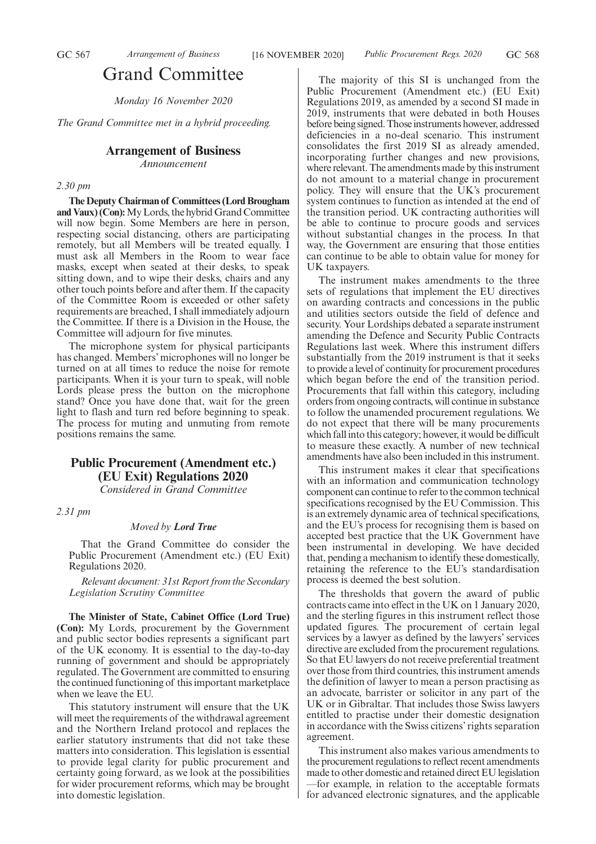# Grand Committee

*Monday 16 November 2020*

*The Grand Committee met in a hybrid proceeding.*

#### **Arrangement of Business**

*Announcement*

#### *2.30 pm*

**The Deputy Chairman of Committees (Lord Brougham and Vaux) (Con):**My Lords, the hybrid Grand Committee will now begin. Some Members are here in person, respecting social distancing, others are participating remotely, but all Members will be treated equally. I must ask all Members in the Room to wear face masks, except when seated at their desks, to speak sitting down, and to wipe their desks, chairs and any other touch points before and after them. If the capacity of the Committee Room is exceeded or other safety requirements are breached, I shall immediately adjourn the Committee. If there is a Division in the House, the Committee will adjourn for five minutes.

The microphone system for physical participants has changed. Members' microphones will no longer be turned on at all times to reduce the noise for remote participants. When it is your turn to speak, will noble Lords please press the button on the microphone stand? Once you have done that, wait for the green light to flash and turn red before beginning to speak. The process for muting and unmuting from remote positions remains the same.

# **Public Procurement (Amendment etc.) (EU Exit) Regulations 2020**

*Considered in Grand Committee*

*2.31 pm*

#### *Moved by Lord True*

That the Grand Committee do consider the Public Procurement (Amendment etc.) (EU Exit) Regulations 2020.

*Relevant document: 31st Report from the Secondary Legislation Scrutiny Committee*

**The Minister of State, Cabinet Office (Lord True) (Con):** My Lords, procurement by the Government and public sector bodies represents a significant part of the UK economy. It is essential to the day-to-day running of government and should be appropriately regulated. The Government are committed to ensuring the continued functioning of this important marketplace when we leave the EU.

This statutory instrument will ensure that the UK will meet the requirements of the withdrawal agreement and the Northern Ireland protocol and replaces the earlier statutory instruments that did not take these matters into consideration. This legislation is essential to provide legal clarity for public procurement and certainty going forward, as we look at the possibilities for wider procurement reforms, which may be brought into domestic legislation.

The majority of this SI is unchanged from the Public Procurement (Amendment etc.) (EU Exit) Regulations 2019, as amended by a second SI made in 2019, instruments that were debated in both Houses before being signed. Those instruments however, addressed deficiencies in a no-deal scenario. This instrument consolidates the first 2019 SI as already amended, incorporating further changes and new provisions, where relevant. The amendments made by this instrument do not amount to a material change in procurement policy. They will ensure that the UK's procurement system continues to function as intended at the end of the transition period. UK contracting authorities will be able to continue to procure goods and services without substantial changes in the process. In that way, the Government are ensuring that those entities can continue to be able to obtain value for money for UK taxpayers.

The instrument makes amendments to the three sets of regulations that implement the EU directives on awarding contracts and concessions in the public and utilities sectors outside the field of defence and security. Your Lordships debated a separate instrument amending the Defence and Security Public Contracts Regulations last week. Where this instrument differs substantially from the 2019 instrument is that it seeks to provide a level of continuity for procurement procedures which began before the end of the transition period. Procurements that fall within this category, including orders from ongoing contracts, will continue in substance to follow the unamended procurement regulations. We do not expect that there will be many procurements which fall into this category; however, it would be difficult to measure these exactly. A number of new technical amendments have also been included in this instrument.

This instrument makes it clear that specifications with an information and communication technology component can continue to refer to the common technical specifications recognised by the EU Commission. This is an extremely dynamic area of technical specifications, and the EU's process for recognising them is based on accepted best practice that the UK Government have been instrumental in developing. We have decided that, pending a mechanism to identify these domestically, retaining the reference to the EU's standardisation process is deemed the best solution.

The thresholds that govern the award of public contracts came into effect in the UK on 1 January 2020, and the sterling figures in this instrument reflect those updated figures. The procurement of certain legal services by a lawyer as defined by the lawyers' services directive are excluded from the procurement regulations. So that EU lawyers do not receive preferential treatment over those from third countries, this instrument amends the definition of lawyer to mean a person practising as an advocate, barrister or solicitor in any part of the UK or in Gibraltar. That includes those Swiss lawyers entitled to practise under their domestic designation in accordance with the Swiss citizens' rights separation agreement.

This instrument also makes various amendments to the procurement regulations to reflect recent amendments made to other domestic and retained direct EU legislation —for example, in relation to the acceptable formats for advanced electronic signatures, and the applicable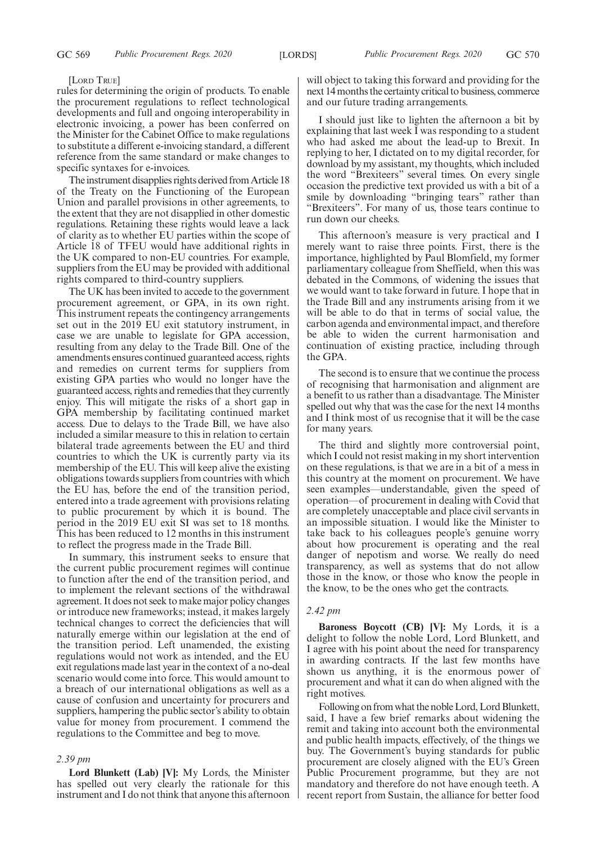#### [LORD TRUE]

rules for determining the origin of products. To enable the procurement regulations to reflect technological developments and full and ongoing interoperability in electronic invoicing, a power has been conferred on the Minister for the Cabinet Office to make regulations to substitute a different e-invoicing standard, a different reference from the same standard or make changes to specific syntaxes for e-invoices.

The instrument disapplies rights derived from Article 18 of the Treaty on the Functioning of the European Union and parallel provisions in other agreements, to the extent that they are not disapplied in other domestic regulations. Retaining these rights would leave a lack of clarity as to whether EU parties within the scope of Article 18 of TFEU would have additional rights in the UK compared to non-EU countries. For example, suppliers from the EU may be provided with additional rights compared to third-country suppliers.

The UK has been invited to accede to the government procurement agreement, or GPA, in its own right. This instrument repeats the contingency arrangements set out in the 2019 EU exit statutory instrument, in case we are unable to legislate for GPA accession, resulting from any delay to the Trade Bill. One of the amendments ensures continued guaranteed access, rights and remedies on current terms for suppliers from existing GPA parties who would no longer have the guaranteed access, rights and remedies that they currently enjoy. This will mitigate the risks of a short gap in GPA membership by facilitating continued market access. Due to delays to the Trade Bill, we have also included a similar measure to this in relation to certain bilateral trade agreements between the EU and third countries to which the UK is currently party via its membership of the EU. This will keep alive the existing obligations towards suppliers from countries with which the EU has, before the end of the transition period, entered into a trade agreement with provisions relating to public procurement by which it is bound. The period in the 2019 EU exit SI was set to 18 months. This has been reduced to 12 months in this instrument to reflect the progress made in the Trade Bill.

In summary, this instrument seeks to ensure that the current public procurement regimes will continue to function after the end of the transition period, and to implement the relevant sections of the withdrawal agreement. It does not seek to make major policy changes or introduce new frameworks; instead, it makes largely technical changes to correct the deficiencies that will naturally emerge within our legislation at the end of the transition period. Left unamended, the existing regulations would not work as intended, and the EU exit regulations made last year in the context of a no-deal scenario would come into force. This would amount to a breach of our international obligations as well as a cause of confusion and uncertainty for procurers and suppliers, hampering the public sector's ability to obtain value for money from procurement. I commend the regulations to the Committee and beg to move.

#### *2.39 pm*

**Lord Blunkett (Lab) [V]:** My Lords, the Minister has spelled out very clearly the rationale for this instrument and I do not think that anyone this afternoon will object to taking this forward and providing for the next 14 months the certainty critical to business, commerce and our future trading arrangements.

I should just like to lighten the afternoon a bit by explaining that last week I was responding to a student who had asked me about the lead-up to Brexit. In replying to her, I dictated on to my digital recorder, for download by my assistant, my thoughts, which included the word "Brexiteers" several times. On every single occasion the predictive text provided us with a bit of a smile by downloading "bringing tears" rather than "Brexiteers". For many of us, those tears continue to run down our cheeks.

This afternoon's measure is very practical and I merely want to raise three points. First, there is the importance, highlighted by Paul Blomfield, my former parliamentary colleague from Sheffield, when this was debated in the Commons, of widening the issues that we would want to take forward in future. I hope that in the Trade Bill and any instruments arising from it we will be able to do that in terms of social value, the carbon agenda and environmental impact, and therefore be able to widen the current harmonisation and continuation of existing practice, including through the GPA.

The second is to ensure that we continue the process of recognising that harmonisation and alignment are a benefit to us rather than a disadvantage. The Minister spelled out why that was the case for the next 14 months and I think most of us recognise that it will be the case for many years.

The third and slightly more controversial point, which I could not resist making in my short intervention on these regulations, is that we are in a bit of a mess in this country at the moment on procurement. We have seen examples—understandable, given the speed of operation—of procurement in dealing with Covid that are completely unacceptable and place civil servants in an impossible situation. I would like the Minister to take back to his colleagues people's genuine worry about how procurement is operating and the real danger of nepotism and worse. We really do need transparency, as well as systems that do not allow those in the know, or those who know the people in the know, to be the ones who get the contracts.

#### *2.42 pm*

**Baroness Boycott (CB) [V]:** My Lords, it is a delight to follow the noble Lord, Lord Blunkett, and I agree with his point about the need for transparency in awarding contracts. If the last few months have shown us anything, it is the enormous power of procurement and what it can do when aligned with the right motives.

Following on from what the noble Lord, Lord Blunkett, said, I have a few brief remarks about widening the remit and taking into account both the environmental and public health impacts, effectively, of the things we buy. The Government's buying standards for public procurement are closely aligned with the EU's Green Public Procurement programme, but they are not mandatory and therefore do not have enough teeth. A recent report from Sustain, the alliance for better food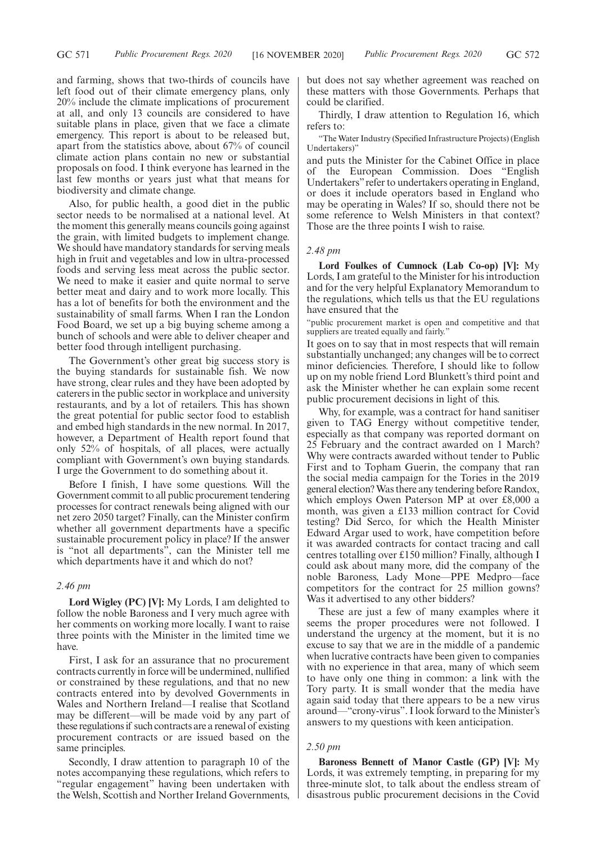and farming, shows that two-thirds of councils have left food out of their climate emergency plans, only 20% include the climate implications of procurement at all, and only 13 councils are considered to have suitable plans in place, given that we face a climate emergency. This report is about to be released but, apart from the statistics above, about 67% of council climate action plans contain no new or substantial proposals on food. I think everyone has learned in the last few months or years just what that means for biodiversity and climate change.

Also, for public health, a good diet in the public sector needs to be normalised at a national level. At the moment this generally means councils going against the grain, with limited budgets to implement change. We should have mandatory standards for serving meals high in fruit and vegetables and low in ultra-processed foods and serving less meat across the public sector. We need to make it easier and quite normal to serve better meat and dairy and to work more locally. This has a lot of benefits for both the environment and the sustainability of small farms. When I ran the London Food Board, we set up a big buying scheme among a bunch of schools and were able to deliver cheaper and better food through intelligent purchasing.

The Government's other great big success story is the buying standards for sustainable fish. We now have strong, clear rules and they have been adopted by caterers in the public sector in workplace and university restaurants, and by a lot of retailers. This has shown the great potential for public sector food to establish and embed high standards in the new normal. In 2017, however, a Department of Health report found that only 52% of hospitals, of all places, were actually compliant with Government's own buying standards. I urge the Government to do something about it.

Before I finish, I have some questions. Will the Government commit to all public procurement tendering processes for contract renewals being aligned with our net zero 2050 target? Finally, can the Minister confirm whether all government departments have a specific sustainable procurement policy in place? If the answer is "not all departments", can the Minister tell me which departments have it and which do not?

#### *2.46 pm*

**Lord Wigley (PC) [V]:** My Lords, I am delighted to follow the noble Baroness and I very much agree with her comments on working more locally. I want to raise three points with the Minister in the limited time we have.

First, I ask for an assurance that no procurement contracts currently in force will be undermined, nullified or constrained by these regulations, and that no new contracts entered into by devolved Governments in Wales and Northern Ireland—I realise that Scotland may be different—will be made void by any part of these regulations if such contracts are a renewal of existing procurement contracts or are issued based on the same principles.

Secondly, I draw attention to paragraph 10 of the notes accompanying these regulations, which refers to "regular engagement" having been undertaken with the Welsh, Scottish and Norther Ireland Governments,

but does not say whether agreement was reached on these matters with those Governments. Perhaps that could be clarified.

Thirdly, I draw attention to Regulation 16, which refers to:

"The Water Industry (Specified Infrastructure Projects) (English Undertakers)"

and puts the Minister for the Cabinet Office in place of the European Commission. Does "English Undertakers"refer to undertakers operating in England, or does it include operators based in England who may be operating in Wales? If so, should there not be some reference to Welsh Ministers in that context? Those are the three points I wish to raise.

#### *2.48 pm*

**Lord Foulkes of Cumnock (Lab Co-op) [V]:** My Lords, I am grateful to the Minister for his introduction and for the very helpful Explanatory Memorandum to the regulations, which tells us that the EU regulations have ensured that the

"public procurement market is open and competitive and that suppliers are treated equally and fairly."

It goes on to say that in most respects that will remain substantially unchanged; any changes will be to correct minor deficiencies. Therefore, I should like to follow up on my noble friend Lord Blunkett's third point and ask the Minister whether he can explain some recent public procurement decisions in light of this.

Why, for example, was a contract for hand sanitiser given to TAG Energy without competitive tender, especially as that company was reported dormant on 25 February and the contract awarded on 1 March? Why were contracts awarded without tender to Public First and to Topham Guerin, the company that ran the social media campaign for the Tories in the 2019 general election? Was there any tendering before Randox, which employs Owen Paterson MP at over £8,000 a month, was given a £133 million contract for Covid testing? Did Serco, for which the Health Minister Edward Argar used to work, have competition before it was awarded contracts for contact tracing and call centres totalling over £150 million? Finally, although I could ask about many more, did the company of the noble Baroness, Lady Mone—PPE Medpro—face competitors for the contract for 25 million gowns? Was it advertised to any other bidders?

These are just a few of many examples where it seems the proper procedures were not followed. I understand the urgency at the moment, but it is no excuse to say that we are in the middle of a pandemic when lucrative contracts have been given to companies with no experience in that area, many of which seem to have only one thing in common: a link with the Tory party. It is small wonder that the media have again said today that there appears to be a new virus around—"crony-virus". I look forward to the Minister's answers to my questions with keen anticipation.

#### *2.50 pm*

**Baroness Bennett of Manor Castle (GP) [V]:** My Lords, it was extremely tempting, in preparing for my three-minute slot, to talk about the endless stream of disastrous public procurement decisions in the Covid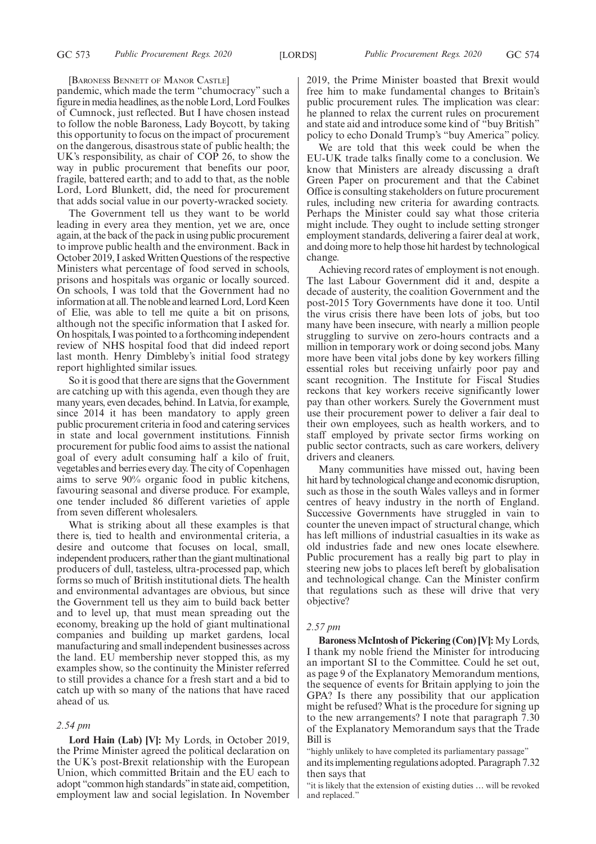#### [BARONESS BENNETT OF MANOR CASTLE]

pandemic, which made the term "chumocracy" such a figure in media headlines, as the noble Lord, Lord Foulkes of Cumnock, just reflected. But I have chosen instead to follow the noble Baroness, Lady Boycott, by taking this opportunity to focus on the impact of procurement on the dangerous, disastrous state of public health; the UK's responsibility, as chair of COP 26, to show the way in public procurement that benefits our poor, fragile, battered earth; and to add to that, as the noble Lord, Lord Blunkett, did, the need for procurement that adds social value in our poverty-wracked society.

The Government tell us they want to be world leading in every area they mention, yet we are, once again, at the back of the pack in using public procurement to improve public health and the environment. Back in October 2019, I asked Written Questions of the respective Ministers what percentage of food served in schools, prisons and hospitals was organic or locally sourced. On schools, I was told that the Government had no information at all. The noble and learned Lord, Lord Keen of Elie, was able to tell me quite a bit on prisons, although not the specific information that I asked for. On hospitals, I was pointed to a forthcoming independent review of NHS hospital food that did indeed report last month. Henry Dimbleby's initial food strategy report highlighted similar issues.

So it is good that there are signs that the Government are catching up with this agenda, even though they are many years, even decades, behind. In Latvia, for example, since 2014 it has been mandatory to apply green public procurement criteria in food and catering services in state and local government institutions. Finnish procurement for public food aims to assist the national goal of every adult consuming half a kilo of fruit, vegetables and berries every day. The city of Copenhagen aims to serve 90% organic food in public kitchens, favouring seasonal and diverse produce. For example, one tender included 86 different varieties of apple from seven different wholesalers.

What is striking about all these examples is that there is, tied to health and environmental criteria, a desire and outcome that focuses on local, small, independent producers, rather than the giant multinational producers of dull, tasteless, ultra-processed pap, which forms so much of British institutional diets. The health and environmental advantages are obvious, but since the Government tell us they aim to build back better and to level up, that must mean spreading out the economy, breaking up the hold of giant multinational companies and building up market gardens, local manufacturing and small independent businesses across the land. EU membership never stopped this, as my examples show, so the continuity the Minister referred to still provides a chance for a fresh start and a bid to catch up with so many of the nations that have raced ahead of us.

#### *2.54 pm*

**Lord Hain (Lab) [V]:** My Lords, in October 2019, the Prime Minister agreed the political declaration on the UK's post-Brexit relationship with the European Union, which committed Britain and the EU each to adopt "common high standards"in state aid, competition, employment law and social legislation. In November 2019, the Prime Minister boasted that Brexit would free him to make fundamental changes to Britain's public procurement rules. The implication was clear: he planned to relax the current rules on procurement and state aid and introduce some kind of "buy British" policy to echo Donald Trump's "buy America" policy.

We are told that this week could be when the EU-UK trade talks finally come to a conclusion. We know that Ministers are already discussing a draft Green Paper on procurement and that the Cabinet Office is consulting stakeholders on future procurement rules, including new criteria for awarding contracts. Perhaps the Minister could say what those criteria might include. They ought to include setting stronger employment standards, delivering a fairer deal at work, and doing more to help those hit hardest by technological change.

Achieving record rates of employment is not enough. The last Labour Government did it and, despite a decade of austerity, the coalition Government and the post-2015 Tory Governments have done it too. Until the virus crisis there have been lots of jobs, but too many have been insecure, with nearly a million people struggling to survive on zero-hours contracts and a million in temporary work or doing second jobs. Many more have been vital jobs done by key workers filling essential roles but receiving unfairly poor pay and scant recognition. The Institute for Fiscal Studies reckons that key workers receive significantly lower pay than other workers. Surely the Government must use their procurement power to deliver a fair deal to their own employees, such as health workers, and to staff employed by private sector firms working on public sector contracts, such as care workers, delivery drivers and cleaners.

Many communities have missed out, having been hit hard by technological change and economic disruption, such as those in the south Wales valleys and in former centres of heavy industry in the north of England. Successive Governments have struggled in vain to counter the uneven impact of structural change, which has left millions of industrial casualties in its wake as old industries fade and new ones locate elsewhere. Public procurement has a really big part to play in steering new jobs to places left bereft by globalisation and technological change. Can the Minister confirm that regulations such as these will drive that very objective?

#### *2.57 pm*

**Baroness McIntosh of Pickering (Con) [V]:** My Lords, I thank my noble friend the Minister for introducing an important SI to the Committee. Could he set out, as page 9 of the Explanatory Memorandum mentions, the sequence of events for Britain applying to join the GPA? Is there any possibility that our application might be refused? What is the procedure for signing up to the new arrangements? I note that paragraph 7.30 of the Explanatory Memorandum says that the Trade Bill is

"highly unlikely to have completed its parliamentary passage"

and its implementing regulations adopted. Paragraph 7.32 then says that

"it is likely that the extension of existing duties … will be revoked and replaced."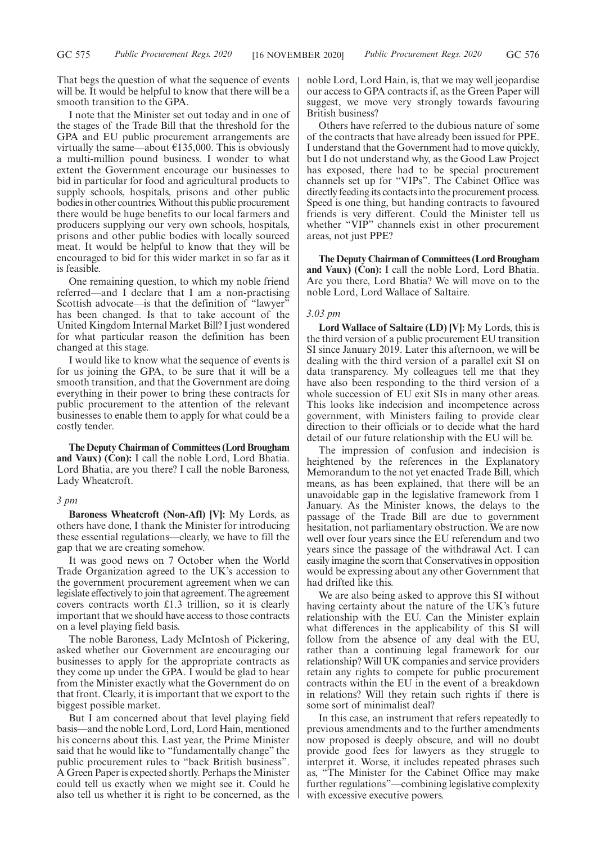That begs the question of what the sequence of events will be. It would be helpful to know that there will be a smooth transition to the GPA.

I note that the Minister set out today and in one of the stages of the Trade Bill that the threshold for the GPA and EU public procurement arrangements are virtually the same—about  $\epsilon$ 135,000. This is obviously a multi-million pound business. I wonder to what extent the Government encourage our businesses to bid in particular for food and agricultural products to supply schools, hospitals, prisons and other public bodies in other countries. Without this public procurement there would be huge benefits to our local farmers and producers supplying our very own schools, hospitals, prisons and other public bodies with locally sourced meat. It would be helpful to know that they will be encouraged to bid for this wider market in so far as it is feasible.

One remaining question, to which my noble friend referred—and I declare that I am a non-practising Scottish advocate—is that the definition of "lawyer" has been changed. Is that to take account of the United Kingdom Internal Market Bill? I just wondered for what particular reason the definition has been changed at this stage.

I would like to know what the sequence of events is for us joining the GPA, to be sure that it will be a smooth transition, and that the Government are doing everything in their power to bring these contracts for public procurement to the attention of the relevant businesses to enable them to apply for what could be a costly tender.

**The Deputy Chairman of Committees (Lord Brougham and Vaux) (Con):** I call the noble Lord, Lord Bhatia. Lord Bhatia, are you there? I call the noble Baroness, Lady Wheatcroft.

#### *3 pm*

**Baroness Wheatcroft (Non-Afl) [V]:** My Lords, as others have done, I thank the Minister for introducing these essential regulations—clearly, we have to fill the gap that we are creating somehow.

It was good news on 7 October when the World Trade Organization agreed to the UK's accession to the government procurement agreement when we can legislate effectively to join that agreement. The agreement covers contracts worth £1.3 trillion, so it is clearly important that we should have access to those contracts on a level playing field basis.

The noble Baroness, Lady McIntosh of Pickering, asked whether our Government are encouraging our businesses to apply for the appropriate contracts as they come up under the GPA. I would be glad to hear from the Minister exactly what the Government do on that front. Clearly, it is important that we export to the biggest possible market.

But I am concerned about that level playing field basis—and the noble Lord, Lord, Lord Hain, mentioned his concerns about this. Last year, the Prime Minister said that he would like to "fundamentally change" the public procurement rules to "back British business". A Green Paper is expected shortly. Perhaps the Minister could tell us exactly when we might see it. Could he also tell us whether it is right to be concerned, as the noble Lord, Lord Hain, is, that we may well jeopardise our access to GPA contracts if, as the Green Paper will suggest, we move very strongly towards favouring British business?

Others have referred to the dubious nature of some of the contracts that have already been issued for PPE. I understand that the Government had to move quickly, but I do not understand why, as the Good Law Project has exposed, there had to be special procurement channels set up for "VIPs". The Cabinet Office was directly feeding its contacts into the procurement process. Speed is one thing, but handing contracts to favoured friends is very different. Could the Minister tell us whether "VIP" channels exist in other procurement areas, not just PPE?

**The Deputy Chairman of Committees (Lord Brougham and Vaux) (Con):** I call the noble Lord, Lord Bhatia. Are you there, Lord Bhatia? We will move on to the noble Lord, Lord Wallace of Saltaire.

#### *3.03 pm*

**Lord Wallace of Saltaire (LD) [V]:** My Lords, this is the third version of a public procurement EU transition SI since January 2019. Later this afternoon, we will be dealing with the third version of a parallel exit SI on data transparency. My colleagues tell me that they have also been responding to the third version of a whole succession of EU exit SIs in many other areas. This looks like indecision and incompetence across government, with Ministers failing to provide clear direction to their officials or to decide what the hard detail of our future relationship with the EU will be.

The impression of confusion and indecision is heightened by the references in the Explanatory Memorandum to the not yet enacted Trade Bill, which means, as has been explained, that there will be an unavoidable gap in the legislative framework from 1 January. As the Minister knows, the delays to the passage of the Trade Bill are due to government hesitation, not parliamentary obstruction. We are now well over four years since the EU referendum and two years since the passage of the withdrawal Act. I can easily imagine the scorn that Conservatives in opposition would be expressing about any other Government that had drifted like this.

We are also being asked to approve this SI without having certainty about the nature of the UK's future relationship with the EU. Can the Minister explain what differences in the applicability of this SI will follow from the absence of any deal with the EU, rather than a continuing legal framework for our relationship? Will UK companies and service providers retain any rights to compete for public procurement contracts within the EU in the event of a breakdown in relations? Will they retain such rights if there is some sort of minimalist deal?

In this case, an instrument that refers repeatedly to previous amendments and to the further amendments now proposed is deeply obscure, and will no doubt provide good fees for lawyers as they struggle to interpret it. Worse, it includes repeated phrases such as, "The Minister for the Cabinet Office may make further regulations"—combining legislative complexity with excessive executive powers.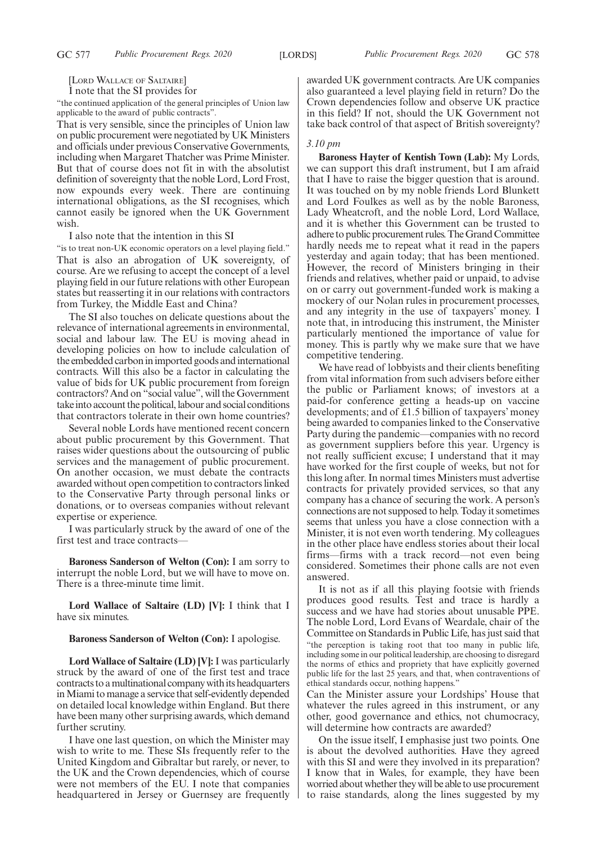[LORD WALLACE OF SALTAIRE]

I note that the SI provides for

"the continued application of the general principles of Union law applicable to the award of public contracts".

That is very sensible, since the principles of Union law on public procurement were negotiated by UK Ministers and officials under previous Conservative Governments, including when Margaret Thatcher was Prime Minister. But that of course does not fit in with the absolutist definition of sovereignty that the noble Lord, Lord Frost, now expounds every week. There are continuing international obligations, as the SI recognises, which cannot easily be ignored when the UK Government wish.

I also note that the intention in this SI

"is to treat non-UK economic operators on a level playing field." That is also an abrogation of UK sovereignty, of course. Are we refusing to accept the concept of a level playing field in our future relations with other European states but reasserting it in our relations with contractors from Turkey, the Middle East and China?

The SI also touches on delicate questions about the relevance of international agreements in environmental, social and labour law. The EU is moving ahead in developing policies on how to include calculation of the embedded carbon in imported goods and international contracts. Will this also be a factor in calculating the value of bids for UK public procurement from foreign contractors? And on "social value", will the Government take into account the political, labour and social conditions that contractors tolerate in their own home countries?

Several noble Lords have mentioned recent concern about public procurement by this Government. That raises wider questions about the outsourcing of public services and the management of public procurement. On another occasion, we must debate the contracts awarded without open competition to contractors linked to the Conservative Party through personal links or donations, or to overseas companies without relevant expertise or experience.

I was particularly struck by the award of one of the first test and trace contracts—

**Baroness Sanderson of Welton (Con):** I am sorry to interrupt the noble Lord, but we will have to move on. There is a three-minute time limit.

**Lord Wallace of Saltaire (LD) [V]:** I think that I have six minutes.

#### **Baroness Sanderson of Welton (Con):** I apologise.

**Lord Wallace of Saltaire (LD) [V]:** I was particularly struck by the award of one of the first test and trace contracts to a multinational company with its headquarters in Miami to manage a service that self-evidently depended on detailed local knowledge within England. But there have been many other surprising awards, which demand further scrutiny.

I have one last question, on which the Minister may wish to write to me. These SIs frequently refer to the United Kingdom and Gibraltar but rarely, or never, to the UK and the Crown dependencies, which of course were not members of the EU. I note that companies headquartered in Jersey or Guernsey are frequently awarded UK government contracts. Are UK companies also guaranteed a level playing field in return? Do the Crown dependencies follow and observe UK practice in this field? If not, should the UK Government not take back control of that aspect of British sovereignty?

#### *3.10 pm*

**Baroness Hayter of Kentish Town (Lab):** My Lords, we can support this draft instrument, but I am afraid that I have to raise the bigger question that is around. It was touched on by my noble friends Lord Blunkett and Lord Foulkes as well as by the noble Baroness, Lady Wheatcroft, and the noble Lord, Lord Wallace, and it is whether this Government can be trusted to adhere to public procurement rules. The Grand Committee hardly needs me to repeat what it read in the papers yesterday and again today; that has been mentioned. However, the record of Ministers bringing in their friends and relatives, whether paid or unpaid, to advise on or carry out government-funded work is making a mockery of our Nolan rules in procurement processes, and any integrity in the use of taxpayers' money. I note that, in introducing this instrument, the Minister particularly mentioned the importance of value for money. This is partly why we make sure that we have competitive tendering.

We have read of lobbyists and their clients benefiting from vital information from such advisers before either the public or Parliament knows; of investors at a paid-for conference getting a heads-up on vaccine developments; and of £1.5 billion of taxpayers' money being awarded to companies linked to the Conservative Party during the pandemic—companies with no record as government suppliers before this year. Urgency is not really sufficient excuse; I understand that it may have worked for the first couple of weeks, but not for this long after. In normal times Ministers must advertise contracts for privately provided services, so that any company has a chance of securing the work. A person's connections are not supposed to help. Today it sometimes seems that unless you have a close connection with a Minister, it is not even worth tendering. My colleagues in the other place have endless stories about their local firms—firms with a track record—not even being considered. Sometimes their phone calls are not even answered.

It is not as if all this playing footsie with friends produces good results. Test and trace is hardly a success and we have had stories about unusable PPE. The noble Lord, Lord Evans of Weardale, chair of the Committee on Standards in Public Life, has just said that "the perception is taking root that too many in public life, including some in our political leadership, are choosing to disregard the norms of ethics and propriety that have explicitly governed public life for the last 25 years, and that, when contraventions of ethical standards occur, nothing happens."

Can the Minister assure your Lordships' House that whatever the rules agreed in this instrument, or any other, good governance and ethics, not chumocracy, will determine how contracts are awarded?

On the issue itself, I emphasise just two points. One is about the devolved authorities. Have they agreed with this SI and were they involved in its preparation? I know that in Wales, for example, they have been worried about whether they will be able to use procurement to raise standards, along the lines suggested by my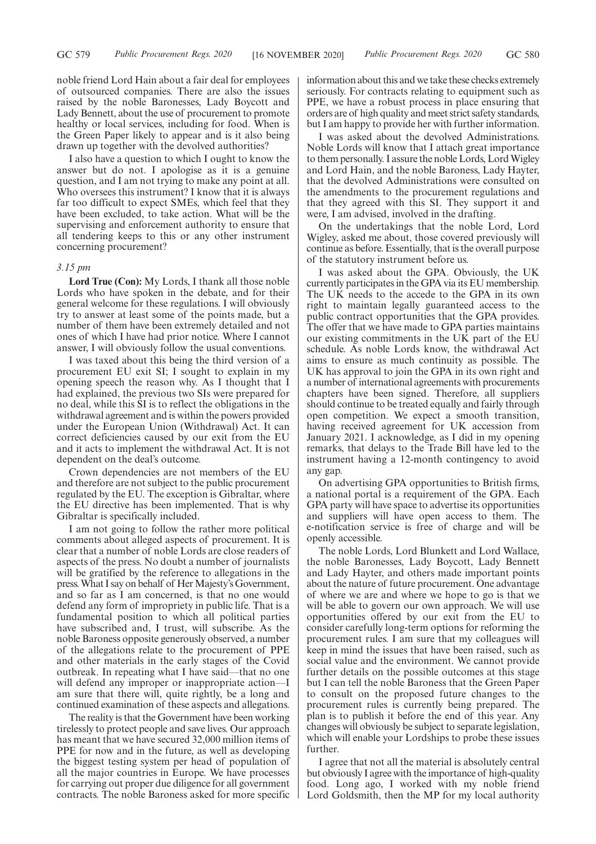noble friend Lord Hain about a fair deal for employees of outsourced companies. There are also the issues raised by the noble Baronesses, Lady Boycott and Lady Bennett, about the use of procurement to promote healthy or local services, including for food. When is the Green Paper likely to appear and is it also being drawn up together with the devolved authorities?

I also have a question to which I ought to know the answer but do not. I apologise as it is a genuine question, and I am not trying to make any point at all. Who oversees this instrument? I know that it is always far too difficult to expect SMEs, which feel that they have been excluded, to take action. What will be the supervising and enforcement authority to ensure that all tendering keeps to this or any other instrument concerning procurement?

#### *3.15 pm*

**Lord True (Con):** My Lords, I thank all those noble Lords who have spoken in the debate, and for their general welcome for these regulations. I will obviously try to answer at least some of the points made, but a number of them have been extremely detailed and not ones of which I have had prior notice. Where I cannot answer, I will obviously follow the usual conventions.

I was taxed about this being the third version of a procurement EU exit SI; I sought to explain in my opening speech the reason why. As I thought that I had explained, the previous two SIs were prepared for no deal, while this SI is to reflect the obligations in the withdrawal agreement and is within the powers provided under the European Union (Withdrawal) Act. It can correct deficiencies caused by our exit from the EU and it acts to implement the withdrawal Act. It is not dependent on the deal's outcome.

Crown dependencies are not members of the EU and therefore are not subject to the public procurement regulated by the EU. The exception is Gibraltar, where the EU directive has been implemented. That is why Gibraltar is specifically included.

I am not going to follow the rather more political comments about alleged aspects of procurement. It is clear that a number of noble Lords are close readers of aspects of the press. No doubt a number of journalists will be gratified by the reference to allegations in the press. What I say on behalf of Her Majesty's Government, and so far as I am concerned, is that no one would defend any form of impropriety in public life. That is a fundamental position to which all political parties have subscribed and, I trust, will subscribe. As the noble Baroness opposite generously observed, a number of the allegations relate to the procurement of PPE and other materials in the early stages of the Covid outbreak. In repeating what I have said—that no one will defend any improper or inappropriate action—I am sure that there will, quite rightly, be a long and continued examination of these aspects and allegations.

The reality is that the Government have been working tirelessly to protect people and save lives. Our approach has meant that we have secured 32,000 million items of PPE for now and in the future, as well as developing the biggest testing system per head of population of all the major countries in Europe. We have processes for carrying out proper due diligence for all government contracts. The noble Baroness asked for more specific information about this and we take these checks extremely seriously. For contracts relating to equipment such as PPE, we have a robust process in place ensuring that orders are of high quality and meet strict safety standards, but I am happy to provide her with further information.

I was asked about the devolved Administrations. Noble Lords will know that I attach great importance to them personally. I assure the noble Lords, Lord Wigley and Lord Hain, and the noble Baroness, Lady Hayter, that the devolved Administrations were consulted on the amendments to the procurement regulations and that they agreed with this SI. They support it and were, I am advised, involved in the drafting.

On the undertakings that the noble Lord, Lord Wigley, asked me about, those covered previously will continue as before. Essentially, that is the overall purpose of the statutory instrument before us.

I was asked about the GPA. Obviously, the UK currently participates in the GPA via its EU membership. The UK needs to the accede to the GPA in its own right to maintain legally guaranteed access to the public contract opportunities that the GPA provides. The offer that we have made to GPA parties maintains our existing commitments in the UK part of the EU schedule. As noble Lords know, the withdrawal Act aims to ensure as much continuity as possible. The UK has approval to join the GPA in its own right and a number of international agreements with procurements chapters have been signed. Therefore, all suppliers should continue to be treated equally and fairly through open competition. We expect a smooth transition, having received agreement for UK accession from January 2021. I acknowledge, as I did in my opening remarks, that delays to the Trade Bill have led to the instrument having a 12-month contingency to avoid any gap.

On advertising GPA opportunities to British firms, a national portal is a requirement of the GPA. Each GPA party will have space to advertise its opportunities and suppliers will have open access to them. The e-notification service is free of charge and will be openly accessible.

The noble Lords, Lord Blunkett and Lord Wallace, the noble Baronesses, Lady Boycott, Lady Bennett and Lady Hayter, and others made important points about the nature of future procurement. One advantage of where we are and where we hope to go is that we will be able to govern our own approach. We will use opportunities offered by our exit from the EU to consider carefully long-term options for reforming the procurement rules. I am sure that my colleagues will keep in mind the issues that have been raised, such as social value and the environment. We cannot provide further details on the possible outcomes at this stage but I can tell the noble Baroness that the Green Paper to consult on the proposed future changes to the procurement rules is currently being prepared. The plan is to publish it before the end of this year. Any changes will obviously be subject to separate legislation, which will enable your Lordships to probe these issues further.

I agree that not all the material is absolutely central but obviously I agree with the importance of high-quality food. Long ago, I worked with my noble friend Lord Goldsmith, then the MP for my local authority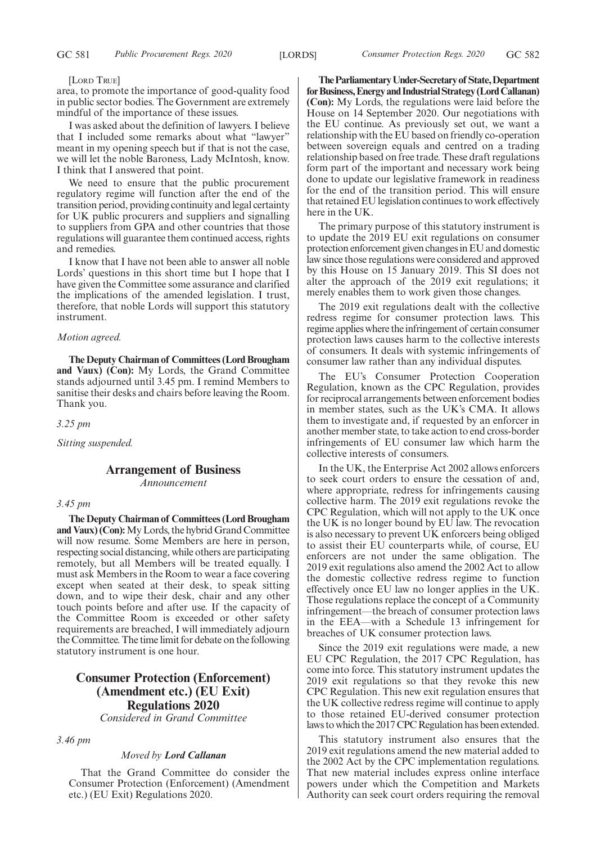#### [LORD TRUE]

area, to promote the importance of good-quality food in public sector bodies. The Government are extremely mindful of the importance of these issues.

I was asked about the definition of lawyers. I believe that I included some remarks about what "lawyer" meant in my opening speech but if that is not the case, we will let the noble Baroness, Lady McIntosh, know. I think that I answered that point.

We need to ensure that the public procurement regulatory regime will function after the end of the transition period, providing continuity and legal certainty for UK public procurers and suppliers and signalling to suppliers from GPA and other countries that those regulations will guarantee them continued access, rights and remedies.

I know that I have not been able to answer all noble Lords' questions in this short time but I hope that I have given the Committee some assurance and clarified the implications of the amended legislation. I trust, therefore, that noble Lords will support this statutory instrument.

#### *Motion agreed.*

**The Deputy Chairman of Committees (Lord Brougham and Vaux) (Con):** My Lords, the Grand Committee stands adjourned until 3.45 pm. I remind Members to sanitise their desks and chairs before leaving the Room. Thank you.

*3.25 pm*

*Sitting suspended.*

### **Arrangement of Business** *Announcement*

#### *3.45 pm*

**The Deputy Chairman of Committees (Lord Brougham and Vaux) (Con):**My Lords, the hybrid Grand Committee will now resume. Some Members are here in person, respecting social distancing, while others are participating remotely, but all Members will be treated equally. I must ask Members in the Room to wear a face covering except when seated at their desk, to speak sitting down, and to wipe their desk, chair and any other touch points before and after use. If the capacity of the Committee Room is exceeded or other safety requirements are breached, I will immediately adjourn the Committee. The time limit for debate on the following statutory instrument is one hour.

# **Consumer Protection (Enforcement) (Amendment etc.) (EU Exit) Regulations 2020** *Considered in Grand Committee*

*3.46 pm*

#### *Moved by Lord Callanan*

That the Grand Committee do consider the Consumer Protection (Enforcement) (Amendment etc.) (EU Exit) Regulations 2020.

**TheParliamentaryUnder-Secretaryof State,Department forBusiness,EnergyandIndustrialStrategy(LordCallanan) (Con):** My Lords, the regulations were laid before the House on 14 September 2020. Our negotiations with the EU continue. As previously set out, we want a relationship with the EU based on friendly co-operation between sovereign equals and centred on a trading relationship based on free trade. These draft regulations form part of the important and necessary work being done to update our legislative framework in readiness for the end of the transition period. This will ensure that retained EU legislation continues to work effectively here in the UK.

The primary purpose of this statutory instrument is to update the 2019 EU exit regulations on consumer protection enforcement given changes in EU and domestic law since those regulations were considered and approved by this House on 15 January 2019. This SI does not alter the approach of the 2019 exit regulations; it merely enables them to work given those changes.

The 2019 exit regulations dealt with the collective redress regime for consumer protection laws. This regime applies where the infringement of certain consumer protection laws causes harm to the collective interests of consumers. It deals with systemic infringements of consumer law rather than any individual disputes.

The EU's Consumer Protection Cooperation Regulation, known as the CPC Regulation, provides for reciprocal arrangements between enforcement bodies in member states, such as the UK's CMA. It allows them to investigate and, if requested by an enforcer in another member state, to take action to end cross-border infringements of EU consumer law which harm the collective interests of consumers.

In the UK, the Enterprise Act 2002 allows enforcers to seek court orders to ensure the cessation of and, where appropriate, redress for infringements causing collective harm. The 2019 exit regulations revoke the CPC Regulation, which will not apply to the UK once the UK is no longer bound by EU law. The revocation is also necessary to prevent UK enforcers being obliged to assist their EU counterparts while, of course, EU enforcers are not under the same obligation. The 2019 exit regulations also amend the 2002 Act to allow the domestic collective redress regime to function effectively once EU law no longer applies in the UK. Those regulations replace the concept of a Community infringement—the breach of consumer protection laws in the EEA—with a Schedule 13 infringement for breaches of UK consumer protection laws.

Since the 2019 exit regulations were made, a new EU CPC Regulation, the 2017 CPC Regulation, has come into force. This statutory instrument updates the 2019 exit regulations so that they revoke this new CPC Regulation. This new exit regulation ensures that the UK collective redress regime will continue to apply to those retained EU-derived consumer protection laws to which the 2017 CPC Regulation has been extended.

This statutory instrument also ensures that the 2019 exit regulations amend the new material added to the 2002 Act by the CPC implementation regulations. That new material includes express online interface powers under which the Competition and Markets Authority can seek court orders requiring the removal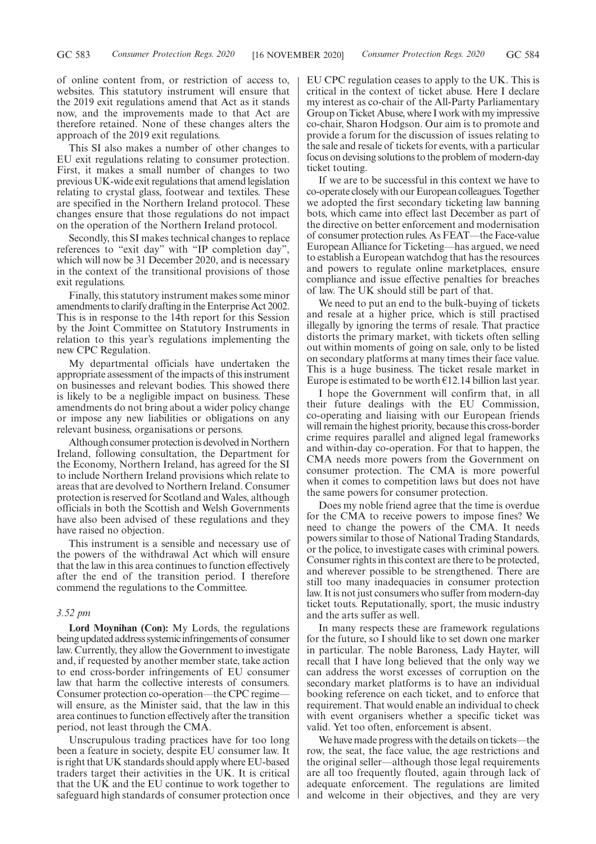of online content from, or restriction of access to, websites. This statutory instrument will ensure that the 2019 exit regulations amend that Act as it stands now, and the improvements made to that Act are therefore retained. None of these changes alters the approach of the 2019 exit regulations.

This SI also makes a number of other changes to EU exit regulations relating to consumer protection. First, it makes a small number of changes to two previous UK-wide exit regulations that amend legislation relating to crystal glass, footwear and textiles. These are specified in the Northern Ireland protocol. These changes ensure that those regulations do not impact on the operation of the Northern Ireland protocol.

Secondly, this SI makes technical changes to replace references to "exit day" with "IP completion day", which will now be 31 December 2020, and is necessary in the context of the transitional provisions of those exit regulations.

Finally, this statutory instrument makes some minor amendments to clarify drafting in the Enterprise Act 2002. This is in response to the 14th report for this Session by the Joint Committee on Statutory Instruments in relation to this year's regulations implementing the new CPC Regulation.

My departmental officials have undertaken the appropriate assessment of the impacts of this instrument on businesses and relevant bodies. This showed there is likely to be a negligible impact on business. These amendments do not bring about a wider policy change or impose any new liabilities or obligations on any relevant business, organisations or persons.

Although consumer protection is devolved in Northern Ireland, following consultation, the Department for the Economy, Northern Ireland, has agreed for the SI to include Northern Ireland provisions which relate to areas that are devolved to Northern Ireland. Consumer protection is reserved for Scotland and Wales, although officials in both the Scottish and Welsh Governments have also been advised of these regulations and they have raised no objection.

This instrument is a sensible and necessary use of the powers of the withdrawal Act which will ensure that the law in this area continues to function effectively after the end of the transition period. I therefore commend the regulations to the Committee.

#### *3.52 pm*

**Lord Moynihan (Con):** My Lords, the regulations being updated address systemic infringements of consumer law. Currently, they allow the Government to investigate and, if requested by another member state, take action to end cross-border infringements of EU consumer law that harm the collective interests of consumers. Consumer protection co-operation—the CPC regime will ensure, as the Minister said, that the law in this area continues to function effectively after the transition period, not least through the CMA.

Unscrupulous trading practices have for too long been a feature in society, despite EU consumer law. It is right that UK standards should apply where EU-based traders target their activities in the UK. It is critical that the UK and the EU continue to work together to safeguard high standards of consumer protection once EU CPC regulation ceases to apply to the UK. This is critical in the context of ticket abuse. Here I declare my interest as co-chair of the All-Party Parliamentary Group on Ticket Abuse, where I work with my impressive co-chair, Sharon Hodgson. Our aim is to promote and provide a forum for the discussion of issues relating to the sale and resale of tickets for events, with a particular focus on devising solutions to the problem of modern-day ticket touting.

If we are to be successful in this context we have to co-operate closely with our European colleagues. Together we adopted the first secondary ticketing law banning bots, which came into effect last December as part of the directive on better enforcement and modernisation of consumer protection rules. As FEAT—the Face-value European Alliance for Ticketing—has argued, we need to establish a European watchdog that has the resources and powers to regulate online marketplaces, ensure compliance and issue effective penalties for breaches of law. The UK should still be part of that.

We need to put an end to the bulk-buying of tickets and resale at a higher price, which is still practised illegally by ignoring the terms of resale. That practice distorts the primary market, with tickets often selling out within moments of going on sale, only to be listed on secondary platforms at many times their face value. This is a huge business. The ticket resale market in Europe is estimated to be worth  $E12.14$  billion last year.

I hope the Government will confirm that, in all their future dealings with the EU Commission, co-operating and liaising with our European friends will remain the highest priority, because this cross-border crime requires parallel and aligned legal frameworks and within-day co-operation. For that to happen, the CMA needs more powers from the Government on consumer protection. The CMA is more powerful when it comes to competition laws but does not have the same powers for consumer protection.

Does my noble friend agree that the time is overdue for the CMA to receive powers to impose fines? We need to change the powers of the CMA. It needs powers similar to those of National Trading Standards, or the police, to investigate cases with criminal powers. Consumer rights in this context are there to be protected, and wherever possible to be strengthened. There are still too many inadequacies in consumer protection law. It is not just consumers who suffer from modern-day ticket touts. Reputationally, sport, the music industry and the arts suffer as well.

In many respects these are framework regulations for the future, so I should like to set down one marker in particular. The noble Baroness, Lady Hayter, will recall that I have long believed that the only way we can address the worst excesses of corruption on the secondary market platforms is to have an individual booking reference on each ticket, and to enforce that requirement. That would enable an individual to check with event organisers whether a specific ticket was valid. Yet too often, enforcement is absent.

We have made progress with the details on tickets—the row, the seat, the face value, the age restrictions and the original seller—although those legal requirements are all too frequently flouted, again through lack of adequate enforcement. The regulations are limited and welcome in their objectives, and they are very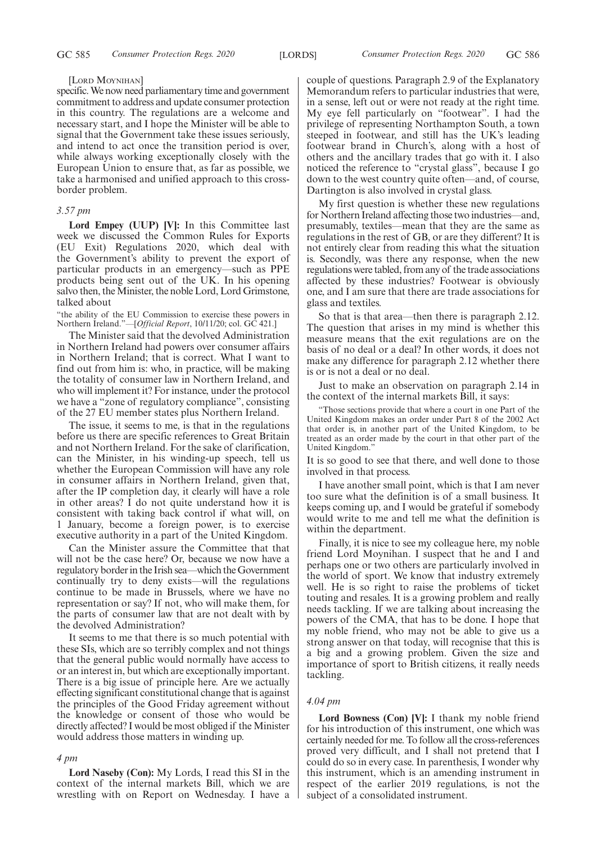#### [LORD MOYNIHAN]

specific. We now need parliamentary time and government commitment to address and update consumer protection in this country. The regulations are a welcome and necessary start, and I hope the Minister will be able to signal that the Government take these issues seriously, and intend to act once the transition period is over, while always working exceptionally closely with the European Union to ensure that, as far as possible, we take a harmonised and unified approach to this crossborder problem.

#### *3.57 pm*

Lord Empey (UUP) [V]: In this Committee last week we discussed the Common Rules for Exports (EU Exit) Regulations 2020, which deal with the Government's ability to prevent the export of particular products in an emergency—such as PPE products being sent out of the UK. In his opening salvo then, the Minister, the noble Lord, Lord Grimstone, talked about

"the ability of the EU Commission to exercise these powers in Northern Ireland."—[*Official Report*, 10/11/20; col. GC 421.]

The Minister said that the devolved Administration in Northern Ireland had powers over consumer affairs in Northern Ireland; that is correct. What I want to find out from him is: who, in practice, will be making the totality of consumer law in Northern Ireland, and who will implement it? For instance, under the protocol we have a "zone of regulatory compliance", consisting of the 27 EU member states plus Northern Ireland.

The issue, it seems to me, is that in the regulations before us there are specific references to Great Britain and not Northern Ireland. For the sake of clarification, can the Minister, in his winding-up speech, tell us whether the European Commission will have any role in consumer affairs in Northern Ireland, given that, after the IP completion day, it clearly will have a role in other areas? I do not quite understand how it is consistent with taking back control if what will, on 1 January, become a foreign power, is to exercise executive authority in a part of the United Kingdom.

Can the Minister assure the Committee that that will not be the case here? Or, because we now have a regulatory border in the Irish sea—which the Government continually try to deny exists—will the regulations continue to be made in Brussels, where we have no representation or say? If not, who will make them, for the parts of consumer law that are not dealt with by the devolved Administration?

It seems to me that there is so much potential with these SIs, which are so terribly complex and not things that the general public would normally have access to or an interest in, but which are exceptionally important. There is a big issue of principle here. Are we actually effecting significant constitutional change that is against the principles of the Good Friday agreement without the knowledge or consent of those who would be directly affected? I would be most obliged if the Minister would address those matters in winding up.

#### *4 pm*

**Lord Naseby (Con):** My Lords, I read this SI in the context of the internal markets Bill, which we are wrestling with on Report on Wednesday. I have a couple of questions. Paragraph 2.9 of the Explanatory Memorandum refers to particular industries that were, in a sense, left out or were not ready at the right time. My eye fell particularly on "footwear". I had the privilege of representing Northampton South, a town steeped in footwear, and still has the UK's leading footwear brand in Church's, along with a host of others and the ancillary trades that go with it. I also noticed the reference to "crystal glass", because I go down to the west country quite often—and, of course, Dartington is also involved in crystal glass.

My first question is whether these new regulations for Northern Ireland affecting those two industries—and, presumably, textiles—mean that they are the same as regulations in the rest of GB, or are they different? It is not entirely clear from reading this what the situation is. Secondly, was there any response, when the new regulations were tabled, from any of the trade associations affected by these industries? Footwear is obviously one, and I am sure that there are trade associations for glass and textiles.

So that is that area—then there is paragraph 2.12. The question that arises in my mind is whether this measure means that the exit regulations are on the basis of no deal or a deal? In other words, it does not make any difference for paragraph 2.12 whether there is or is not a deal or no deal.

Just to make an observation on paragraph 2.14 in the context of the internal markets Bill, it says:

"Those sections provide that where a court in one Part of the United Kingdom makes an order under Part 8 of the 2002 Act that order is, in another part of the United Kingdom, to be treated as an order made by the court in that other part of the United Kingdom."

It is so good to see that there, and well done to those involved in that process.

I have another small point, which is that I am never too sure what the definition is of a small business. It keeps coming up, and I would be grateful if somebody would write to me and tell me what the definition is within the department.

Finally, it is nice to see my colleague here, my noble friend Lord Moynihan. I suspect that he and I and perhaps one or two others are particularly involved in the world of sport. We know that industry extremely well. He is so right to raise the problems of ticket touting and resales. It is a growing problem and really needs tackling. If we are talking about increasing the powers of the CMA, that has to be done. I hope that my noble friend, who may not be able to give us a strong answer on that today, will recognise that this is a big and a growing problem. Given the size and importance of sport to British citizens, it really needs tackling.

#### *4.04 pm*

**Lord Bowness (Con) [V]:** I thank my noble friend for his introduction of this instrument, one which was certainly needed for me. To follow all the cross-references proved very difficult, and I shall not pretend that I could do so in every case. In parenthesis, I wonder why this instrument, which is an amending instrument in respect of the earlier 2019 regulations, is not the subject of a consolidated instrument.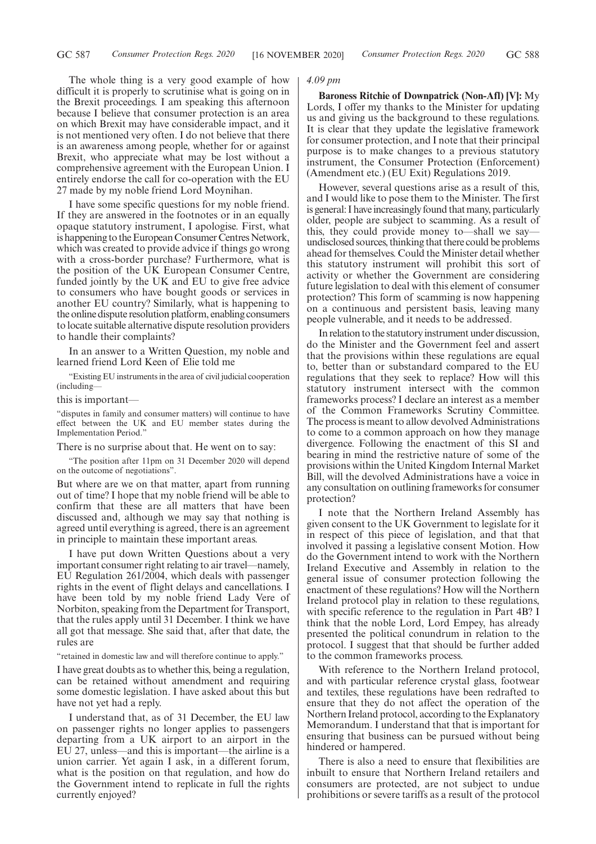The whole thing is a very good example of how difficult it is properly to scrutinise what is going on in the Brexit proceedings. I am speaking this afternoon because I believe that consumer protection is an area on which Brexit may have considerable impact, and it is not mentioned very often. I do not believe that there is an awareness among people, whether for or against Brexit, who appreciate what may be lost without a comprehensive agreement with the European Union. I entirely endorse the call for co-operation with the EU 27 made by my noble friend Lord Moynihan.

I have some specific questions for my noble friend. If they are answered in the footnotes or in an equally opaque statutory instrument, I apologise. First, what is happening to the European Consumer Centres Network, which was created to provide advice if things go wrong with a cross-border purchase? Furthermore, what is the position of the UK European Consumer Centre, funded jointly by the UK and EU to give free advice to consumers who have bought goods or services in another EU country? Similarly, what is happening to the online dispute resolution platform, enabling consumers to locate suitable alternative dispute resolution providers to handle their complaints?

In an answer to a Written Question, my noble and learned friend Lord Keen of Elie told me

"Existing EU instruments in the area of civil judicial cooperation (including—

this is important—

"disputes in family and consumer matters) will continue to have effect between the UK and EU member states during the Implementation Period."

There is no surprise about that. He went on to say:

"The position after 11pm on 31 December 2020 will depend on the outcome of negotiations".

But where are we on that matter, apart from running out of time? I hope that my noble friend will be able to confirm that these are all matters that have been discussed and, although we may say that nothing is agreed until everything is agreed, there is an agreement in principle to maintain these important areas.

I have put down Written Questions about a very important consumer right relating to air travel—namely, EU Regulation 261/2004, which deals with passenger rights in the event of flight delays and cancellations. I have been told by my noble friend Lady Vere of Norbiton, speaking from the Department for Transport, that the rules apply until 31 December. I think we have all got that message. She said that, after that date, the rules are

"retained in domestic law and will therefore continue to apply."

I have great doubts as to whether this, being a regulation, can be retained without amendment and requiring some domestic legislation. I have asked about this but have not yet had a reply.

I understand that, as of 31 December, the EU law on passenger rights no longer applies to passengers departing from a UK airport to an airport in the EU 27, unless—and this is important—the airline is a union carrier. Yet again I ask, in a different forum, what is the position on that regulation, and how do the Government intend to replicate in full the rights currently enjoyed?

#### *4.09 pm*

**Baroness Ritchie of Downpatrick (Non-Afl) [V]:** My Lords, I offer my thanks to the Minister for updating us and giving us the background to these regulations. It is clear that they update the legislative framework for consumer protection, and I note that their principal purpose is to make changes to a previous statutory instrument, the Consumer Protection (Enforcement) (Amendment etc.) (EU Exit) Regulations 2019.

However, several questions arise as a result of this, and I would like to pose them to the Minister. The first is general: I have increasingly found that many, particularly older, people are subject to scamming. As a result of this, they could provide money to—shall we say undisclosed sources, thinking that there could be problems ahead for themselves. Could the Minister detail whether this statutory instrument will prohibit this sort of activity or whether the Government are considering future legislation to deal with this element of consumer protection? This form of scamming is now happening on a continuous and persistent basis, leaving many people vulnerable, and it needs to be addressed.

In relation to the statutory instrument under discussion, do the Minister and the Government feel and assert that the provisions within these regulations are equal to, better than or substandard compared to the EU regulations that they seek to replace? How will this statutory instrument intersect with the common frameworks process? I declare an interest as a member of the Common Frameworks Scrutiny Committee. The process is meant to allow devolved Administrations to come to a common approach on how they manage divergence. Following the enactment of this SI and bearing in mind the restrictive nature of some of the provisions within the United Kingdom Internal Market Bill, will the devolved Administrations have a voice in any consultation on outlining frameworks for consumer protection?

I note that the Northern Ireland Assembly has given consent to the UK Government to legislate for it in respect of this piece of legislation, and that that involved it passing a legislative consent Motion. How do the Government intend to work with the Northern Ireland Executive and Assembly in relation to the general issue of consumer protection following the enactment of these regulations? How will the Northern Ireland protocol play in relation to these regulations, with specific reference to the regulation in Part 4B? I think that the noble Lord, Lord Empey, has already presented the political conundrum in relation to the protocol. I suggest that that should be further added to the common frameworks process.

With reference to the Northern Ireland protocol, and with particular reference crystal glass, footwear and textiles, these regulations have been redrafted to ensure that they do not affect the operation of the Northern Ireland protocol, according to the Explanatory Memorandum. I understand that that is important for ensuring that business can be pursued without being hindered or hampered.

There is also a need to ensure that flexibilities are inbuilt to ensure that Northern Ireland retailers and consumers are protected, are not subject to undue prohibitions or severe tariffs as a result of the protocol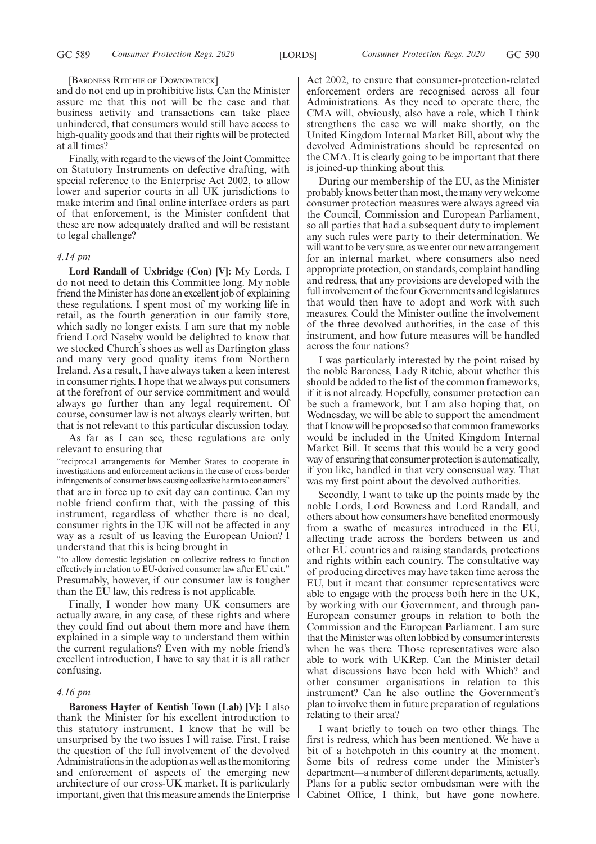#### [BARONESS RITCHIE OF DOWNPATRICK]

and do not end up in prohibitive lists. Can the Minister assure me that this not will be the case and that business activity and transactions can take place unhindered, that consumers would still have access to high-quality goods and that their rights will be protected at all times?

Finally, with regard to the views of the Joint Committee on Statutory Instruments on defective drafting, with special reference to the Enterprise Act 2002, to allow lower and superior courts in all UK jurisdictions to make interim and final online interface orders as part of that enforcement, is the Minister confident that these are now adequately drafted and will be resistant to legal challenge?

#### *4.14 pm*

**Lord Randall of Uxbridge (Con) [V]:** My Lords, I do not need to detain this Committee long. My noble friend the Minister has done an excellent job of explaining these regulations. I spent most of my working life in retail, as the fourth generation in our family store, which sadly no longer exists. I am sure that my noble friend Lord Naseby would be delighted to know that we stocked Church's shoes as well as Dartington glass and many very good quality items from Northern Ireland. As a result, I have always taken a keen interest in consumer rights. I hope that we always put consumers at the forefront of our service commitment and would always go further than any legal requirement. Of course, consumer law is not always clearly written, but that is not relevant to this particular discussion today.

As far as I can see, these regulations are only relevant to ensuring that

"reciprocal arrangements for Member States to cooperate in investigations and enforcement actions in the case of cross-border infringements of consumer laws causing collective harm to consumers" that are in force up to exit day can continue. Can my noble friend confirm that, with the passing of this instrument, regardless of whether there is no deal, consumer rights in the UK will not be affected in any way as a result of us leaving the European Union? I understand that this is being brought in

"to allow domestic legislation on collective redress to function effectively in relation to EU-derived consumer law after EU exit." Presumably, however, if our consumer law is tougher than the EU law, this redress is not applicable.

Finally, I wonder how many UK consumers are actually aware, in any case, of these rights and where they could find out about them more and have them explained in a simple way to understand them within the current regulations? Even with my noble friend's excellent introduction, I have to say that it is all rather confusing.

#### *4.16 pm*

**Baroness Hayter of Kentish Town (Lab) [V]:** I also thank the Minister for his excellent introduction to this statutory instrument. I know that he will be unsurprised by the two issues I will raise. First, I raise the question of the full involvement of the devolved Administrations in the adoption as well as the monitoring and enforcement of aspects of the emerging new architecture of our cross-UK market. It is particularly important, given that this measure amends the Enterprise Act 2002, to ensure that consumer-protection-related enforcement orders are recognised across all four Administrations. As they need to operate there, the CMA will, obviously, also have a role, which I think strengthens the case we will make shortly, on the United Kingdom Internal Market Bill, about why the devolved Administrations should be represented on the CMA. It is clearly going to be important that there is joined-up thinking about this.

During our membership of the EU, as the Minister probably knows better than most, the many very welcome consumer protection measures were always agreed via the Council, Commission and European Parliament, so all parties that had a subsequent duty to implement any such rules were party to their determination. We will want to be very sure, as we enter our new arrangement for an internal market, where consumers also need appropriate protection, on standards, complaint handling and redress, that any provisions are developed with the full involvement of the four Governments and legislatures that would then have to adopt and work with such measures. Could the Minister outline the involvement of the three devolved authorities, in the case of this instrument, and how future measures will be handled across the four nations?

I was particularly interested by the point raised by the noble Baroness, Lady Ritchie, about whether this should be added to the list of the common frameworks, if it is not already. Hopefully, consumer protection can be such a framework, but I am also hoping that, on Wednesday, we will be able to support the amendment that I know will be proposed so that common frameworks would be included in the United Kingdom Internal Market Bill. It seems that this would be a very good way of ensuring that consumer protection is automatically, if you like, handled in that very consensual way. That was my first point about the devolved authorities.

Secondly, I want to take up the points made by the noble Lords, Lord Bowness and Lord Randall, and others about how consumers have benefited enormously from a swathe of measures introduced in the EU, affecting trade across the borders between us and other EU countries and raising standards, protections and rights within each country. The consultative way of producing directives may have taken time across the EU, but it meant that consumer representatives were able to engage with the process both here in the UK, by working with our Government, and through pan-European consumer groups in relation to both the Commission and the European Parliament. I am sure that the Minister was often lobbied by consumer interests when he was there. Those representatives were also able to work with UKRep. Can the Minister detail what discussions have been held with Which? and other consumer organisations in relation to this instrument? Can he also outline the Government's plan to involve them in future preparation of regulations relating to their area?

I want briefly to touch on two other things. The first is redress, which has been mentioned. We have a bit of a hotchpotch in this country at the moment. Some bits of redress come under the Minister's department—a number of different departments, actually. Plans for a public sector ombudsman were with the Cabinet Office, I think, but have gone nowhere.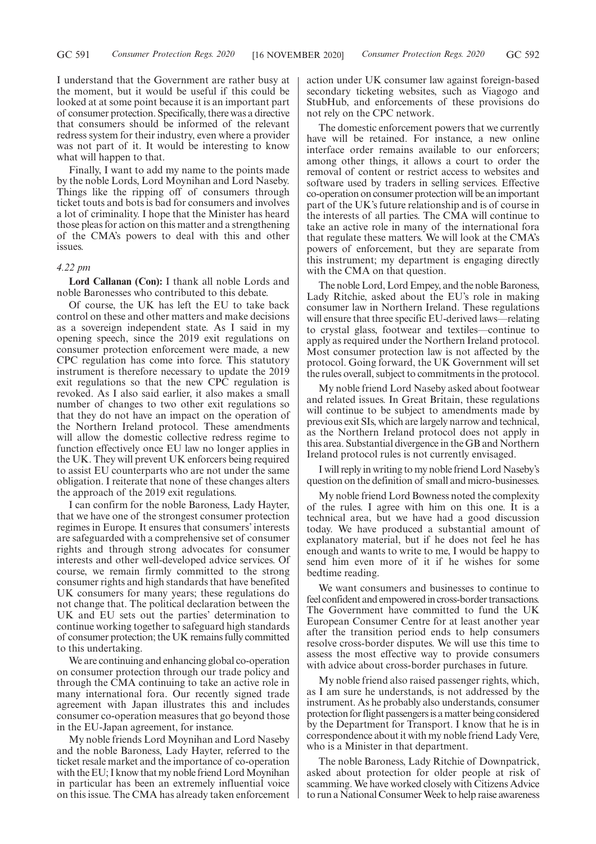I understand that the Government are rather busy at the moment, but it would be useful if this could be looked at at some point because it is an important part of consumer protection. Specifically, there was a directive that consumers should be informed of the relevant redress system for their industry, even where a provider was not part of it. It would be interesting to know what will happen to that.

Finally, I want to add my name to the points made by the noble Lords, Lord Moynihan and Lord Naseby. Things like the ripping off of consumers through ticket touts and bots is bad for consumers and involves a lot of criminality. I hope that the Minister has heard those pleas for action on this matter and a strengthening of the CMA's powers to deal with this and other issues.

#### *4.22 pm*

**Lord Callanan (Con):** I thank all noble Lords and noble Baronesses who contributed to this debate.

Of course, the UK has left the EU to take back control on these and other matters and make decisions as a sovereign independent state. As I said in my opening speech, since the 2019 exit regulations on consumer protection enforcement were made, a new CPC regulation has come into force. This statutory instrument is therefore necessary to update the 2019 exit regulations so that the new CPC regulation is revoked. As I also said earlier, it also makes a small number of changes to two other exit regulations so that they do not have an impact on the operation of the Northern Ireland protocol. These amendments will allow the domestic collective redress regime to function effectively once EU law no longer applies in the UK. They will prevent UK enforcers being required to assist EU counterparts who are not under the same obligation. I reiterate that none of these changes alters the approach of the 2019 exit regulations.

I can confirm for the noble Baroness, Lady Hayter, that we have one of the strongest consumer protection regimes in Europe. It ensures that consumers' interests are safeguarded with a comprehensive set of consumer rights and through strong advocates for consumer interests and other well-developed advice services. Of course, we remain firmly committed to the strong consumer rights and high standards that have benefited UK consumers for many years; these regulations do not change that. The political declaration between the UK and EU sets out the parties' determination to continue working together to safeguard high standards of consumer protection; the UK remains fully committed to this undertaking.

We are continuing and enhancing global co-operation on consumer protection through our trade policy and through the CMA continuing to take an active role in many international fora. Our recently signed trade agreement with Japan illustrates this and includes consumer co-operation measures that go beyond those in the EU-Japan agreement, for instance.

My noble friends Lord Moynihan and Lord Naseby and the noble Baroness, Lady Hayter, referred to the ticket resale market and the importance of co-operation with the EU; I know that my noble friend Lord Moynihan in particular has been an extremely influential voice on this issue. The CMA has already taken enforcement action under UK consumer law against foreign-based secondary ticketing websites, such as Viagogo and StubHub, and enforcements of these provisions do not rely on the CPC network.

The domestic enforcement powers that we currently have will be retained. For instance, a new online interface order remains available to our enforcers; among other things, it allows a court to order the removal of content or restrict access to websites and software used by traders in selling services. Effective co-operation on consumer protection will be an important part of the UK's future relationship and is of course in the interests of all parties. The CMA will continue to take an active role in many of the international fora that regulate these matters. We will look at the CMA's powers of enforcement, but they are separate from this instrument; my department is engaging directly with the CMA on that question.

The noble Lord, Lord Empey, and the noble Baroness, Lady Ritchie, asked about the EU's role in making consumer law in Northern Ireland. These regulations will ensure that three specific EU-derived laws—relating to crystal glass, footwear and textiles—continue to apply as required under the Northern Ireland protocol. Most consumer protection law is not affected by the protocol. Going forward, the UK Government will set the rules overall, subject to commitments in the protocol.

My noble friend Lord Naseby asked about footwear and related issues. In Great Britain, these regulations will continue to be subject to amendments made by previous exit SIs, which are largely narrow and technical, as the Northern Ireland protocol does not apply in this area. Substantial divergence in the GB and Northern Ireland protocol rules is not currently envisaged.

I will reply in writing to my noble friend Lord Naseby's question on the definition of small and micro-businesses.

My noble friend Lord Bowness noted the complexity of the rules. I agree with him on this one. It is a technical area, but we have had a good discussion today. We have produced a substantial amount of explanatory material, but if he does not feel he has enough and wants to write to me, I would be happy to send him even more of it if he wishes for some bedtime reading.

We want consumers and businesses to continue to feel confident and empowered in cross-border transactions. The Government have committed to fund the UK European Consumer Centre for at least another year after the transition period ends to help consumers resolve cross-border disputes. We will use this time to assess the most effective way to provide consumers with advice about cross-border purchases in future.

My noble friend also raised passenger rights, which, as I am sure he understands, is not addressed by the instrument. As he probably also understands, consumer protection for flight passengers is a matter being considered by the Department for Transport. I know that he is in correspondence about it with my noble friend Lady Vere, who is a Minister in that department.

The noble Baroness, Lady Ritchie of Downpatrick, asked about protection for older people at risk of scamming. We have worked closely with Citizens Advice to run a National Consumer Week to help raise awareness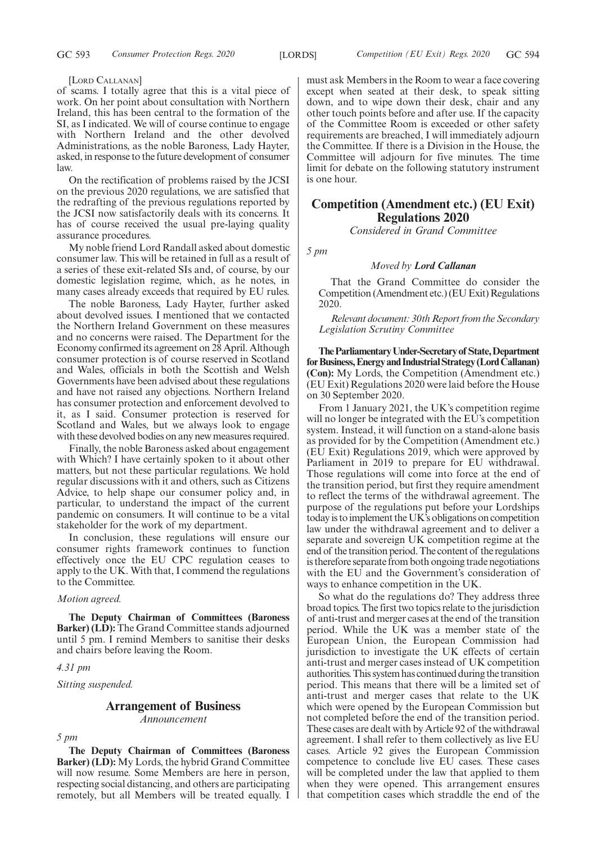#### [LORD CALLANAN]

of scams. I totally agree that this is a vital piece of work. On her point about consultation with Northern Ireland, this has been central to the formation of the SI, as I indicated. We will of course continue to engage with Northern Ireland and the other devolved Administrations, as the noble Baroness, Lady Hayter, asked, in response to the future development of consumer law.

On the rectification of problems raised by the JCSI on the previous 2020 regulations, we are satisfied that the redrafting of the previous regulations reported by the JCSI now satisfactorily deals with its concerns. It has of course received the usual pre-laying quality assurance procedures.

My noble friend Lord Randall asked about domestic consumer law. This will be retained in full as a result of a series of these exit-related SIs and, of course, by our domestic legislation regime, which, as he notes, in many cases already exceeds that required by EU rules.

The noble Baroness, Lady Hayter, further asked about devolved issues. I mentioned that we contacted the Northern Ireland Government on these measures and no concerns were raised. The Department for the Economy confirmed its agreement on 28 April. Although consumer protection is of course reserved in Scotland and Wales, officials in both the Scottish and Welsh Governments have been advised about these regulations and have not raised any objections. Northern Ireland has consumer protection and enforcement devolved to it, as I said. Consumer protection is reserved for Scotland and Wales, but we always look to engage with these devolved bodies on any new measures required.

Finally, the noble Baroness asked about engagement with Which? I have certainly spoken to it about other matters, but not these particular regulations. We hold regular discussions with it and others, such as Citizens Advice, to help shape our consumer policy and, in particular, to understand the impact of the current pandemic on consumers. It will continue to be a vital stakeholder for the work of my department.

In conclusion, these regulations will ensure our consumer rights framework continues to function effectively once the EU CPC regulation ceases to apply to the UK. With that, I commend the regulations to the Committee.

#### *Motion agreed.*

**The Deputy Chairman of Committees (Baroness Barker) (LD):** The Grand Committee stands adjourned until 5 pm. I remind Members to sanitise their desks and chairs before leaving the Room.

#### *4.31 pm*

*Sitting suspended.*

## **Arrangement of Business**

*Announcement*

*5 pm*

**The Deputy Chairman of Committees (Baroness Barker) (LD):** My Lords, the hybrid Grand Committee will now resume. Some Members are here in person, respecting social distancing, and others are participating remotely, but all Members will be treated equally. I must ask Members in the Room to wear a face covering except when seated at their desk, to speak sitting down, and to wipe down their desk, chair and any other touch points before and after use. If the capacity of the Committee Room is exceeded or other safety requirements are breached, I will immediately adjourn the Committee. If there is a Division in the House, the Committee will adjourn for five minutes. The time limit for debate on the following statutory instrument is one hour.

# **Competition (Amendment etc.) (EU Exit) Regulations 2020**

*Considered in Grand Committee*

*5 pm*

#### *Moved by Lord Callanan*

That the Grand Committee do consider the Competition (Amendment etc.) (EU Exit) Regulations 2020.

*Relevant document: 30th Report from the Secondary Legislation Scrutiny Committee*

**TheParliamentaryUnder-Secretaryof State,Department forBusiness,EnergyandIndustrialStrategy(LordCallanan) (Con):** My Lords, the Competition (Amendment etc.) (EU Exit) Regulations 2020 were laid before the House on 30 September 2020.

From 1 January 2021, the UK's competition regime will no longer be integrated with the EU's competition system. Instead, it will function on a stand-alone basis as provided for by the Competition (Amendment etc.) (EU Exit) Regulations 2019, which were approved by Parliament in 2019 to prepare for EU withdrawal. Those regulations will come into force at the end of the transition period, but first they require amendment to reflect the terms of the withdrawal agreement. The purpose of the regulations put before your Lordships today is to implement the UK's obligations on competition law under the withdrawal agreement and to deliver a separate and sovereign UK competition regime at the end of the transition period. The content of the regulations is therefore separate from both ongoing trade negotiations with the EU and the Government's consideration of ways to enhance competition in the UK.

So what do the regulations do? They address three broad topics. The first two topics relate to the jurisdiction of anti-trust and merger cases at the end of the transition period. While the UK was a member state of the European Union, the European Commission had jurisdiction to investigate the UK effects of certain anti-trust and merger cases instead of UK competition authorities. This system has continued during the transition period. This means that there will be a limited set of anti-trust and merger cases that relate to the UK which were opened by the European Commission but not completed before the end of the transition period. These cases are dealt with by Article 92 of the withdrawal agreement. I shall refer to them collectively as live EU cases. Article 92 gives the European Commission competence to conclude live EU cases. These cases will be completed under the law that applied to them when they were opened. This arrangement ensures that competition cases which straddle the end of the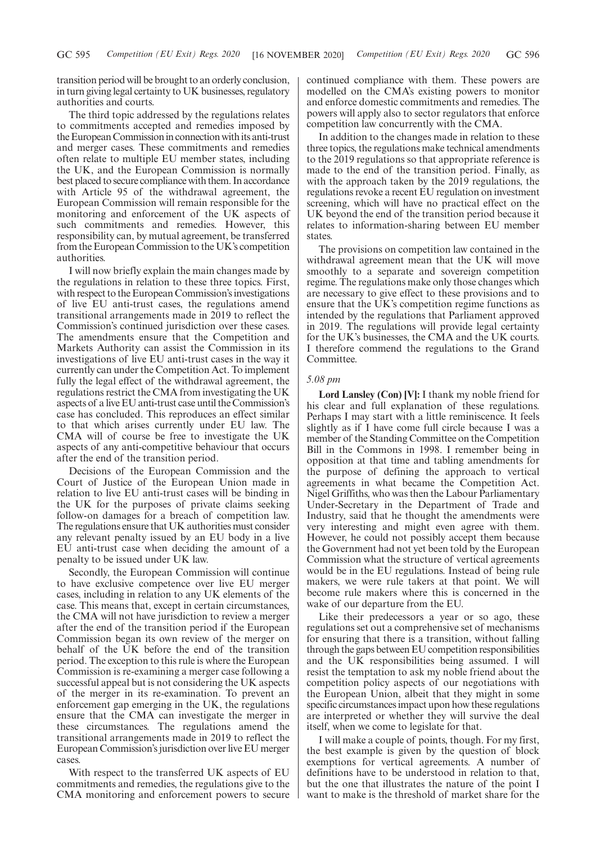transition period will be brought to an orderly conclusion, in turn giving legal certainty to UK businesses, regulatory authorities and courts.

The third topic addressed by the regulations relates to commitments accepted and remedies imposed by the European Commission in connection with its anti-trust and merger cases. These commitments and remedies often relate to multiple EU member states, including the UK, and the European Commission is normally best placed to secure compliance with them. In accordance with Article 95 of the withdrawal agreement, the European Commission will remain responsible for the monitoring and enforcement of the UK aspects of such commitments and remedies. However, this responsibility can, by mutual agreement, be transferred from the European Commission to the UK's competition authorities.

I will now briefly explain the main changes made by the regulations in relation to these three topics. First, with respect to the European Commission's investigations of live EU anti-trust cases, the regulations amend transitional arrangements made in 2019 to reflect the Commission's continued jurisdiction over these cases. The amendments ensure that the Competition and Markets Authority can assist the Commission in its investigations of live EU anti-trust cases in the way it currently can under the Competition Act. To implement fully the legal effect of the withdrawal agreement, the regulations restrict the CMA from investigating the UK aspects of a live EU anti-trust case until the Commission's case has concluded. This reproduces an effect similar to that which arises currently under EU law. The CMA will of course be free to investigate the UK aspects of any anti-competitive behaviour that occurs after the end of the transition period.

Decisions of the European Commission and the Court of Justice of the European Union made in relation to live EU anti-trust cases will be binding in the UK for the purposes of private claims seeking follow-on damages for a breach of competition law. The regulations ensure that UK authorities must consider any relevant penalty issued by an EU body in a live EU anti-trust case when deciding the amount of a penalty to be issued under UK law.

Secondly, the European Commission will continue to have exclusive competence over live EU merger cases, including in relation to any UK elements of the case. This means that, except in certain circumstances, the CMA will not have jurisdiction to review a merger after the end of the transition period if the European Commission began its own review of the merger on behalf of the UK before the end of the transition period. The exception to this rule is where the European Commission is re-examining a merger case following a successful appeal but is not considering the UK aspects of the merger in its re-examination. To prevent an enforcement gap emerging in the UK, the regulations ensure that the CMA can investigate the merger in these circumstances. The regulations amend the transitional arrangements made in 2019 to reflect the European Commission's jurisdiction over live EU merger cases.

With respect to the transferred UK aspects of EU commitments and remedies, the regulations give to the CMA monitoring and enforcement powers to secure continued compliance with them. These powers are modelled on the CMA's existing powers to monitor and enforce domestic commitments and remedies. The powers will apply also to sector regulators that enforce competition law concurrently with the CMA.

In addition to the changes made in relation to these three topics, the regulations make technical amendments to the 2019 regulations so that appropriate reference is made to the end of the transition period. Finally, as with the approach taken by the 2019 regulations, the regulations revoke a recent EU regulation on investment screening, which will have no practical effect on the UK beyond the end of the transition period because it relates to information-sharing between EU member states.

The provisions on competition law contained in the withdrawal agreement mean that the UK will move smoothly to a separate and sovereign competition regime. The regulations make only those changes which are necessary to give effect to these provisions and to ensure that the UK's competition regime functions as intended by the regulations that Parliament approved in 2019. The regulations will provide legal certainty for the UK's businesses, the CMA and the UK courts. I therefore commend the regulations to the Grand Committee.

#### *5.08 pm*

**Lord Lansley (Con) [V]:** I thank my noble friend for his clear and full explanation of these regulations. Perhaps I may start with a little reminiscence. It feels slightly as if I have come full circle because I was a member of the Standing Committee on the Competition Bill in the Commons in 1998. I remember being in opposition at that time and tabling amendments for the purpose of defining the approach to vertical agreements in what became the Competition Act. Nigel Griffiths, who was then the Labour Parliamentary Under-Secretary in the Department of Trade and Industry, said that he thought the amendments were very interesting and might even agree with them. However, he could not possibly accept them because the Government had not yet been told by the European Commission what the structure of vertical agreements would be in the EU regulations. Instead of being rule makers, we were rule takers at that point. We will become rule makers where this is concerned in the wake of our departure from the EU.

Like their predecessors a year or so ago, these regulations set out a comprehensive set of mechanisms for ensuring that there is a transition, without falling through the gaps between EU competition responsibilities and the UK responsibilities being assumed. I will resist the temptation to ask my noble friend about the competition policy aspects of our negotiations with the European Union, albeit that they might in some specific circumstances impact upon how these regulations are interpreted or whether they will survive the deal itself, when we come to legislate for that.

I will make a couple of points, though. For my first, the best example is given by the question of block exemptions for vertical agreements. A number of definitions have to be understood in relation to that, but the one that illustrates the nature of the point I want to make is the threshold of market share for the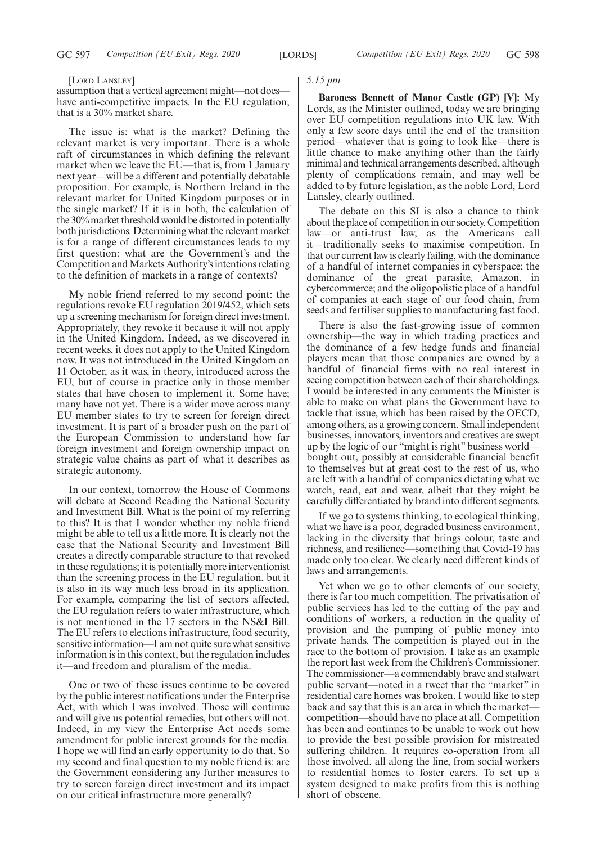#### [LORD LANSLEY]

assumption that a vertical agreement might—not does have anti-competitive impacts. In the EU regulation, that is a 30% market share.

The issue is: what is the market? Defining the relevant market is very important. There is a whole raft of circumstances in which defining the relevant market when we leave the EU—that is, from 1 January next year—will be a different and potentially debatable proposition. For example, is Northern Ireland in the relevant market for United Kingdom purposes or in the single market? If it is in both, the calculation of the 30% market threshold would be distorted in potentially both jurisdictions. Determining what the relevant market is for a range of different circumstances leads to my first question: what are the Government's and the Competition and Markets Authority's intentions relating to the definition of markets in a range of contexts?

My noble friend referred to my second point: the regulations revoke EU regulation 2019/452, which sets up a screening mechanism for foreign direct investment. Appropriately, they revoke it because it will not apply in the United Kingdom. Indeed, as we discovered in recent weeks, it does not apply to the United Kingdom now. It was not introduced in the United Kingdom on 11 October, as it was, in theory, introduced across the EU, but of course in practice only in those member states that have chosen to implement it. Some have; many have not yet. There is a wider move across many EU member states to try to screen for foreign direct investment. It is part of a broader push on the part of the European Commission to understand how far foreign investment and foreign ownership impact on strategic value chains as part of what it describes as strategic autonomy.

In our context, tomorrow the House of Commons will debate at Second Reading the National Security and Investment Bill. What is the point of my referring to this? It is that I wonder whether my noble friend might be able to tell us a little more. It is clearly not the case that the National Security and Investment Bill creates a directly comparable structure to that revoked in these regulations; it is potentially more interventionist than the screening process in the EU regulation, but it is also in its way much less broad in its application. For example, comparing the list of sectors affected, the EU regulation refers to water infrastructure, which is not mentioned in the 17 sectors in the NS&I Bill. The EU refers to elections infrastructure, food security, sensitive information—I am not quite sure what sensitive information is in this context, but the regulation includes it—and freedom and pluralism of the media.

One or two of these issues continue to be covered by the public interest notifications under the Enterprise Act, with which I was involved. Those will continue and will give us potential remedies, but others will not. Indeed, in my view the Enterprise Act needs some amendment for public interest grounds for the media. I hope we will find an early opportunity to do that. So my second and final question to my noble friend is: are the Government considering any further measures to try to screen foreign direct investment and its impact on our critical infrastructure more generally?

#### *5.15 pm*

**Baroness Bennett of Manor Castle (GP) [V]:** My Lords, as the Minister outlined, today we are bringing over EU competition regulations into UK law. With only a few score days until the end of the transition period—whatever that is going to look like—there is little chance to make anything other than the fairly minimal and technical arrangements described, although plenty of complications remain, and may well be added to by future legislation, as the noble Lord, Lord Lansley, clearly outlined.

The debate on this SI is also a chance to think about the place of competition in our society. Competition law—or anti-trust law, as the Americans call it—traditionally seeks to maximise competition. In that our current law is clearly failing, with the dominance of a handful of internet companies in cyberspace; the dominance of the great parasite, Amazon, in cybercommerce; and the oligopolistic place of a handful of companies at each stage of our food chain, from seeds and fertiliser supplies to manufacturing fast food.

There is also the fast-growing issue of common ownership—the way in which trading practices and the dominance of a few hedge funds and financial players mean that those companies are owned by a handful of financial firms with no real interest in seeing competition between each of their shareholdings. I would be interested in any comments the Minister is able to make on what plans the Government have to tackle that issue, which has been raised by the OECD, among others, as a growing concern. Small independent businesses, innovators, inventors and creatives are swept up by the logic of our "might is right" business world bought out, possibly at considerable financial benefit to themselves but at great cost to the rest of us, who are left with a handful of companies dictating what we watch, read, eat and wear, albeit that they might be carefully differentiated by brand into different segments.

If we go to systems thinking, to ecological thinking, what we have is a poor, degraded business environment, lacking in the diversity that brings colour, taste and richness, and resilience—something that Covid-19 has made only too clear. We clearly need different kinds of laws and arrangements.

Yet when we go to other elements of our society, there is far too much competition. The privatisation of public services has led to the cutting of the pay and conditions of workers, a reduction in the quality of provision and the pumping of public money into private hands. The competition is played out in the race to the bottom of provision. I take as an example the report last week from the Children's Commissioner. The commissioner—a commendably brave and stalwart public servant—noted in a tweet that the "market" in residential care homes was broken. I would like to step back and say that this is an area in which the market competition—should have no place at all. Competition has been and continues to be unable to work out how to provide the best possible provision for mistreated suffering children. It requires co-operation from all those involved, all along the line, from social workers to residential homes to foster carers. To set up a system designed to make profits from this is nothing short of obscene.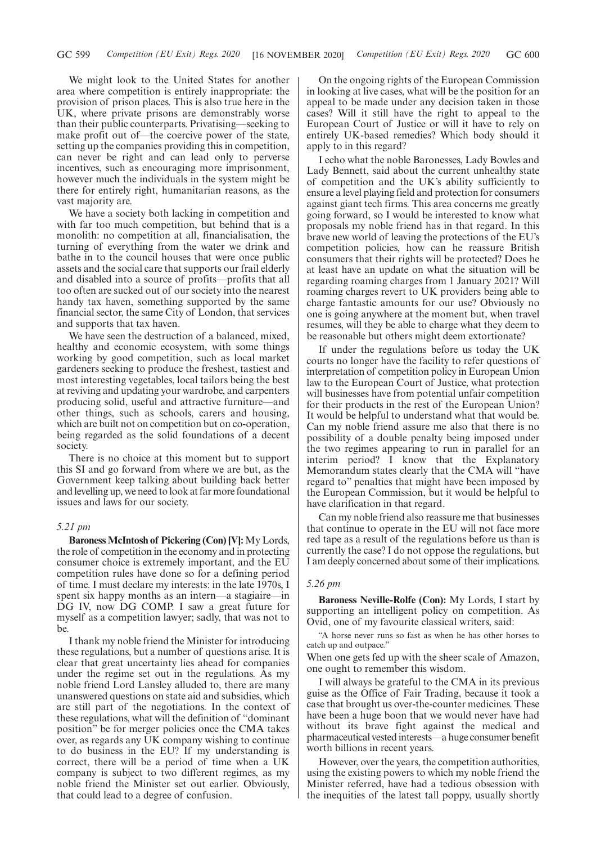We might look to the United States for another area where competition is entirely inappropriate: the provision of prison places. This is also true here in the UK, where private prisons are demonstrably worse than their public counterparts. Privatising—seeking to make profit out of—the coercive power of the state, setting up the companies providing this in competition, can never be right and can lead only to perverse incentives, such as encouraging more imprisonment, however much the individuals in the system might be there for entirely right, humanitarian reasons, as the vast majority are.

We have a society both lacking in competition and with far too much competition, but behind that is a monolith: no competition at all, financialisation, the turning of everything from the water we drink and bathe in to the council houses that were once public assets and the social care that supports our frail elderly and disabled into a source of profits—profits that all too often are sucked out of our society into the nearest handy tax haven, something supported by the same financial sector, the same City of London, that services and supports that tax haven.

We have seen the destruction of a balanced, mixed, healthy and economic ecosystem, with some things working by good competition, such as local market gardeners seeking to produce the freshest, tastiest and most interesting vegetables, local tailors being the best at reviving and updating your wardrobe, and carpenters producing solid, useful and attractive furniture—and other things, such as schools, carers and housing, which are built not on competition but on co-operation, being regarded as the solid foundations of a decent society.

There is no choice at this moment but to support this SI and go forward from where we are but, as the Government keep talking about building back better and levelling up, we need to look at far more foundational issues and laws for our society.

#### *5.21 pm*

**Baroness McIntosh of Pickering (Con) [V]:** My Lords, the role of competition in the economy and in protecting consumer choice is extremely important, and the EU competition rules have done so for a defining period of time. I must declare my interests: in the late 1970s, I spent six happy months as an intern—a stagiaire—in DG IV, now DG COMP. I saw a great future for myself as a competition lawyer; sadly, that was not to be.

I thank my noble friend the Minister for introducing these regulations, but a number of questions arise. It is clear that great uncertainty lies ahead for companies under the regime set out in the regulations. As my noble friend Lord Lansley alluded to, there are many unanswered questions on state aid and subsidies, which are still part of the negotiations. In the context of these regulations, what will the definition of "dominant position" be for merger policies once the CMA takes over, as regards any UK company wishing to continue to do business in the EU? If my understanding is correct, there will be a period of time when a UK company is subject to two different regimes, as my noble friend the Minister set out earlier. Obviously, that could lead to a degree of confusion.

On the ongoing rights of the European Commission in looking at live cases, what will be the position for an appeal to be made under any decision taken in those cases? Will it still have the right to appeal to the European Court of Justice or will it have to rely on entirely UK-based remedies? Which body should it apply to in this regard?

I echo what the noble Baronesses, Lady Bowles and Lady Bennett, said about the current unhealthy state of competition and the UK's ability sufficiently to ensure a level playing field and protection for consumers against giant tech firms. This area concerns me greatly going forward, so I would be interested to know what proposals my noble friend has in that regard. In this brave new world of leaving the protections of the EU's competition policies, how can he reassure British consumers that their rights will be protected? Does he at least have an update on what the situation will be regarding roaming charges from 1 January 2021? Will roaming charges revert to UK providers being able to charge fantastic amounts for our use? Obviously no one is going anywhere at the moment but, when travel resumes, will they be able to charge what they deem to be reasonable but others might deem extortionate?

If under the regulations before us today the UK courts no longer have the facility to refer questions of interpretation of competition policy in European Union law to the European Court of Justice, what protection will businesses have from potential unfair competition for their products in the rest of the European Union? It would be helpful to understand what that would be. Can my noble friend assure me also that there is no possibility of a double penalty being imposed under the two regimes appearing to run in parallel for an interim period? I know that the Explanatory Memorandum states clearly that the CMA will "have regard to" penalties that might have been imposed by the European Commission, but it would be helpful to have clarification in that regard.

Can my noble friend also reassure me that businesses that continue to operate in the EU will not face more red tape as a result of the regulations before us than is currently the case? I do not oppose the regulations, but I am deeply concerned about some of their implications.

#### *5.26 pm*

**Baroness Neville-Rolfe (Con):** My Lords, I start by supporting an intelligent policy on competition. As Ovid, one of my favourite classical writers, said:

"A horse never runs so fast as when he has other horses to catch up and outpace."

When one gets fed up with the sheer scale of Amazon, one ought to remember this wisdom.

I will always be grateful to the CMA in its previous guise as the Office of Fair Trading, because it took a case that brought us over-the-counter medicines. These have been a huge boon that we would never have had without its brave fight against the medical and pharmaceutical vested interests—a huge consumer benefit worth billions in recent years.

However, over the years, the competition authorities, using the existing powers to which my noble friend the Minister referred, have had a tedious obsession with the inequities of the latest tall poppy, usually shortly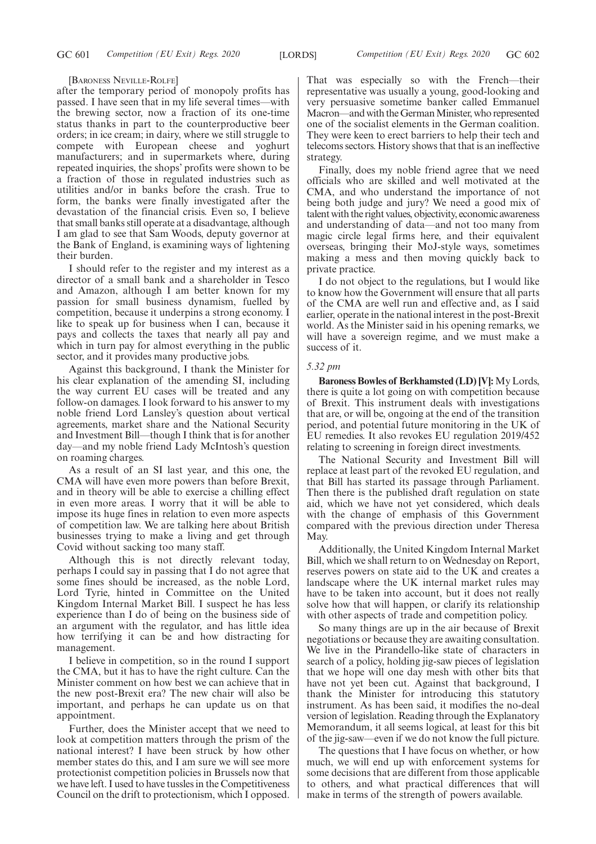#### [BARONESS NEVILLE-ROLFE]

after the temporary period of monopoly profits has passed. I have seen that in my life several times—with the brewing sector, now a fraction of its one-time status thanks in part to the counterproductive beer orders; in ice cream; in dairy, where we still struggle to compete with European cheese and yoghurt manufacturers; and in supermarkets where, during repeated inquiries, the shops' profits were shown to be a fraction of those in regulated industries such as utilities and/or in banks before the crash. True to form, the banks were finally investigated after the devastation of the financial crisis. Even so, I believe that small banks still operate at a disadvantage, although I am glad to see that Sam Woods, deputy governor at the Bank of England, is examining ways of lightening their burden.

I should refer to the register and my interest as a director of a small bank and a shareholder in Tesco and Amazon, although I am better known for my passion for small business dynamism, fuelled by competition, because it underpins a strong economy. I like to speak up for business when I can, because it pays and collects the taxes that nearly all pay and which in turn pay for almost everything in the public sector, and it provides many productive jobs.

Against this background, I thank the Minister for his clear explanation of the amending SI, including the way current EU cases will be treated and any follow-on damages. I look forward to his answer to my noble friend Lord Lansley's question about vertical agreements, market share and the National Security and Investment Bill—though I think that is for another day—and my noble friend Lady McIntosh's question on roaming charges.

As a result of an SI last year, and this one, the CMA will have even more powers than before Brexit, and in theory will be able to exercise a chilling effect in even more areas. I worry that it will be able to impose its huge fines in relation to even more aspects of competition law. We are talking here about British businesses trying to make a living and get through Covid without sacking too many staff.

Although this is not directly relevant today, perhaps I could say in passing that I do not agree that some fines should be increased, as the noble Lord, Lord Tyrie, hinted in Committee on the United Kingdom Internal Market Bill. I suspect he has less experience than I do of being on the business side of an argument with the regulator, and has little idea how terrifying it can be and how distracting for management.

I believe in competition, so in the round I support the CMA, but it has to have the right culture. Can the Minister comment on how best we can achieve that in the new post-Brexit era? The new chair will also be important, and perhaps he can update us on that appointment.

Further, does the Minister accept that we need to look at competition matters through the prism of the national interest? I have been struck by how other member states do this, and I am sure we will see more protectionist competition policies in Brussels now that we have left. I used to have tussles in the Competitiveness Council on the drift to protectionism, which I opposed. That was especially so with the French—their representative was usually a young, good-looking and very persuasive sometime banker called Emmanuel Macron—and with the German Minister, who represented one of the socialist elements in the German coalition. They were keen to erect barriers to help their tech and telecoms sectors. History shows that that is an ineffective strategy.

Finally, does my noble friend agree that we need officials who are skilled and well motivated at the CMA, and who understand the importance of not being both judge and jury? We need a good mix of talent with the right values, objectivity, economic awareness and understanding of data—and not too many from magic circle legal firms here, and their equivalent overseas, bringing their MoJ-style ways, sometimes making a mess and then moving quickly back to private practice.

I do not object to the regulations, but I would like to know how the Government will ensure that all parts of the CMA are well run and effective and, as  $\overline{I}$  said earlier, operate in the national interest in the post-Brexit world. As the Minister said in his opening remarks, we will have a sovereign regime, and we must make a success of it.

#### *5.32 pm*

**Baroness Bowles of Berkhamsted (LD) [V]:** My Lords, there is quite a lot going on with competition because of Brexit. This instrument deals with investigations that are, or will be, ongoing at the end of the transition period, and potential future monitoring in the UK of EU remedies. It also revokes EU regulation 2019/452 relating to screening in foreign direct investments.

The National Security and Investment Bill will replace at least part of the revoked EU regulation, and that Bill has started its passage through Parliament. Then there is the published draft regulation on state aid, which we have not yet considered, which deals with the change of emphasis of this Government compared with the previous direction under Theresa May.

Additionally, the United Kingdom Internal Market Bill, which we shall return to on Wednesday on Report, reserves powers on state aid to the UK and creates a landscape where the UK internal market rules may have to be taken into account, but it does not really solve how that will happen, or clarify its relationship with other aspects of trade and competition policy.

So many things are up in the air because of Brexit negotiations or because they are awaiting consultation. We live in the Pirandello-like state of characters in search of a policy, holding jig-saw pieces of legislation that we hope will one day mesh with other bits that have not yet been cut. Against that background, I thank the Minister for introducing this statutory instrument. As has been said, it modifies the no-deal version of legislation. Reading through the Explanatory Memorandum, it all seems logical, at least for this bit of the jig-saw—even if we do not know the full picture.

The questions that I have focus on whether, or how much, we will end up with enforcement systems for some decisions that are different from those applicable to others, and what practical differences that will make in terms of the strength of powers available.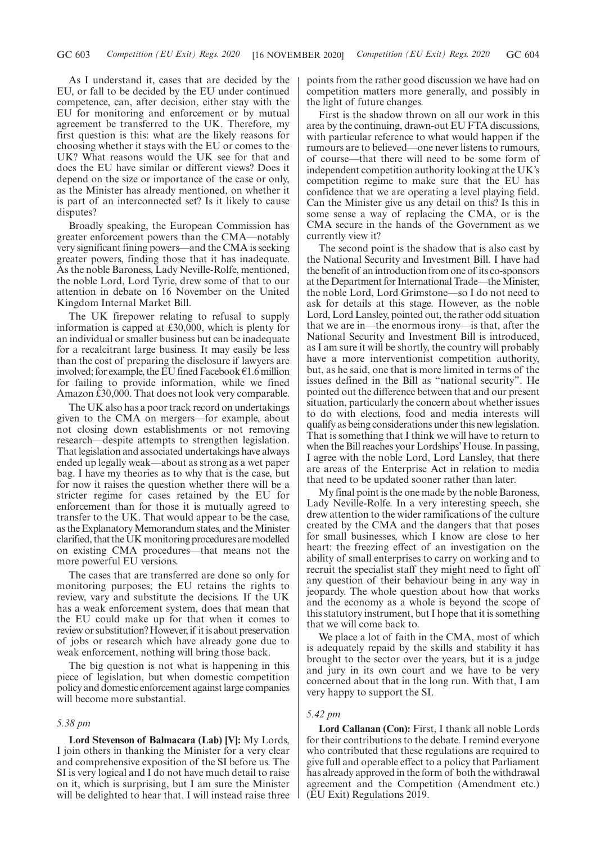As I understand it, cases that are decided by the EU, or fall to be decided by the EU under continued competence, can, after decision, either stay with the EU for monitoring and enforcement or by mutual agreement be transferred to the UK. Therefore, my first question is this: what are the likely reasons for choosing whether it stays with the EU or comes to the UK? What reasons would the UK see for that and does the EU have similar or different views? Does it depend on the size or importance of the case or only, as the Minister has already mentioned, on whether it is part of an interconnected set? Is it likely to cause disputes?

Broadly speaking, the European Commission has greater enforcement powers than the CMA—notably very significant fining powers—and the CMA is seeking greater powers, finding those that it has inadequate. As the noble Baroness, Lady Neville-Rolfe, mentioned, the noble Lord, Lord Tyrie, drew some of that to our attention in debate on 16 November on the United Kingdom Internal Market Bill.

The UK firepower relating to refusal to supply information is capped at £30,000, which is plenty for an individual or smaller business but can be inadequate for a recalcitrant large business. It may easily be less than the cost of preparing the disclosure if lawyers are involved; for example, the EU fined Facebook  $\epsilon$ 1.6 million for failing to provide information, while we fined Amazon £30,000. That does not look very comparable.

The UK also has a poor track record on undertakings given to the CMA on mergers—for example, about not closing down establishments or not removing research—despite attempts to strengthen legislation. That legislation and associated undertakings have always ended up legally weak—about as strong as a wet paper bag. I have my theories as to why that is the case, but for now it raises the question whether there will be a stricter regime for cases retained by the EU for enforcement than for those it is mutually agreed to transfer to the UK. That would appear to be the case, as the Explanatory Memorandum states, and the Minister clarified, that the UK monitoring procedures are modelled on existing CMA procedures—that means not the more powerful EU versions.

The cases that are transferred are done so only for monitoring purposes; the EU retains the rights to review, vary and substitute the decisions. If the UK has a weak enforcement system, does that mean that the EU could make up for that when it comes to review or substitution? However, if it is about preservation of jobs or research which have already gone due to weak enforcement, nothing will bring those back.

The big question is not what is happening in this piece of legislation, but when domestic competition policy and domestic enforcement against large companies will become more substantial.

#### *5.38 pm*

**Lord Stevenson of Balmacara (Lab) [V]:** My Lords, I join others in thanking the Minister for a very clear and comprehensive exposition of the SI before us. The SI is very logical and I do not have much detail to raise on it, which is surprising, but I am sure the Minister will be delighted to hear that. I will instead raise three points from the rather good discussion we have had on competition matters more generally, and possibly in the light of future changes.

First is the shadow thrown on all our work in this area by the continuing, drawn-out EU FTA discussions, with particular reference to what would happen if the rumours are to believed—one never listens to rumours, of course—that there will need to be some form of independent competition authority looking at the UK's competition regime to make sure that the EU has confidence that we are operating a level playing field. Can the Minister give us any detail on this? Is this in some sense a way of replacing the CMA, or is the CMA secure in the hands of the Government as we currently view it?

The second point is the shadow that is also cast by the National Security and Investment Bill. I have had the benefit of an introduction from one of its co-sponsors at the Department for International Trade—the Minister, the noble Lord, Lord Grimstone—so I do not need to ask for details at this stage. However, as the noble Lord, Lord Lansley, pointed out, the rather odd situation that we are in—the enormous irony—is that, after the National Security and Investment Bill is introduced, as I am sure it will be shortly, the country will probably have a more interventionist competition authority, but, as he said, one that is more limited in terms of the issues defined in the Bill as "national security". He pointed out the difference between that and our present situation, particularly the concern about whether issues to do with elections, food and media interests will qualify as being considerations under this new legislation. That is something that I think we will have to return to when the Bill reaches your Lordships' House. In passing, I agree with the noble Lord, Lord Lansley, that there are areas of the Enterprise Act in relation to media that need to be updated sooner rather than later.

My final point is the one made by the noble Baroness, Lady Neville-Rolfe. In a very interesting speech, she drew attention to the wider ramifications of the culture created by the CMA and the dangers that that poses for small businesses, which I know are close to her heart: the freezing effect of an investigation on the ability of small enterprises to carry on working and to recruit the specialist staff they might need to fight off any question of their behaviour being in any way in jeopardy. The whole question about how that works and the economy as a whole is beyond the scope of this statutory instrument, but I hope that it is something that we will come back to.

We place a lot of faith in the CMA, most of which is adequately repaid by the skills and stability it has brought to the sector over the years, but it is a judge and jury in its own court and we have to be very concerned about that in the long run. With that, I am very happy to support the SI.

#### *5.42 pm*

**Lord Callanan (Con):** First, I thank all noble Lords for their contributions to the debate. I remind everyone who contributed that these regulations are required to give full and operable effect to a policy that Parliament has already approved in the form of both the withdrawal agreement and the Competition (Amendment etc.) (EU Exit) Regulations 2019.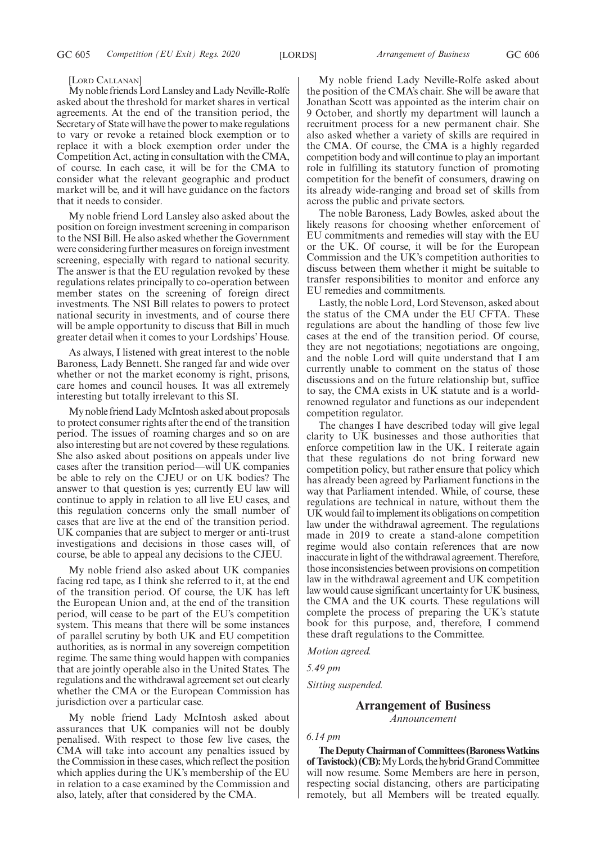#### [LORD CALLANAN]

My noble friends Lord Lansley and Lady Neville-Rolfe asked about the threshold for market shares in vertical agreements. At the end of the transition period, the Secretary of State will have the power to make regulations to vary or revoke a retained block exemption or to replace it with a block exemption order under the Competition Act, acting in consultation with the CMA, of course. In each case, it will be for the CMA to consider what the relevant geographic and product market will be, and it will have guidance on the factors that it needs to consider.

My noble friend Lord Lansley also asked about the position on foreign investment screening in comparison to the NSI Bill. He also asked whether the Government were considering further measures on foreign investment screening, especially with regard to national security. The answer is that the EU regulation revoked by these regulations relates principally to co-operation between member states on the screening of foreign direct investments. The NSI Bill relates to powers to protect national security in investments, and of course there will be ample opportunity to discuss that Bill in much greater detail when it comes to your Lordships' House.

As always, I listened with great interest to the noble Baroness, Lady Bennett. She ranged far and wide over whether or not the market economy is right, prisons, care homes and council houses. It was all extremely interesting but totally irrelevant to this SI.

My noble friend Lady McIntosh asked about proposals to protect consumer rights after the end of the transition period. The issues of roaming charges and so on are also interesting but are not covered by these regulations. She also asked about positions on appeals under live cases after the transition period—will UK companies be able to rely on the CJEU or on UK bodies? The answer to that question is yes; currently EU law will continue to apply in relation to all live EU cases, and this regulation concerns only the small number of cases that are live at the end of the transition period. UK companies that are subject to merger or anti-trust investigations and decisions in those cases will, of course, be able to appeal any decisions to the CJEU.

My noble friend also asked about UK companies facing red tape, as I think she referred to it, at the end of the transition period. Of course, the UK has left the European Union and, at the end of the transition period, will cease to be part of the EU's competition system. This means that there will be some instances of parallel scrutiny by both UK and EU competition authorities, as is normal in any sovereign competition regime. The same thing would happen with companies that are jointly operable also in the United States. The regulations and the withdrawal agreement set out clearly whether the CMA or the European Commission has jurisdiction over a particular case.

My noble friend Lady McIntosh asked about assurances that UK companies will not be doubly penalised. With respect to those few live cases, the CMA will take into account any penalties issued by the Commission in these cases, which reflect the position which applies during the UK's membership of the EU in relation to a case examined by the Commission and also, lately, after that considered by the CMA.

My noble friend Lady Neville-Rolfe asked about the position of the CMA's chair. She will be aware that Jonathan Scott was appointed as the interim chair on 9 October, and shortly my department will launch a recruitment process for a new permanent chair. She also asked whether a variety of skills are required in the CMA. Of course, the CMA is a highly regarded competition body and will continue to play an important role in fulfilling its statutory function of promoting competition for the benefit of consumers, drawing on its already wide-ranging and broad set of skills from across the public and private sectors.

The noble Baroness, Lady Bowles, asked about the likely reasons for choosing whether enforcement of EU commitments and remedies will stay with the EU or the UK. Of course, it will be for the European Commission and the UK's competition authorities to discuss between them whether it might be suitable to transfer responsibilities to monitor and enforce any EU remedies and commitments.

Lastly, the noble Lord, Lord Stevenson, asked about the status of the CMA under the EU CFTA. These regulations are about the handling of those few live cases at the end of the transition period. Of course, they are not negotiations; negotiations are ongoing, and the noble Lord will quite understand that I am currently unable to comment on the status of those discussions and on the future relationship but, suffice to say, the CMA exists in UK statute and is a worldrenowned regulator and functions as our independent competition regulator.

The changes I have described today will give legal clarity to UK businesses and those authorities that enforce competition law in the UK. I reiterate again that these regulations do not bring forward new competition policy, but rather ensure that policy which has already been agreed by Parliament functions in the way that Parliament intended. While, of course, these regulations are technical in nature, without them the UK would fail to implement its obligations on competition law under the withdrawal agreement. The regulations made in 2019 to create a stand-alone competition regime would also contain references that are now inaccurate in light of the withdrawal agreement. Therefore, those inconsistencies between provisions on competition law in the withdrawal agreement and UK competition law would cause significant uncertainty for UK business, the CMA and the UK courts. These regulations will complete the process of preparing the UK's statute book for this purpose, and, therefore, I commend these draft regulations to the Committee.

*Motion agreed.*

*5.49 pm*

*Sitting suspended.*

# **Arrangement of Business**

*Announcement*

*6.14 pm*

**TheDeputyChairmanof Committees(BaronessWatkins** of Tavistock) (CB): My Lords, the hybrid Grand Committee will now resume. Some Members are here in person, respecting social distancing, others are participating remotely, but all Members will be treated equally.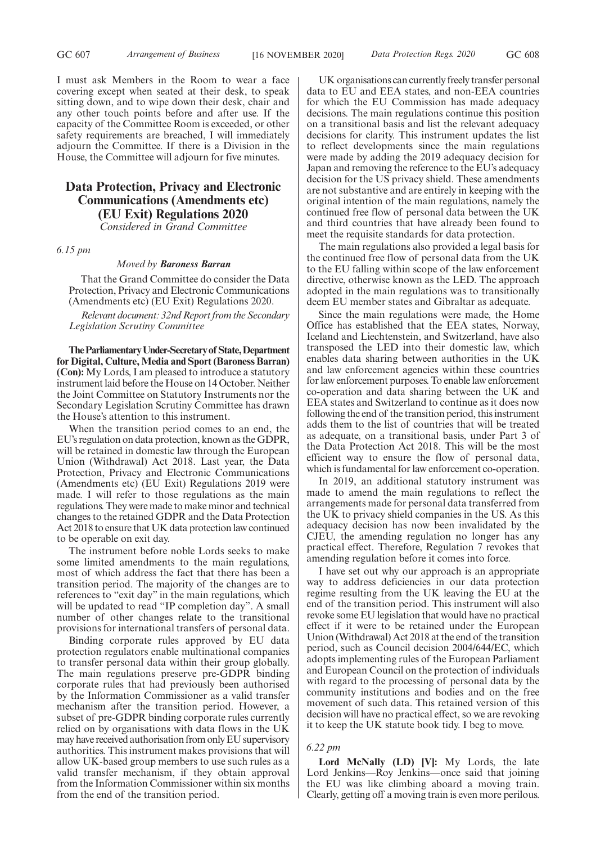I must ask Members in the Room to wear a face covering except when seated at their desk, to speak sitting down, and to wipe down their desk, chair and any other touch points before and after use. If the capacity of the Committee Room is exceeded, or other safety requirements are breached, I will immediately adjourn the Committee. If there is a Division in the House, the Committee will adjourn for five minutes.

# **Data Protection, Privacy and Electronic Communications (Amendments etc) (EU Exit) Regulations 2020**

*Considered in Grand Committee*

*6.15 pm*

#### *Moved by Baroness Barran*

That the Grand Committee do consider the Data Protection, Privacy and Electronic Communications (Amendments etc) (EU Exit) Regulations 2020.

*Relevant document: 32nd Report from the Secondary Legislation Scrutiny Committee*

**TheParliamentaryUnder-Secretaryof State,Department for Digital, Culture, Media and Sport (Baroness Barran) (Con):** My Lords, I am pleased to introduce a statutory instrument laid before the House on 14 October. Neither the Joint Committee on Statutory Instruments nor the Secondary Legislation Scrutiny Committee has drawn the House's attention to this instrument.

When the transition period comes to an end, the EU's regulation on data protection, known as the GDPR, will be retained in domestic law through the European Union (Withdrawal) Act 2018. Last year, the Data Protection, Privacy and Electronic Communications (Amendments etc) (EU Exit) Regulations 2019 were made. I will refer to those regulations as the main regulations. They were made to make minor and technical changes to the retained GDPR and the Data Protection Act 2018 to ensure that UK data protection law continued to be operable on exit day.

The instrument before noble Lords seeks to make some limited amendments to the main regulations, most of which address the fact that there has been a transition period. The majority of the changes are to references to "exit day" in the main regulations, which will be updated to read "IP completion day". A small number of other changes relate to the transitional provisions for international transfers of personal data.

Binding corporate rules approved by EU data protection regulators enable multinational companies to transfer personal data within their group globally. The main regulations preserve pre-GDPR binding corporate rules that had previously been authorised by the Information Commissioner as a valid transfer mechanism after the transition period. However, a subset of pre-GDPR binding corporate rules currently relied on by organisations with data flows in the UK may have received authorisation from only EU supervisory authorities. This instrument makes provisions that will allow UK-based group members to use such rules as a valid transfer mechanism, if they obtain approval from the Information Commissioner within six months from the end of the transition period.

UK organisations can currently freely transfer personal data to EU and EEA states, and non-EEA countries for which the EU Commission has made adequacy decisions. The main regulations continue this position on a transitional basis and list the relevant adequacy decisions for clarity. This instrument updates the list to reflect developments since the main regulations were made by adding the 2019 adequacy decision for Japan and removing the reference to the EU's adequacy decision for the US privacy shield. These amendments are not substantive and are entirely in keeping with the original intention of the main regulations, namely the continued free flow of personal data between the UK and third countries that have already been found to meet the requisite standards for data protection.

The main regulations also provided a legal basis for the continued free flow of personal data from the UK to the EU falling within scope of the law enforcement directive, otherwise known as the LED. The approach adopted in the main regulations was to transitionally deem EU member states and Gibraltar as adequate.

Since the main regulations were made, the Home Office has established that the EEA states, Norway, Iceland and Liechtenstein, and Switzerland, have also transposed the LED into their domestic law, which enables data sharing between authorities in the UK and law enforcement agencies within these countries for law enforcement purposes. To enable law enforcement co-operation and data sharing between the UK and EEA states and Switzerland to continue as it does now following the end of the transition period, this instrument adds them to the list of countries that will be treated as adequate, on a transitional basis, under Part 3 of the Data Protection Act 2018. This will be the most efficient way to ensure the flow of personal data, which is fundamental for law enforcement co-operation.

In 2019, an additional statutory instrument was made to amend the main regulations to reflect the arrangements made for personal data transferred from the UK to privacy shield companies in the US. As this adequacy decision has now been invalidated by the CJEU, the amending regulation no longer has any practical effect. Therefore, Regulation 7 revokes that amending regulation before it comes into force.

I have set out why our approach is an appropriate way to address deficiencies in our data protection regime resulting from the UK leaving the EU at the end of the transition period. This instrument will also revoke some EU legislation that would have no practical effect if it were to be retained under the European Union (Withdrawal) Act 2018 at the end of the transition period, such as Council decision 2004/644/EC, which adopts implementing rules of the European Parliament and European Council on the protection of individuals with regard to the processing of personal data by the community institutions and bodies and on the free movement of such data. This retained version of this decision will have no practical effect, so we are revoking it to keep the UK statute book tidy. I beg to move.

#### *6.22 pm*

**Lord McNally (LD) [V]:** My Lords, the late Lord Jenkins—Roy Jenkins—once said that joining the EU was like climbing aboard a moving train. Clearly, getting off a moving train is even more perilous.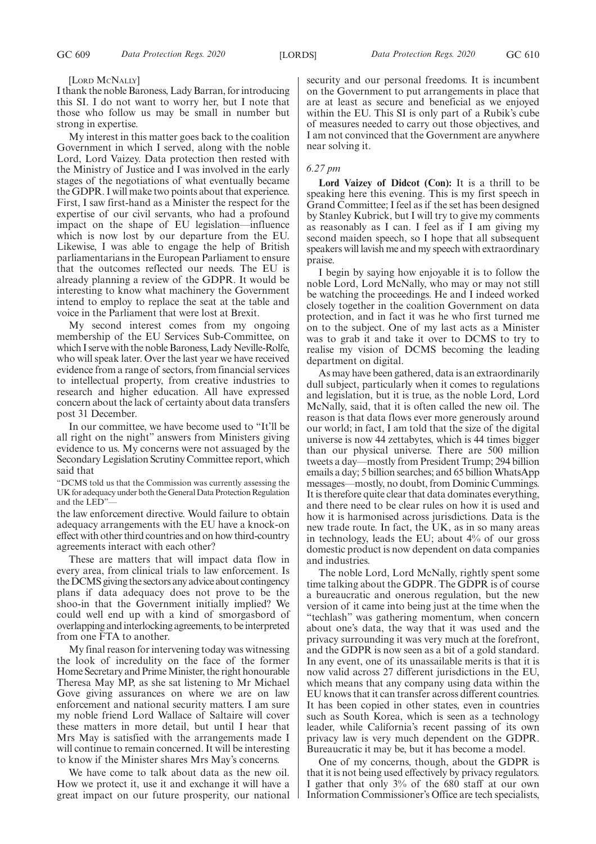#### [LORD MCNALLY]

I thank the noble Baroness, Lady Barran, for introducing this SI. I do not want to worry her, but I note that those who follow us may be small in number but strong in expertise.

My interest in this matter goes back to the coalition Government in which I served, along with the noble Lord, Lord Vaizey. Data protection then rested with the Ministry of Justice and I was involved in the early stages of the negotiations of what eventually became the GDPR. I will make two points about that experience. First, I saw first-hand as a Minister the respect for the expertise of our civil servants, who had a profound impact on the shape of EU legislation—influence which is now lost by our departure from the EU. Likewise, I was able to engage the help of British parliamentarians in the European Parliament to ensure that the outcomes reflected our needs. The EU is already planning a review of the GDPR. It would be interesting to know what machinery the Government intend to employ to replace the seat at the table and voice in the Parliament that were lost at Brexit.

My second interest comes from my ongoing membership of the EU Services Sub-Committee, on which I serve with the noble Baroness, Lady Neville-Rolfe, who will speak later. Over the last year we have received evidence from a range of sectors, from financial services to intellectual property, from creative industries to research and higher education. All have expressed concern about the lack of certainty about data transfers post 31 December.

In our committee, we have become used to "It'll be all right on the night" answers from Ministers giving evidence to us. My concerns were not assuaged by the Secondary Legislation Scrutiny Committee report, which said that

"DCMS told us that the Commission was currently assessing the UK for adequacy under both the General Data Protection Regulation and the LED"—

the law enforcement directive. Would failure to obtain adequacy arrangements with the EU have a knock-on effect with other third countries and on how third-country agreements interact with each other?

These are matters that will impact data flow in every area, from clinical trials to law enforcement. Is the DCMS giving the sectors any advice about contingency plans if data adequacy does not prove to be the shoo-in that the Government initially implied? We could well end up with a kind of smorgasbord of overlapping and interlocking agreements, to be interpreted from one FTA to another.

My final reason for intervening today was witnessing the look of incredulity on the face of the former Home Secretary and Prime Minister, the right honourable Theresa May MP, as she sat listening to Mr Michael Gove giving assurances on where we are on law enforcement and national security matters. I am sure my noble friend Lord Wallace of Saltaire will cover these matters in more detail, but until I hear that Mrs May is satisfied with the arrangements made I will continue to remain concerned. It will be interesting to know if the Minister shares Mrs May's concerns.

We have come to talk about data as the new oil. How we protect it, use it and exchange it will have a great impact on our future prosperity, our national security and our personal freedoms. It is incumbent on the Government to put arrangements in place that are at least as secure and beneficial as we enjoyed within the EU. This SI is only part of a Rubik's cube of measures needed to carry out those objectives, and I am not convinced that the Government are anywhere near solving it.

### *6.27 pm*

Lord Vaizey of Didcot (Con): It is a thrill to be speaking here this evening. This is my first speech in Grand Committee; I feel as if the set has been designed by Stanley Kubrick, but I will try to give my comments as reasonably as I can. I feel as if I am giving my second maiden speech, so I hope that all subsequent speakers will lavish me and my speech with extraordinary praise.

I begin by saying how enjoyable it is to follow the noble Lord, Lord McNally, who may or may not still be watching the proceedings. He and I indeed worked closely together in the coalition Government on data protection, and in fact it was he who first turned me on to the subject. One of my last acts as a Minister was to grab it and take it over to DCMS to try to realise my vision of DCMS becoming the leading department on digital.

As may have been gathered, data is an extraordinarily dull subject, particularly when it comes to regulations and legislation, but it is true, as the noble Lord, Lord McNally, said, that it is often called the new oil. The reason is that data flows ever more generously around our world; in fact, I am told that the size of the digital universe is now 44 zettabytes, which is 44 times bigger than our physical universe. There are 500 million tweets a day—mostly from President Trump; 294 billion emails a day; 5 billion searches; and 65 billion WhatsApp messages—mostly, no doubt, from Dominic Cummings. It is therefore quite clear that data dominates everything, and there need to be clear rules on how it is used and how it is harmonised across jurisdictions. Data is the new trade route. In fact, the UK, as in so many areas in technology, leads the EU; about 4% of our gross domestic product is now dependent on data companies and industries.

The noble Lord, Lord McNally, rightly spent some time talking about the GDPR. The GDPR is of course a bureaucratic and onerous regulation, but the new version of it came into being just at the time when the "techlash" was gathering momentum, when concern about one's data, the way that it was used and the privacy surrounding it was very much at the forefront, and the GDPR is now seen as a bit of a gold standard. In any event, one of its unassailable merits is that it is now valid across 27 different jurisdictions in the EU, which means that any company using data within the EU knows that it can transfer across different countries. It has been copied in other states, even in countries such as South Korea, which is seen as a technology leader, while California's recent passing of its own privacy law is very much dependent on the GDPR. Bureaucratic it may be, but it has become a model.

One of my concerns, though, about the GDPR is that it is not being used effectively by privacy regulators. I gather that only 3% of the 680 staff at our own Information Commissioner's Office are tech specialists,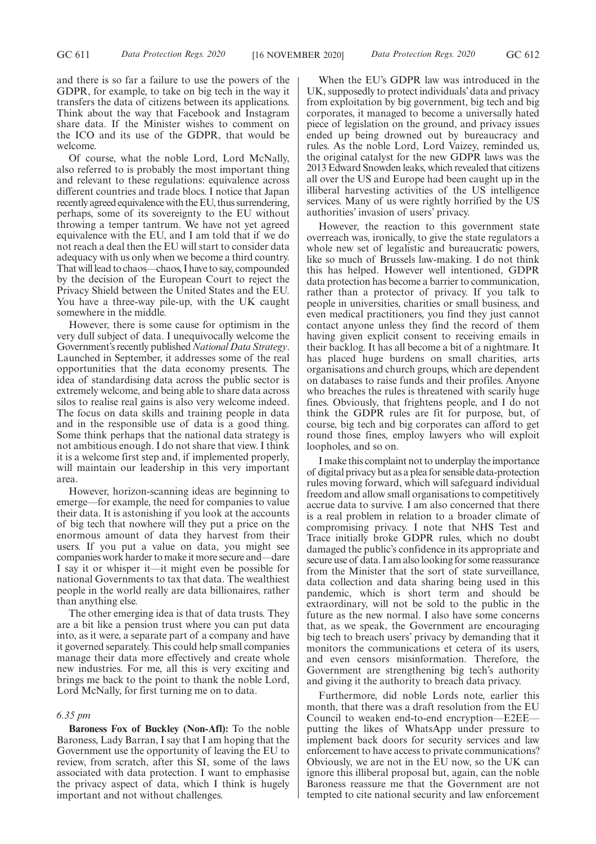and there is so far a failure to use the powers of the GDPR, for example, to take on big tech in the way it transfers the data of citizens between its applications. Think about the way that Facebook and Instagram share data. If the Minister wishes to comment on the ICO and its use of the GDPR, that would be welcome.

Of course, what the noble Lord, Lord McNally, also referred to is probably the most important thing and relevant to these regulations: equivalence across different countries and trade blocs. I notice that Japan recently agreed equivalence with the EU, thus surrendering, perhaps, some of its sovereignty to the EU without throwing a temper tantrum. We have not yet agreed equivalence with the EU, and I am told that if we do not reach a deal then the EU will start to consider data adequacy with us only when we become a third country. That will lead to chaos—chaos, I have to say, compounded by the decision of the European Court to reject the Privacy Shield between the United States and the EU. You have a three-way pile-up, with the UK caught somewhere in the middle.

However, there is some cause for optimism in the very dull subject of data. I unequivocally welcome the Government's recently published *National Data Strategy*. Launched in September, it addresses some of the real opportunities that the data economy presents. The idea of standardising data across the public sector is extremely welcome, and being able to share data across silos to realise real gains is also very welcome indeed. The focus on data skills and training people in data and in the responsible use of data is a good thing. Some think perhaps that the national data strategy is not ambitious enough. I do not share that view. I think it is a welcome first step and, if implemented properly, will maintain our leadership in this very important area.

However, horizon-scanning ideas are beginning to emerge—for example, the need for companies to value their data. It is astonishing if you look at the accounts of big tech that nowhere will they put a price on the enormous amount of data they harvest from their users. If you put a value on data, you might see companies work harder to make it more secure and—dare I say it or whisper it—it might even be possible for national Governments to tax that data. The wealthiest people in the world really are data billionaires, rather than anything else.

The other emerging idea is that of data trusts. They are a bit like a pension trust where you can put data into, as it were, a separate part of a company and have it governed separately. This could help small companies manage their data more effectively and create whole new industries. For me, all this is very exciting and brings me back to the point to thank the noble Lord, Lord McNally, for first turning me on to data.

#### *6.35 pm*

**Baroness Fox of Buckley (Non-Afl):** To the noble Baroness, Lady Barran, I say that I am hoping that the Government use the opportunity of leaving the EU to review, from scratch, after this SI, some of the laws associated with data protection. I want to emphasise the privacy aspect of data, which I think is hugely important and not without challenges.

When the EU's GDPR law was introduced in the UK, supposedly to protect individuals' data and privacy from exploitation by big government, big tech and big corporates, it managed to become a universally hated piece of legislation on the ground, and privacy issues ended up being drowned out by bureaucracy and rules. As the noble Lord, Lord Vaizey, reminded us, the original catalyst for the new GDPR laws was the 2013 Edward Snowden leaks, which revealed that citizens all over the US and Europe had been caught up in the illiberal harvesting activities of the US intelligence services. Many of us were rightly horrified by the US authorities' invasion of users' privacy.

However, the reaction to this government state overreach was, ironically, to give the state regulators a whole new set of legalistic and bureaucratic powers, like so much of Brussels law-making. I do not think this has helped. However well intentioned, GDPR data protection has become a barrier to communication, rather than a protector of privacy. If you talk to people in universities, charities or small business, and even medical practitioners, you find they just cannot contact anyone unless they find the record of them having given explicit consent to receiving emails in their backlog. It has all become a bit of a nightmare. It has placed huge burdens on small charities, arts organisations and church groups, which are dependent on databases to raise funds and their profiles. Anyone who breaches the rules is threatened with scarily huge fines. Obviously, that frightens people, and I do not think the GDPR rules are fit for purpose, but, of course, big tech and big corporates can afford to get round those fines, employ lawyers who will exploit loopholes, and so on.

I make this complaint not to underplay the importance of digital privacy but as a plea for sensible data-protection rules moving forward, which will safeguard individual freedom and allow small organisations to competitively accrue data to survive. I am also concerned that there is a real problem in relation to a broader climate of compromising privacy. I note that NHS Test and Trace initially broke GDPR rules, which no doubt damaged the public's confidence in its appropriate and secure use of data. I am also looking for some reassurance from the Minister that the sort of state surveillance, data collection and data sharing being used in this pandemic, which is short term and should be extraordinary, will not be sold to the public in the future as the new normal. I also have some concerns that, as we speak, the Government are encouraging big tech to breach users' privacy by demanding that it monitors the communications et cetera of its users, and even censors misinformation. Therefore, the Government are strengthening big tech's authority and giving it the authority to breach data privacy.

Furthermore, did noble Lords note, earlier this month, that there was a draft resolution from the EU Council to weaken end-to-end encryption—E2EE putting the likes of WhatsApp under pressure to implement back doors for security services and law enforcement to have access to private communications? Obviously, we are not in the EU now, so the UK can ignore this illiberal proposal but, again, can the noble Baroness reassure me that the Government are not tempted to cite national security and law enforcement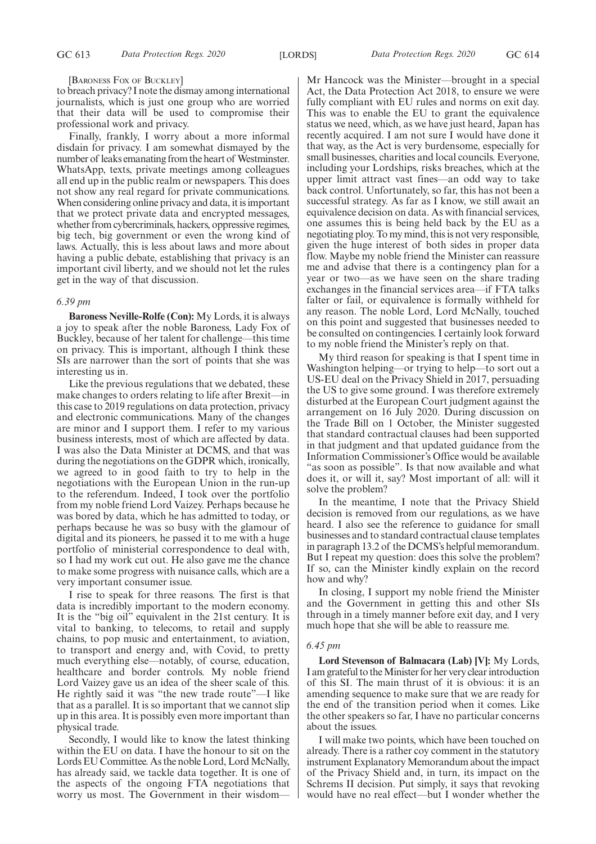#### [BARONESS FOX OF BUCKLEY]

to breach privacy? I note the dismay among international journalists, which is just one group who are worried that their data will be used to compromise their professional work and privacy.

Finally, frankly, I worry about a more informal disdain for privacy. I am somewhat dismayed by the number of leaks emanating from the heart of Westminster. WhatsApp, texts, private meetings among colleagues all end up in the public realm or newspapers. This does not show any real regard for private communications. When considering online privacy and data, it is important that we protect private data and encrypted messages, whether from cybercriminals, hackers, oppressive regimes, big tech, big government or even the wrong kind of laws. Actually, this is less about laws and more about having a public debate, establishing that privacy is an important civil liberty, and we should not let the rules get in the way of that discussion.

#### *6.39 pm*

**Baroness Neville-Rolfe (Con):** My Lords, it is always a joy to speak after the noble Baroness, Lady Fox of Buckley, because of her talent for challenge—this time on privacy. This is important, although I think these SIs are narrower than the sort of points that she was interesting us in.

Like the previous regulations that we debated, these make changes to orders relating to life after Brexit—in this case to 2019 regulations on data protection, privacy and electronic communications. Many of the changes are minor and I support them. I refer to my various business interests, most of which are affected by data. I was also the Data Minister at DCMS, and that was during the negotiations on the GDPR which, ironically, we agreed to in good faith to try to help in the negotiations with the European Union in the run-up to the referendum. Indeed, I took over the portfolio from my noble friend Lord Vaizey. Perhaps because he was bored by data, which he has admitted to today, or perhaps because he was so busy with the glamour of digital and its pioneers, he passed it to me with a huge portfolio of ministerial correspondence to deal with, so I had my work cut out. He also gave me the chance to make some progress with nuisance calls, which are a very important consumer issue.

I rise to speak for three reasons. The first is that data is incredibly important to the modern economy. It is the "big oil" equivalent in the 21st century. It is vital to banking, to telecoms, to retail and supply chains, to pop music and entertainment, to aviation, to transport and energy and, with Covid, to pretty much everything else—notably, of course, education, healthcare and border controls. My noble friend Lord Vaizey gave us an idea of the sheer scale of this. He rightly said it was "the new trade route"—I like that as a parallel. It is so important that we cannot slip up in this area. It is possibly even more important than physical trade.

Secondly, I would like to know the latest thinking within the EU on data. I have the honour to sit on the Lords EU Committee. As the noble Lord, Lord McNally, has already said, we tackle data together. It is one of the aspects of the ongoing FTA negotiations that worry us most. The Government in their wisdomMr Hancock was the Minister—brought in a special Act, the Data Protection Act 2018, to ensure we were fully compliant with EU rules and norms on exit day. This was to enable the EU to grant the equivalence status we need, which, as we have just heard, Japan has recently acquired. I am not sure I would have done it that way, as the Act is very burdensome, especially for small businesses, charities and local councils. Everyone, including your Lordships, risks breaches, which at the upper limit attract vast fines—an odd way to take back control. Unfortunately, so far, this has not been a successful strategy. As far as I know, we still await an equivalence decision on data. As with financial services, one assumes this is being held back by the EU as a negotiating ploy. To my mind, this is not very responsible, given the huge interest of both sides in proper data flow. Maybe my noble friend the Minister can reassure me and advise that there is a contingency plan for a year or two—as we have seen on the share trading exchanges in the financial services area—if FTA talks falter or fail, or equivalence is formally withheld for any reason. The noble Lord, Lord McNally, touched on this point and suggested that businesses needed to be consulted on contingencies. I certainly look forward to my noble friend the Minister's reply on that.

My third reason for speaking is that I spent time in Washington helping—or trying to help—to sort out a US-EU deal on the Privacy Shield in 2017, persuading the US to give some ground. I was therefore extremely disturbed at the European Court judgment against the arrangement on 16 July 2020. During discussion on the Trade Bill on 1 October, the Minister suggested that standard contractual clauses had been supported in that judgment and that updated guidance from the Information Commissioner's Office would be available "as soon as possible". Is that now available and what does it, or will it, say? Most important of all: will it solve the problem?

In the meantime, I note that the Privacy Shield decision is removed from our regulations, as we have heard. I also see the reference to guidance for small businesses and to standard contractual clause templates in paragraph 13.2 of the DCMS's helpful memorandum. But I repeat my question: does this solve the problem? If so, can the Minister kindly explain on the record how and why?

In closing, I support my noble friend the Minister and the Government in getting this and other SIs through in a timely manner before exit day, and I very much hope that she will be able to reassure me.

#### *6.45 pm*

**Lord Stevenson of Balmacara (Lab) [V]:** My Lords, I am grateful to the Minister for her very clear introduction of this SI. The main thrust of it is obvious: it is an amending sequence to make sure that we are ready for the end of the transition period when it comes. Like the other speakers so far, I have no particular concerns about the issues.

I will make two points, which have been touched on already. There is a rather coy comment in the statutory instrument Explanatory Memorandum about the impact of the Privacy Shield and, in turn, its impact on the Schrems II decision. Put simply, it says that revoking would have no real effect—but I wonder whether the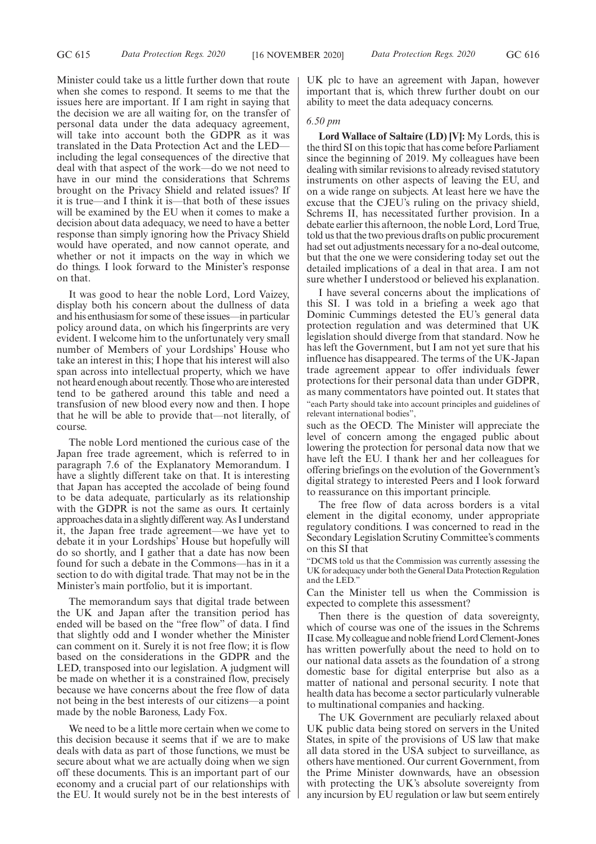Minister could take us a little further down that route when she comes to respond. It seems to me that the issues here are important. If I am right in saying that the decision we are all waiting for, on the transfer of personal data under the data adequacy agreement, will take into account both the GDPR as it was translated in the Data Protection Act and the LED including the legal consequences of the directive that deal with that aspect of the work—do we not need to have in our mind the considerations that Schrems brought on the Privacy Shield and related issues? If it is true—and I think it is—that both of these issues will be examined by the EU when it comes to make a decision about data adequacy, we need to have a better response than simply ignoring how the Privacy Shield would have operated, and now cannot operate, and whether or not it impacts on the way in which we do things. I look forward to the Minister's response on that.

It was good to hear the noble Lord, Lord Vaizey, display both his concern about the dullness of data and his enthusiasm for some of these issues—in particular policy around data, on which his fingerprints are very evident. I welcome him to the unfortunately very small number of Members of your Lordships' House who take an interest in this; I hope that his interest will also span across into intellectual property, which we have not heard enough about recently. Those who are interested tend to be gathered around this table and need a transfusion of new blood every now and then. I hope that he will be able to provide that—not literally, of course.

The noble Lord mentioned the curious case of the Japan free trade agreement, which is referred to in paragraph 7.6 of the Explanatory Memorandum. I have a slightly different take on that. It is interesting that Japan has accepted the accolade of being found to be data adequate, particularly as its relationship with the GDPR is not the same as ours. It certainly approaches data in a slightly different way. As I understand it, the Japan free trade agreement—we have yet to debate it in your Lordships' House but hopefully will do so shortly, and I gather that a date has now been found for such a debate in the Commons—has in it a section to do with digital trade. That may not be in the Minister's main portfolio, but it is important.

The memorandum says that digital trade between the UK and Japan after the transition period has ended will be based on the "free flow" of data. I find that slightly odd and I wonder whether the Minister can comment on it. Surely it is not free flow; it is flow based on the considerations in the GDPR and the LED, transposed into our legislation. A judgment will be made on whether it is a constrained flow, precisely because we have concerns about the free flow of data not being in the best interests of our citizens—a point made by the noble Baroness, Lady Fox.

We need to be a little more certain when we come to this decision because it seems that if we are to make deals with data as part of those functions, we must be secure about what we are actually doing when we sign off these documents. This is an important part of our economy and a crucial part of our relationships with the EU. It would surely not be in the best interests of

UK plc to have an agreement with Japan, however important that is, which threw further doubt on our ability to meet the data adequacy concerns.

#### *6.50 pm*

**Lord Wallace of Saltaire (LD) [V]:** My Lords, this is the third SI on this topic that has come before Parliament since the beginning of 2019. My colleagues have been dealing with similar revisions to already revised statutory instruments on other aspects of leaving the EU, and on a wide range on subjects. At least here we have the excuse that the CJEU's ruling on the privacy shield, Schrems II, has necessitated further provision. In a debate earlier this afternoon, the noble Lord, Lord True, told us that the two previous drafts on public procurement had set out adjustments necessary for a no-deal outcome, but that the one we were considering today set out the detailed implications of a deal in that area. I am not sure whether I understood or believed his explanation.

I have several concerns about the implications of this SI. I was told in a briefing a week ago that Dominic Cummings detested the EU's general data protection regulation and was determined that UK legislation should diverge from that standard. Now he has left the Government, but I am not yet sure that his influence has disappeared. The terms of the UK-Japan trade agreement appear to offer individuals fewer protections for their personal data than under GDPR, as many commentators have pointed out. It states that "each Party should take into account principles and guidelines of relevant international bodies",

such as the OECD. The Minister will appreciate the level of concern among the engaged public about lowering the protection for personal data now that we have left the EU. I thank her and her colleagues for offering briefings on the evolution of the Government's digital strategy to interested Peers and I look forward to reassurance on this important principle.

The free flow of data across borders is a vital element in the digital economy, under appropriate regulatory conditions. I was concerned to read in the Secondary Legislation Scrutiny Committee's comments on this SI that

"DCMS told us that the Commission was currently assessing the UK for adequacy under both the General Data Protection Regulation and the LED."

Can the Minister tell us when the Commission is expected to complete this assessment?

Then there is the question of data sovereignty, which of course was one of the issues in the Schrems II case. My colleague and noble friend Lord Clement-Jones has written powerfully about the need to hold on to our national data assets as the foundation of a strong domestic base for digital enterprise but also as a matter of national and personal security. I note that health data has become a sector particularly vulnerable to multinational companies and hacking.

The UK Government are peculiarly relaxed about UK public data being stored on servers in the United States, in spite of the provisions of US law that make all data stored in the USA subject to surveillance, as others have mentioned. Our current Government, from the Prime Minister downwards, have an obsession with protecting the UK's absolute sovereignty from any incursion by EU regulation or law but seem entirely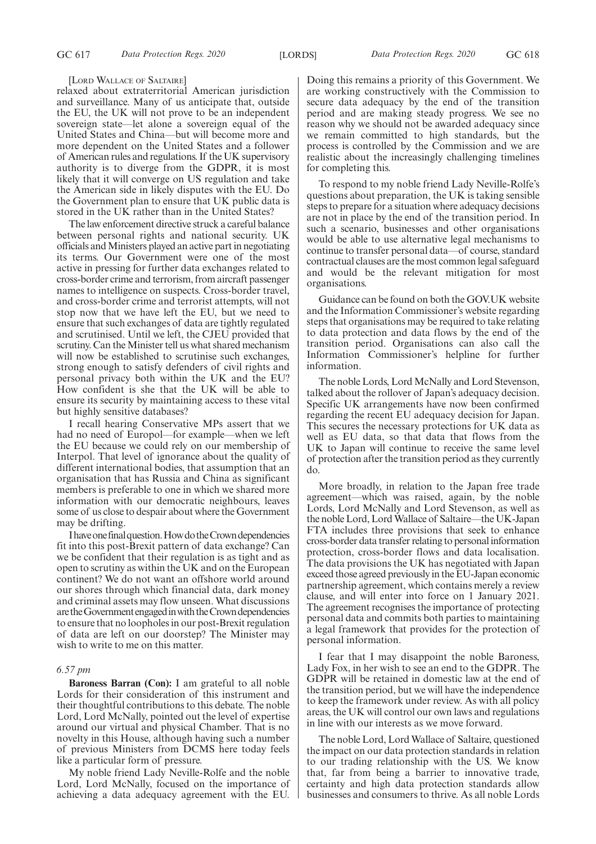#### [LORD WALLACE OF SALTAIRE]

relaxed about extraterritorial American jurisdiction and surveillance. Many of us anticipate that, outside the EU, the UK will not prove to be an independent sovereign state—let alone a sovereign equal of the United States and China—but will become more and more dependent on the United States and a follower of American rules and regulations. If the UK supervisory authority is to diverge from the GDPR, it is most likely that it will converge on US regulation and take the American side in likely disputes with the EU. Do the Government plan to ensure that UK public data is stored in the UK rather than in the United States?

The law enforcement directive struck a careful balance between personal rights and national security. UK officials and Ministers played an active part in negotiating its terms. Our Government were one of the most active in pressing for further data exchanges related to cross-border crime and terrorism, from aircraft passenger names to intelligence on suspects. Cross-border travel, and cross-border crime and terrorist attempts, will not stop now that we have left the EU, but we need to ensure that such exchanges of data are tightly regulated and scrutinised. Until we left, the CJEU provided that scrutiny. Can the Minister tell us what shared mechanism will now be established to scrutinise such exchanges, strong enough to satisfy defenders of civil rights and personal privacy both within the UK and the EU? How confident is she that the UK will be able to ensure its security by maintaining access to these vital but highly sensitive databases?

I recall hearing Conservative MPs assert that we had no need of Europol—for example—when we left the EU because we could rely on our membership of Interpol. That level of ignorance about the quality of different international bodies, that assumption that an organisation that has Russia and China as significant members is preferable to one in which we shared more information with our democratic neighbours, leaves some of us close to despair about where the Government may be drifting.

Ihaveonefinalquestion.HowdotheCrowndependencies fit into this post-Brexit pattern of data exchange? Can we be confident that their regulation is as tight and as open to scrutiny as within the UK and on the European continent? We do not want an offshore world around our shores through which financial data, dark money and criminal assets may flow unseen. What discussions are the Government engaged in with the Crown dependencies to ensure that no loopholes in our post-Brexit regulation of data are left on our doorstep? The Minister may wish to write to me on this matter.

#### *6.57 pm*

**Baroness Barran (Con):** I am grateful to all noble Lords for their consideration of this instrument and their thoughtful contributions to this debate. The noble Lord, Lord McNally, pointed out the level of expertise around our virtual and physical Chamber. That is no novelty in this House, although having such a number of previous Ministers from DCMS here today feels like a particular form of pressure.

My noble friend Lady Neville-Rolfe and the noble Lord, Lord McNally, focused on the importance of achieving a data adequacy agreement with the EU. Doing this remains a priority of this Government. We are working constructively with the Commission to secure data adequacy by the end of the transition period and are making steady progress. We see no reason why we should not be awarded adequacy since we remain committed to high standards, but the process is controlled by the Commission and we are realistic about the increasingly challenging timelines for completing this.

To respond to my noble friend Lady Neville-Rolfe's questions about preparation, the UK is taking sensible steps to prepare for a situation where adequacy decisions are not in place by the end of the transition period. In such a scenario, businesses and other organisations would be able to use alternative legal mechanisms to continue to transfer personal data—of course, standard contractual clauses are the most common legal safeguard and would be the relevant mitigation for most organisations.

Guidance can be found on both the GOV.UK website and the Information Commissioner's website regarding steps that organisations may be required to take relating to data protection and data flows by the end of the transition period. Organisations can also call the Information Commissioner's helpline for further information.

The noble Lords, Lord McNally and Lord Stevenson, talked about the rollover of Japan's adequacy decision. Specific UK arrangements have now been confirmed regarding the recent EU adequacy decision for Japan. This secures the necessary protections for UK data as well as EU data, so that data that flows from the UK to Japan will continue to receive the same level of protection after the transition period as they currently do.

More broadly, in relation to the Japan free trade agreement—which was raised, again, by the noble Lords, Lord McNally and Lord Stevenson, as well as the noble Lord, Lord Wallace of Saltaire—the UK-Japan FTA includes three provisions that seek to enhance cross-border data transfer relating to personal information protection, cross-border flows and data localisation. The data provisions the UK has negotiated with Japan exceed those agreed previously in the EU-Japan economic partnership agreement, which contains merely a review clause, and will enter into force on 1 January 2021. The agreement recognises the importance of protecting personal data and commits both parties to maintaining a legal framework that provides for the protection of personal information.

I fear that I may disappoint the noble Baroness, Lady Fox, in her wish to see an end to the GDPR. The GDPR will be retained in domestic law at the end of the transition period, but we will have the independence to keep the framework under review. As with all policy areas, the UK will control our own laws and regulations in line with our interests as we move forward.

The noble Lord, Lord Wallace of Saltaire, questioned the impact on our data protection standards in relation to our trading relationship with the US. We know that, far from being a barrier to innovative trade, certainty and high data protection standards allow businesses and consumers to thrive. As all noble Lords